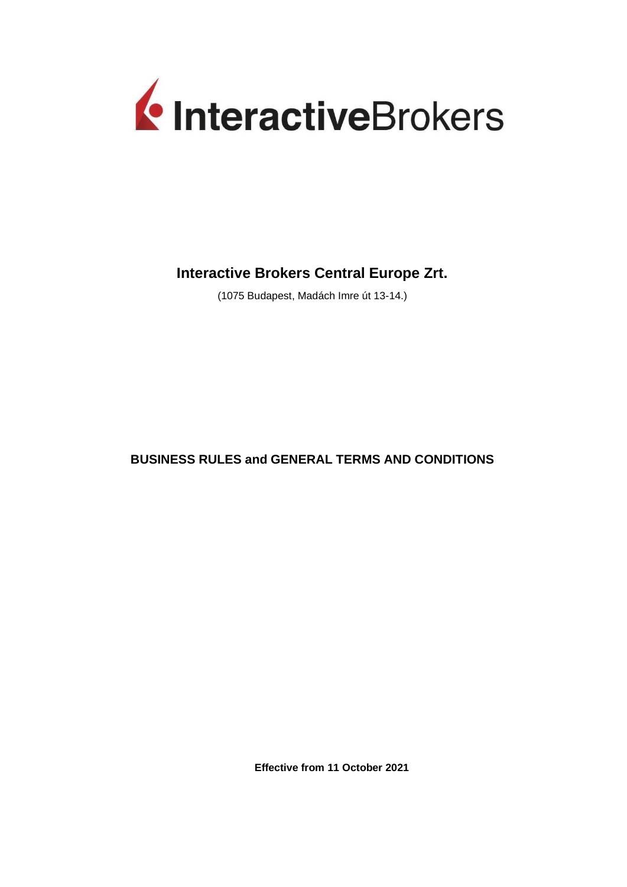

# **Interactive Brokers Central Europe Zrt.**

(1075 Budapest, Madách Imre út 13-14.)

**BUSINESS RULES and GENERAL TERMS AND CONDITIONS**

**Effective from 11 October 2021**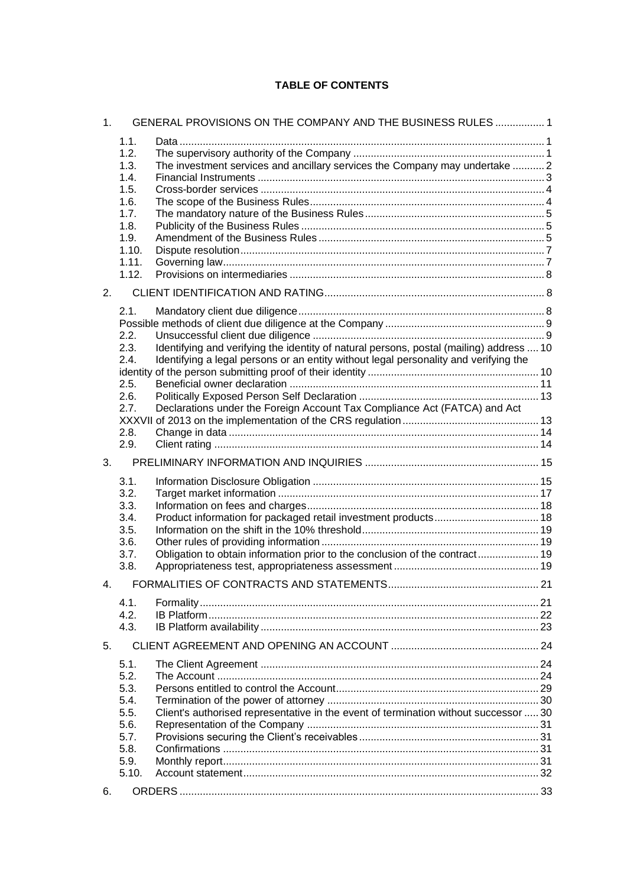# **TABLE OF CONTENTS**

| 1. |                              | GENERAL PROVISIONS ON THE COMPANY AND THE BUSINESS RULES  1                                                                                                                     |  |
|----|------------------------------|---------------------------------------------------------------------------------------------------------------------------------------------------------------------------------|--|
|    | 1.1.<br>1.2.<br>1.3.<br>1.4. | The investment services and ancillary services the Company may undertake  2                                                                                                     |  |
|    | 1.5.<br>1.6.                 |                                                                                                                                                                                 |  |
|    | 1.7.                         |                                                                                                                                                                                 |  |
|    | 1.8.                         |                                                                                                                                                                                 |  |
|    | 1.9.                         |                                                                                                                                                                                 |  |
|    | 1.10.                        |                                                                                                                                                                                 |  |
|    | 1.11.<br>1.12.               |                                                                                                                                                                                 |  |
|    |                              |                                                                                                                                                                                 |  |
| 2. |                              |                                                                                                                                                                                 |  |
|    | 2.1.                         |                                                                                                                                                                                 |  |
|    | 2.2.                         |                                                                                                                                                                                 |  |
|    | 2.3.<br>2.4.                 | Identifying and verifying the identity of natural persons, postal (mailing) address  10<br>Identifying a legal persons or an entity without legal personality and verifying the |  |
|    |                              |                                                                                                                                                                                 |  |
|    | 2.5.                         |                                                                                                                                                                                 |  |
|    | 2.6.<br>2.7.                 | Declarations under the Foreign Account Tax Compliance Act (FATCA) and Act                                                                                                       |  |
|    |                              |                                                                                                                                                                                 |  |
|    | 2.8.                         |                                                                                                                                                                                 |  |
|    | 2.9.                         |                                                                                                                                                                                 |  |
| 3. |                              |                                                                                                                                                                                 |  |
|    | 3.1.                         |                                                                                                                                                                                 |  |
|    | 3.2.                         |                                                                                                                                                                                 |  |
|    | 3.3.<br>3.4.                 |                                                                                                                                                                                 |  |
|    | 3.5.                         |                                                                                                                                                                                 |  |
|    | 3.6.                         |                                                                                                                                                                                 |  |
|    | 3.7.                         | Obligation to obtain information prior to the conclusion of the contract 19                                                                                                     |  |
|    | 3.8.                         |                                                                                                                                                                                 |  |
| 4. |                              | FORMALITIES OF CONTRACTS AND STATEMENTS                                                                                                                                         |  |
|    | 4.1.                         |                                                                                                                                                                                 |  |
|    | 4.2.                         |                                                                                                                                                                                 |  |
|    | 4.3.                         |                                                                                                                                                                                 |  |
| 5. |                              |                                                                                                                                                                                 |  |
|    | 5.1.                         |                                                                                                                                                                                 |  |
|    | 5.2.                         |                                                                                                                                                                                 |  |
|    | 5.3.<br>5.4.                 |                                                                                                                                                                                 |  |
|    | 5.5.                         | Client's authorised representative in the event of termination without successor  30                                                                                            |  |
|    | 5.6.                         |                                                                                                                                                                                 |  |
|    | 5.7.                         |                                                                                                                                                                                 |  |
|    | 5.8.<br>5.9.                 |                                                                                                                                                                                 |  |
|    | 5.10.                        |                                                                                                                                                                                 |  |
|    |                              |                                                                                                                                                                                 |  |
| 6. |                              |                                                                                                                                                                                 |  |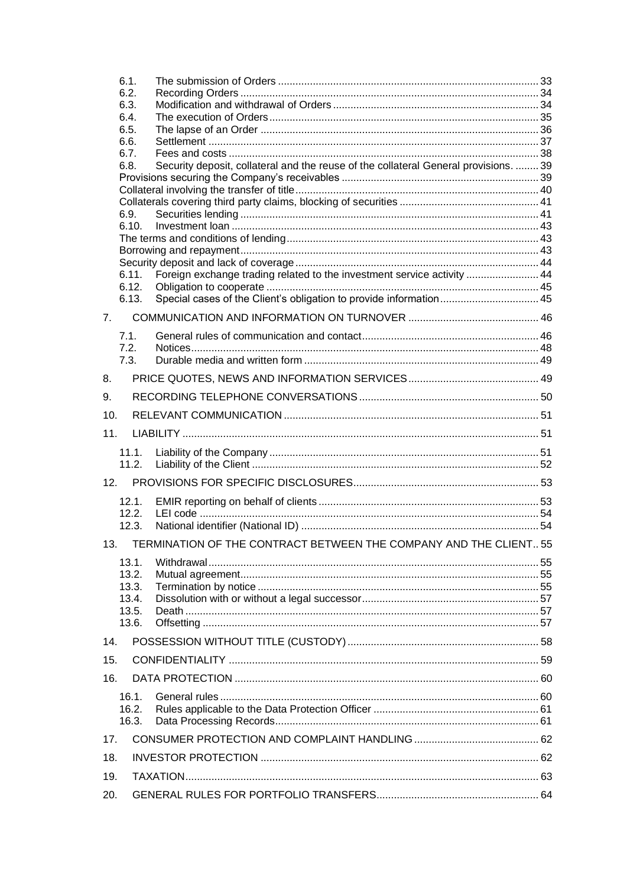|                 | 6.1.           |                                                                                      |  |
|-----------------|----------------|--------------------------------------------------------------------------------------|--|
|                 | 6.2.           |                                                                                      |  |
|                 | 6.3.           |                                                                                      |  |
|                 | 6.4.           |                                                                                      |  |
|                 | 6.5.<br>6.6.   |                                                                                      |  |
|                 | 6.7.           |                                                                                      |  |
|                 | 6.8.           | Security deposit, collateral and the reuse of the collateral General provisions.  39 |  |
|                 |                |                                                                                      |  |
|                 |                |                                                                                      |  |
|                 |                |                                                                                      |  |
|                 | 6.9.           |                                                                                      |  |
|                 | 6.10.          |                                                                                      |  |
|                 |                |                                                                                      |  |
|                 |                |                                                                                      |  |
|                 | 6.11.          | Foreign exchange trading related to the investment service activity  44              |  |
|                 | 6.12.          |                                                                                      |  |
|                 | 6.13.          | Special cases of the Client's obligation to provide information 45                   |  |
| 7.              |                |                                                                                      |  |
|                 | 7.1.           |                                                                                      |  |
|                 | 7.2.<br>7.3.   |                                                                                      |  |
|                 |                |                                                                                      |  |
| 8.              |                |                                                                                      |  |
| 9.              |                |                                                                                      |  |
| 10.             |                |                                                                                      |  |
| 11.             |                |                                                                                      |  |
|                 | 11.1.<br>11.2. |                                                                                      |  |
| 12 <sub>1</sub> |                |                                                                                      |  |
|                 | 12.1.          |                                                                                      |  |
|                 | 12.2.          |                                                                                      |  |
|                 | 12.3.          |                                                                                      |  |
|                 | 13.            | TERMINATION OF THE CONTRACT BETWEEN THE COMPANY AND THE CLIENT 55                    |  |
|                 | 13.1.          |                                                                                      |  |
|                 | 13.2.          |                                                                                      |  |
|                 | 13.3.          |                                                                                      |  |
|                 | 13.4.          |                                                                                      |  |
|                 | 13.5.          |                                                                                      |  |
|                 | 13.6.          |                                                                                      |  |
| 14.             |                |                                                                                      |  |
| 15.             |                |                                                                                      |  |
| 16.             |                |                                                                                      |  |
|                 | 16.1.          |                                                                                      |  |
|                 | 16.2.          |                                                                                      |  |
|                 | 16.3.          |                                                                                      |  |
| 17.             |                |                                                                                      |  |
| 18.             |                |                                                                                      |  |
| 19.             |                |                                                                                      |  |
| 20.             |                |                                                                                      |  |
|                 |                |                                                                                      |  |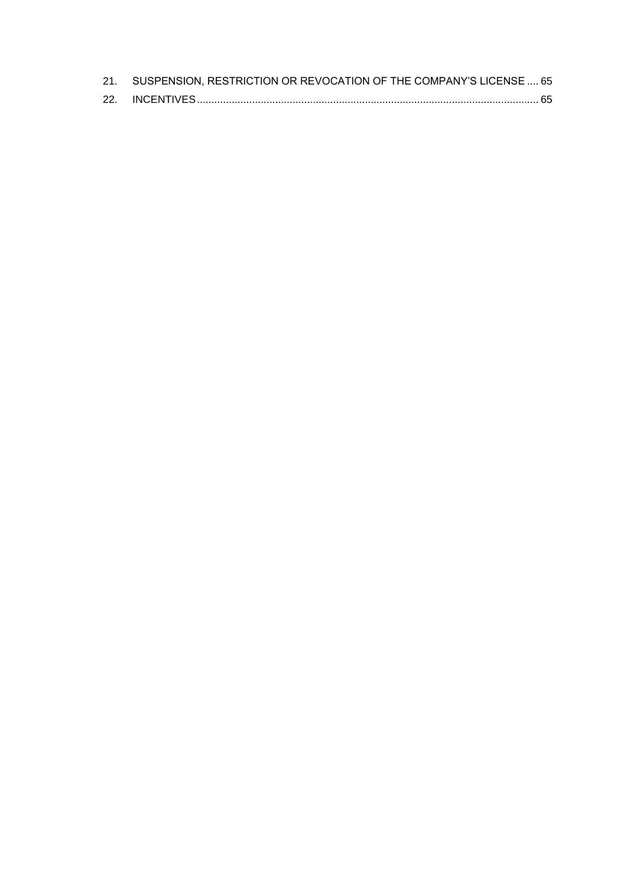| 21. SUSPENSION, RESTRICTION OR REVOCATION OF THE COMPANY'S LICENSE  65 |
|------------------------------------------------------------------------|
|                                                                        |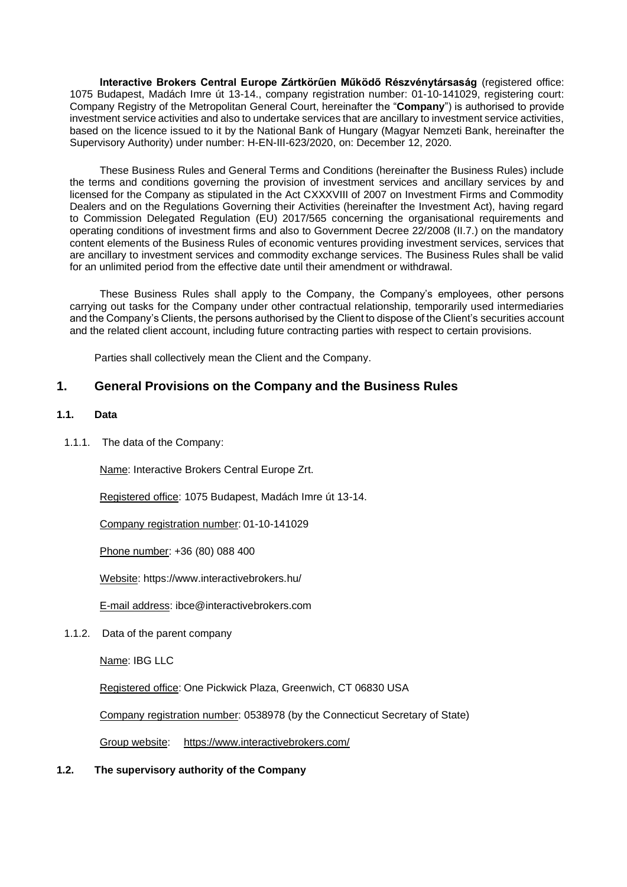**Interactive Brokers Central Europe Zártkörűen Működő Részvénytársaság** (registered office: 1075 Budapest, Madách Imre út 13-14., company registration number: 01-10-141029, registering court: Company Registry of the Metropolitan General Court, hereinafter the "**Company**") is authorised to provide investment service activities and also to undertake services that are ancillary to investment service activities, based on the licence issued to it by the National Bank of Hungary (Magyar Nemzeti Bank, hereinafter the Supervisory Authority) under number: H-EN-III-623/2020, on: December 12, 2020.

These Business Rules and General Terms and Conditions (hereinafter the Business Rules) include the terms and conditions governing the provision of investment services and ancillary services by and licensed for the Company as stipulated in the Act CXXXVIII of 2007 on Investment Firms and Commodity Dealers and on the Regulations Governing their Activities (hereinafter the Investment Act), having regard to Commission Delegated Regulation (EU) 2017/565 concerning the organisational requirements and operating conditions of investment firms and also to Government Decree 22/2008 (II.7.) on the mandatory content elements of the Business Rules of economic ventures providing investment services, services that are ancillary to investment services and commodity exchange services. The Business Rules shall be valid for an unlimited period from the effective date until their amendment or withdrawal.

These Business Rules shall apply to the Company, the Company's employees, other persons carrying out tasks for the Company under other contractual relationship, temporarily used intermediaries and the Company's Clients, the persons authorised by the Client to dispose of the Client's securities account and the related client account, including future contracting parties with respect to certain provisions.

Parties shall collectively mean the Client and the Company.

# <span id="page-4-0"></span>**1. General Provisions on the Company and the Business Rules**

# <span id="page-4-1"></span>**1.1. Data**

1.1.1. The data of the Company:

Name: Interactive Brokers Central Europe Zrt.

Registered office: 1075 Budapest, Madách Imre út 13-14.

Company registration number:01-10-141029

Phone number: +36 (80) 088 400

Website: https://www.interactivebrokers.hu/

E-mail address: ibce@interactivebrokers.com

1.1.2. Data of the parent company

Name: IBG LLC

Registered office: One Pickwick Plaza, Greenwich, CT 06830 USA

Company registration number: 0538978 (by the Connecticut Secretary of State)

Group website: https://www.interactivebrokers.com/

<span id="page-4-2"></span>**1.2. The supervisory authority of the Company**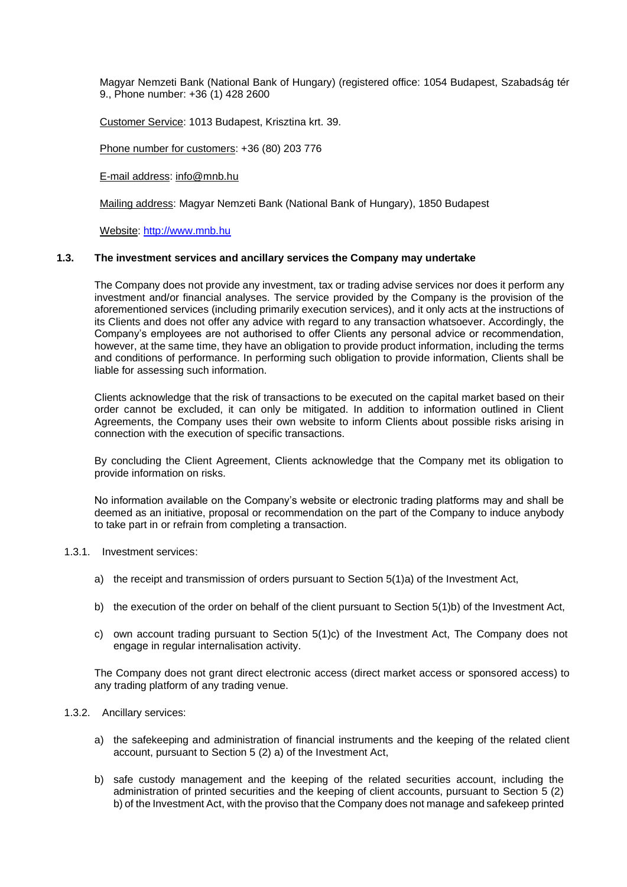Magyar Nemzeti Bank (National Bank of Hungary) (registered office: 1054 Budapest, Szabadság tér 9., Phone number: +36 (1) 428 2600

Customer Service: 1013 Budapest, Krisztina krt. 39.

Phone number for customers: +36 (80) 203 776

E-mail address: info@mnb.hu

Mailing address: Magyar Nemzeti Bank (National Bank of Hungary), 1850 Budapest

Website: http://www.mnb.hu

### <span id="page-5-0"></span>**1.3. The investment services and ancillary services the Company may undertake**

The Company does not provide any investment, tax or trading advise services nor does it perform any investment and/or financial analyses. The service provided by the Company is the provision of the aforementioned services (including primarily execution services), and it only acts at the instructions of its Clients and does not offer any advice with regard to any transaction whatsoever. Accordingly, the Company's employees are not authorised to offer Clients any personal advice or recommendation, however, at the same time, they have an obligation to provide product information, including the terms and conditions of performance. In performing such obligation to provide information, Clients shall be liable for assessing such information.

Clients acknowledge that the risk of transactions to be executed on the capital market based on their order cannot be excluded, it can only be mitigated. In addition to information outlined in Client Agreements, the Company uses their own website to inform Clients about possible risks arising in connection with the execution of specific transactions.

By concluding the Client Agreement, Clients acknowledge that the Company met its obligation to provide information on risks.

No information available on the Company's website or electronic trading platforms may and shall be deemed as an initiative, proposal or recommendation on the part of the Company to induce anybody to take part in or refrain from completing a transaction.

# 1.3.1. Investment services:

- a) the receipt and transmission of orders pursuant to Section 5(1)a) of the Investment Act,
- b) the execution of the order on behalf of the client pursuant to Section 5(1)b) of the Investment Act,
- c) own account trading pursuant to Section 5(1)c) of the Investment Act, The Company does not engage in regular internalisation activity.

The Company does not grant direct electronic access (direct market access or sponsored access) to any trading platform of any trading venue.

#### 1.3.2. Ancillary services:

- a) the safekeeping and administration of financial instruments and the keeping of the related client account, pursuant to Section 5 (2) a) of the Investment Act,
- b) safe custody management and the keeping of the related securities account, including the administration of printed securities and the keeping of client accounts, pursuant to Section 5 (2) b) of the Investment Act, with the proviso that the Company does not manage and safekeep printed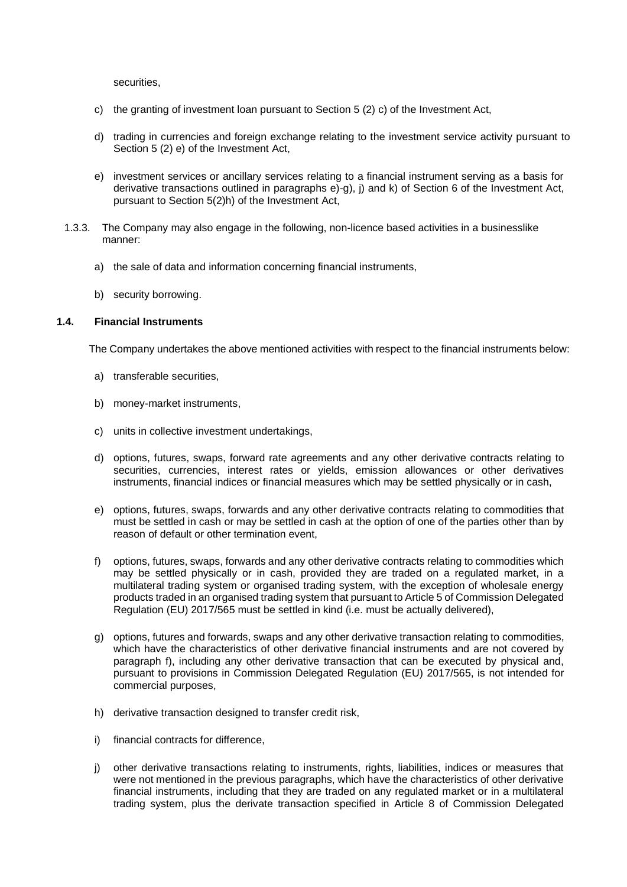securities,

- c) the granting of investment loan pursuant to Section 5 (2) c) of the Investment Act,
- d) trading in currencies and foreign exchange relating to the investment service activity pursuant to Section 5 (2) e) of the Investment Act,
- e) investment services or ancillary services relating to a financial instrument serving as a basis for derivative transactions outlined in paragraphs e)-g), j) and k) of Section 6 of the Investment Act, pursuant to Section 5(2)h) of the Investment Act,
- 1.3.3. The Company may also engage in the following, non-licence based activities in a businesslike manner:
	- a) the sale of data and information concerning financial instruments,
	- b) security borrowing.

## <span id="page-6-0"></span>**1.4. Financial Instruments**

The Company undertakes the above mentioned activities with respect to the financial instruments below:

- a) transferable securities,
- b) money-market instruments,
- c) units in collective investment undertakings,
- d) options, futures, swaps, forward rate agreements and any other derivative contracts relating to securities, currencies, interest rates or yields, emission allowances or other derivatives instruments, financial indices or financial measures which may be settled physically or in cash,
- e) options, futures, swaps, forwards and any other derivative contracts relating to commodities that must be settled in cash or may be settled in cash at the option of one of the parties other than by reason of default or other termination event,
- f) options, futures, swaps, forwards and any other derivative contracts relating to commodities which may be settled physically or in cash, provided they are traded on a regulated market, in a multilateral trading system or organised trading system, with the exception of wholesale energy products traded in an organised trading system that pursuant to Article 5 of Commission Delegated Regulation (EU) 2017/565 must be settled in kind (i.e. must be actually delivered),
- g) options, futures and forwards, swaps and any other derivative transaction relating to commodities, which have the characteristics of other derivative financial instruments and are not covered by paragraph f), including any other derivative transaction that can be executed by physical and, pursuant to provisions in Commission Delegated Regulation (EU) 2017/565, is not intended for commercial purposes,
- h) derivative transaction designed to transfer credit risk,
- i) financial contracts for difference,
- j) other derivative transactions relating to instruments, rights, liabilities, indices or measures that were not mentioned in the previous paragraphs, which have the characteristics of other derivative financial instruments, including that they are traded on any regulated market or in a multilateral trading system, plus the derivate transaction specified in Article 8 of Commission Delegated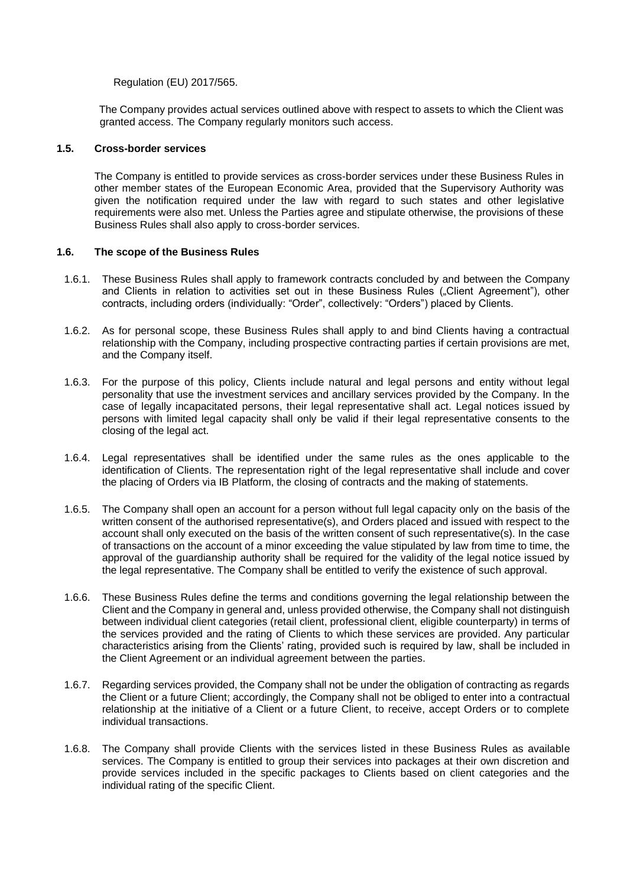Regulation (EU) 2017/565.

The Company provides actual services outlined above with respect to assets to which the Client was granted access. The Company regularly monitors such access.

## <span id="page-7-0"></span>**1.5. Cross-border services**

The Company is entitled to provide services as cross-border services under these Business Rules in other member states of the European Economic Area, provided that the Supervisory Authority was given the notification required under the law with regard to such states and other legislative requirements were also met. Unless the Parties agree and stipulate otherwise, the provisions of these Business Rules shall also apply to cross-border services.

## <span id="page-7-1"></span>**1.6. The scope of the Business Rules**

- 1.6.1. These Business Rules shall apply to framework contracts concluded by and between the Company and Clients in relation to activities set out in these Business Rules ("Client Agreement"), other contracts, including orders (individually: "Order", collectively: "Orders") placed by Clients.
- 1.6.2. As for personal scope, these Business Rules shall apply to and bind Clients having a contractual relationship with the Company, including prospective contracting parties if certain provisions are met, and the Company itself.
- 1.6.3. For the purpose of this policy, Clients include natural and legal persons and entity without legal personality that use the investment services and ancillary services provided by the Company. In the case of legally incapacitated persons, their legal representative shall act. Legal notices issued by persons with limited legal capacity shall only be valid if their legal representative consents to the closing of the legal act.
- 1.6.4. Legal representatives shall be identified under the same rules as the ones applicable to the identification of Clients. The representation right of the legal representative shall include and cover the placing of Orders via IB Platform, the closing of contracts and the making of statements.
- 1.6.5. The Company shall open an account for a person without full legal capacity only on the basis of the written consent of the authorised representative(s), and Orders placed and issued with respect to the account shall only executed on the basis of the written consent of such representative(s). In the case of transactions on the account of a minor exceeding the value stipulated by law from time to time, the approval of the guardianship authority shall be required for the validity of the legal notice issued by the legal representative. The Company shall be entitled to verify the existence of such approval.
- 1.6.6. These Business Rules define the terms and conditions governing the legal relationship between the Client and the Company in general and, unless provided otherwise, the Company shall not distinguish between individual client categories (retail client, professional client, eligible counterparty) in terms of the services provided and the rating of Clients to which these services are provided. Any particular characteristics arising from the Clients' rating, provided such is required by law, shall be included in the Client Agreement or an individual agreement between the parties.
- 1.6.7. Regarding services provided, the Company shall not be under the obligation of contracting as regards the Client or a future Client; accordingly, the Company shall not be obliged to enter into a contractual relationship at the initiative of a Client or a future Client, to receive, accept Orders or to complete individual transactions.
- 1.6.8. The Company shall provide Clients with the services listed in these Business Rules as available services. The Company is entitled to group their services into packages at their own discretion and provide services included in the specific packages to Clients based on client categories and the individual rating of the specific Client.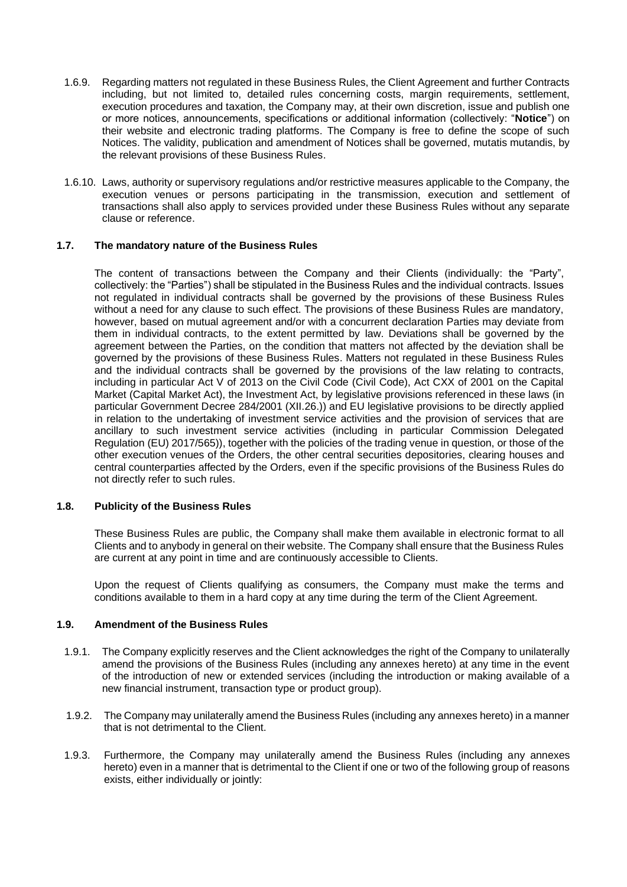- 1.6.9. Regarding matters not regulated in these Business Rules, the Client Agreement and further Contracts including, but not limited to, detailed rules concerning costs, margin requirements, settlement, execution procedures and taxation, the Company may, at their own discretion, issue and publish one or more notices, announcements, specifications or additional information (collectively: "**Notice**") on their website and electronic trading platforms. The Company is free to define the scope of such Notices. The validity, publication and amendment of Notices shall be governed, mutatis mutandis, by the relevant provisions of these Business Rules.
- 1.6.10. Laws, authority or supervisory regulations and/or restrictive measures applicable to the Company, the execution venues or persons participating in the transmission, execution and settlement of transactions shall also apply to services provided under these Business Rules without any separate clause or reference.

## <span id="page-8-0"></span>**1.7. The mandatory nature of the Business Rules**

The content of transactions between the Company and their Clients (individually: the "Party", collectively: the "Parties") shall be stipulated in the Business Rules and the individual contracts. Issues not regulated in individual contracts shall be governed by the provisions of these Business Rules without a need for any clause to such effect. The provisions of these Business Rules are mandatory, however, based on mutual agreement and/or with a concurrent declaration Parties may deviate from them in individual contracts, to the extent permitted by law. Deviations shall be governed by the agreement between the Parties, on the condition that matters not affected by the deviation shall be governed by the provisions of these Business Rules. Matters not regulated in these Business Rules and the individual contracts shall be governed by the provisions of the law relating to contracts, including in particular Act V of 2013 on the Civil Code (Civil Code), Act CXX of 2001 on the Capital Market (Capital Market Act), the Investment Act, by legislative provisions referenced in these laws (in particular Government Decree 284/2001 (XII.26.)) and EU legislative provisions to be directly applied in relation to the undertaking of investment service activities and the provision of services that are ancillary to such investment service activities (including in particular Commission Delegated Regulation (EU) 2017/565)), together with the policies of the trading venue in question, or those of the other execution venues of the Orders, the other central securities depositories, clearing houses and central counterparties affected by the Orders, even if the specific provisions of the Business Rules do not directly refer to such rules.

# <span id="page-8-1"></span>**1.8. Publicity of the Business Rules**

These Business Rules are public, the Company shall make them available in electronic format to all Clients and to anybody in general on their website. The Company shall ensure that the Business Rules are current at any point in time and are continuously accessible to Clients.

Upon the request of Clients qualifying as consumers, the Company must make the terms and conditions available to them in a hard copy at any time during the term of the Client Agreement.

#### <span id="page-8-2"></span>**1.9. Amendment of the Business Rules**

- 1.9.1. The Company explicitly reserves and the Client acknowledges the right of the Company to unilaterally amend the provisions of the Business Rules (including any annexes hereto) at any time in the event of the introduction of new or extended services (including the introduction or making available of a new financial instrument, transaction type or product group).
- 1.9.2. The Company may unilaterally amend the Business Rules (including any annexes hereto) in a manner that is not detrimental to the Client.
- 1.9.3. Furthermore, the Company may unilaterally amend the Business Rules (including any annexes hereto) even in a manner that is detrimental to the Client if one or two of the following group of reasons exists, either individually or jointly: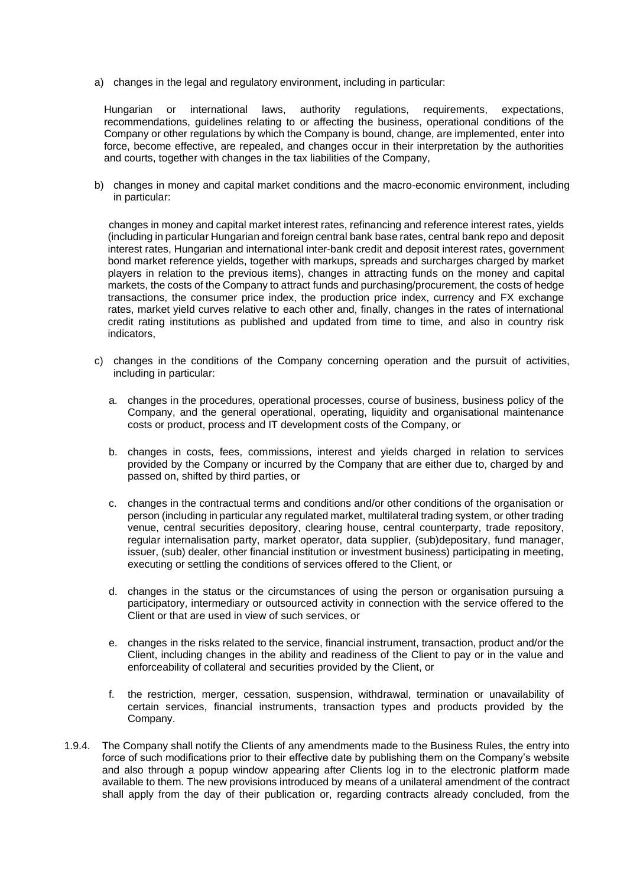a) changes in the legal and regulatory environment, including in particular:

Hungarian or international laws, authority regulations, requirements, expectations, recommendations, guidelines relating to or affecting the business, operational conditions of the Company or other regulations by which the Company is bound, change, are implemented, enter into force, become effective, are repealed, and changes occur in their interpretation by the authorities and courts, together with changes in the tax liabilities of the Company,

b) changes in money and capital market conditions and the macro-economic environment, including in particular:

changes in money and capital market interest rates, refinancing and reference interest rates, yields (including in particular Hungarian and foreign central bank base rates, central bank repo and deposit interest rates, Hungarian and international inter-bank credit and deposit interest rates, government bond market reference yields, together with markups, spreads and surcharges charged by market players in relation to the previous items), changes in attracting funds on the money and capital markets, the costs of the Company to attract funds and purchasing/procurement, the costs of hedge transactions, the consumer price index, the production price index, currency and FX exchange rates, market yield curves relative to each other and, finally, changes in the rates of international credit rating institutions as published and updated from time to time, and also in country risk indicators,

- c) changes in the conditions of the Company concerning operation and the pursuit of activities, including in particular:
	- a. changes in the procedures, operational processes, course of business, business policy of the Company, and the general operational, operating, liquidity and organisational maintenance costs or product, process and IT development costs of the Company, or
	- b. changes in costs, fees, commissions, interest and yields charged in relation to services provided by the Company or incurred by the Company that are either due to, charged by and passed on, shifted by third parties, or
	- c. changes in the contractual terms and conditions and/or other conditions of the organisation or person (including in particular any regulated market, multilateral trading system, or other trading venue, central securities depository, clearing house, central counterparty, trade repository, regular internalisation party, market operator, data supplier, (sub)depositary, fund manager, issuer, (sub) dealer, other financial institution or investment business) participating in meeting, executing or settling the conditions of services offered to the Client, or
	- d. changes in the status or the circumstances of using the person or organisation pursuing a participatory, intermediary or outsourced activity in connection with the service offered to the Client or that are used in view of such services, or
	- e. changes in the risks related to the service, financial instrument, transaction, product and/or the Client, including changes in the ability and readiness of the Client to pay or in the value and enforceability of collateral and securities provided by the Client, or
	- f. the restriction, merger, cessation, suspension, withdrawal, termination or unavailability of certain services, financial instruments, transaction types and products provided by the Company.
- 1.9.4. The Company shall notify the Clients of any amendments made to the Business Rules, the entry into force of such modifications prior to their effective date by publishing them on the Company's website and also through a popup window appearing after Clients log in to the electronic platform made available to them. The new provisions introduced by means of a unilateral amendment of the contract shall apply from the day of their publication or, regarding contracts already concluded, from the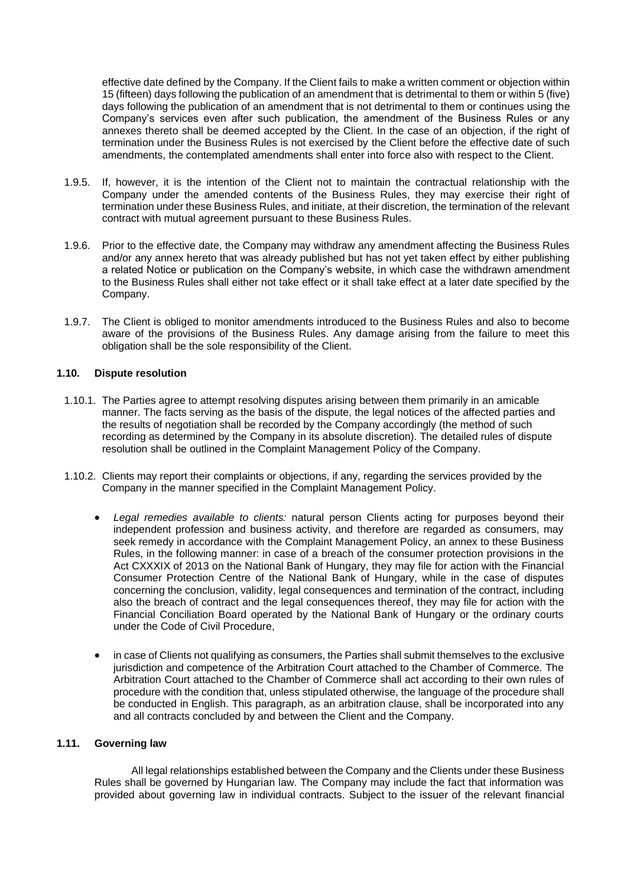effective date defined by the Company. If the Client fails to make a written comment or objection within 15 (fifteen) days following the publication of an amendment that is detrimental to them or within 5 (five) days following the publication of an amendment that is not detrimental to them or continues using the Company's services even after such publication, the amendment of the Business Rules or any annexes thereto shall be deemed accepted by the Client. In the case of an objection, if the right of termination under the Business Rules is not exercised by the Client before the effective date of such amendments, the contemplated amendments shall enter into force also with respect to the Client.

- 1.9.5. If, however, it is the intention of the Client not to maintain the contractual relationship with the Company under the amended contents of the Business Rules, they may exercise their right of termination under these Business Rules, and initiate, at their discretion, the termination of the relevant contract with mutual agreement pursuant to these Business Rules.
- 1.9.6. Prior to the effective date, the Company may withdraw any amendment affecting the Business Rules and/or any annex hereto that was already published but has not yet taken effect by either publishing a related Notice or publication on the Company's website, in which case the withdrawn amendment to the Business Rules shall either not take effect or it shall take effect at a later date specified by the Company.
- 1.9.7. The Client is obliged to monitor amendments introduced to the Business Rules and also to become aware of the provisions of the Business Rules. Any damage arising from the failure to meet this obligation shall be the sole responsibility of the Client.

#### <span id="page-10-0"></span>**1.10. Dispute resolution**

- 1.10.1. The Parties agree to attempt resolving disputes arising between them primarily in an amicable manner. The facts serving as the basis of the dispute, the legal notices of the affected parties and the results of negotiation shall be recorded by the Company accordingly (the method of such recording as determined by the Company in its absolute discretion). The detailed rules of dispute resolution shall be outlined in the Complaint Management Policy of the Company.
- 1.10.2. Clients may report their complaints or objections, if any, regarding the services provided by the Company in the manner specified in the Complaint Management Policy.
	- *Legal remedies available to clients:* natural person Clients acting for purposes beyond their independent profession and business activity, and therefore are regarded as consumers, may seek remedy in accordance with the Complaint Management Policy, an annex to these Business Rules, in the following manner: in case of a breach of the consumer protection provisions in the Act CXXXIX of 2013 on the National Bank of Hungary, they may file for action with the Financial Consumer Protection Centre of the National Bank of Hungary, while in the case of disputes concerning the conclusion, validity, legal consequences and termination of the contract, including also the breach of contract and the legal consequences thereof, they may file for action with the Financial Conciliation Board operated by the National Bank of Hungary or the ordinary courts under the Code of Civil Procedure,
	- in case of Clients not qualifying as consumers, the Parties shall submit themselves to the exclusive jurisdiction and competence of the Arbitration Court attached to the Chamber of Commerce. The Arbitration Court attached to the Chamber of Commerce shall act according to their own rules of procedure with the condition that, unless stipulated otherwise, the language of the procedure shall be conducted in English. This paragraph, as an arbitration clause, shall be incorporated into any and all contracts concluded by and between the Client and the Company.

# <span id="page-10-1"></span>**1.11. Governing law**

All legal relationships established between the Company and the Clients under these Business Rules shall be governed by Hungarian law. The Company may include the fact that information was provided about governing law in individual contracts. Subject to the issuer of the relevant financial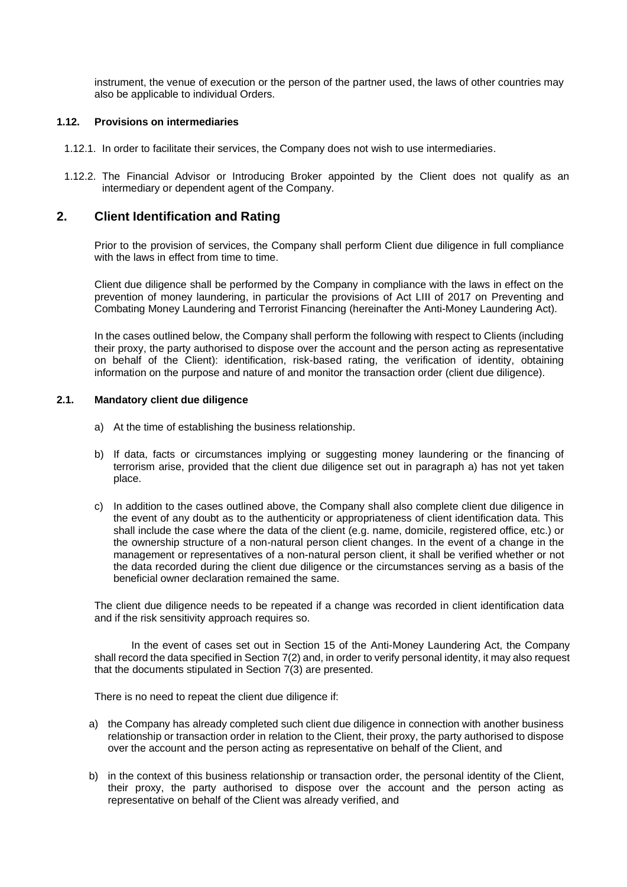instrument, the venue of execution or the person of the partner used, the laws of other countries may also be applicable to individual Orders.

#### <span id="page-11-0"></span>**1.12. Provisions on intermediaries**

- 1.12.1. In order to facilitate their services, the Company does not wish to use intermediaries.
- 1.12.2. The Financial Advisor or Introducing Broker appointed by the Client does not qualify as an intermediary or dependent agent of the Company.

# <span id="page-11-1"></span>**2. Client Identification and Rating**

Prior to the provision of services, the Company shall perform Client due diligence in full compliance with the laws in effect from time to time.

Client due diligence shall be performed by the Company in compliance with the laws in effect on the prevention of money laundering, in particular the provisions of Act LIII of 2017 on Preventing and Combating Money Laundering and Terrorist Financing (hereinafter the Anti-Money Laundering Act).

In the cases outlined below, the Company shall perform the following with respect to Clients (including their proxy, the party authorised to dispose over the account and the person acting as representative on behalf of the Client): identification, risk-based rating, the verification of identity, obtaining information on the purpose and nature of and monitor the transaction order (client due diligence).

#### <span id="page-11-2"></span>**2.1. Mandatory client due diligence**

- a) At the time of establishing the business relationship.
- b) If data, facts or circumstances implying or suggesting money laundering or the financing of terrorism arise, provided that the client due diligence set out in paragraph a) has not yet taken place.
- c) In addition to the cases outlined above, the Company shall also complete client due diligence in the event of any doubt as to the authenticity or appropriateness of client identification data. This shall include the case where the data of the client (e.g. name, domicile, registered office, etc.) or the ownership structure of a non-natural person client changes. In the event of a change in the management or representatives of a non-natural person client, it shall be verified whether or not the data recorded during the client due diligence or the circumstances serving as a basis of the beneficial owner declaration remained the same.

The client due diligence needs to be repeated if a change was recorded in client identification data and if the risk sensitivity approach requires so.

In the event of cases set out in Section 15 of the Anti-Money Laundering Act, the Company shall record the data specified in Section 7(2) and, in order to verify personal identity, it may also request that the documents stipulated in Section 7(3) are presented.

There is no need to repeat the client due diligence if:

- a) the Company has already completed such client due diligence in connection with another business relationship or transaction order in relation to the Client, their proxy, the party authorised to dispose over the account and the person acting as representative on behalf of the Client, and
- b) in the context of this business relationship or transaction order, the personal identity of the Client, their proxy, the party authorised to dispose over the account and the person acting as representative on behalf of the Client was already verified, and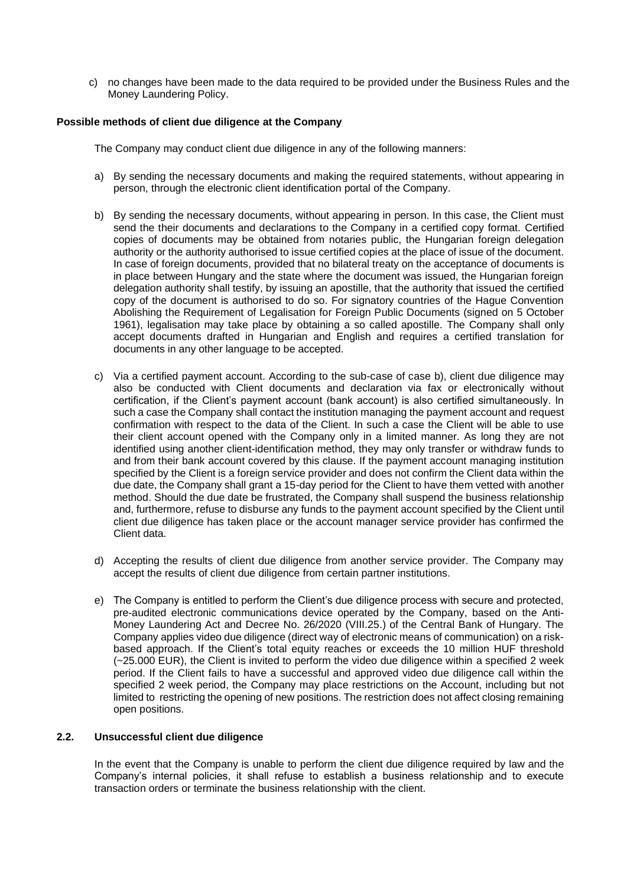c) no changes have been made to the data required to be provided under the Business Rules and the Money Laundering Policy.

## <span id="page-12-0"></span>**Possible methods of client due diligence at the Company**

The Company may conduct client due diligence in any of the following manners:

- a) By sending the necessary documents and making the required statements, without appearing in person, through the electronic client identification portal of the Company.
- b) By sending the necessary documents, without appearing in person. In this case, the Client must send the their documents and declarations to the Company in a certified copy format. Certified copies of documents may be obtained from notaries public, the Hungarian foreign delegation authority or the authority authorised to issue certified copies at the place of issue of the document. In case of foreign documents, provided that no bilateral treaty on the acceptance of documents is in place between Hungary and the state where the document was issued, the Hungarian foreign delegation authority shall testify, by issuing an apostille, that the authority that issued the certified copy of the document is authorised to do so. For signatory countries of the Hague Convention Abolishing the Requirement of Legalisation for Foreign Public Documents (signed on 5 October 1961), legalisation may take place by obtaining a so called apostille. The Company shall only accept documents drafted in Hungarian and English and requires a certified translation for documents in any other language to be accepted.
- c) Via a certified payment account. According to the sub-case of case b), client due diligence may also be conducted with Client documents and declaration via fax or electronically without certification, if the Client's payment account (bank account) is also certified simultaneously. In such a case the Company shall contact the institution managing the payment account and request confirmation with respect to the data of the Client. In such a case the Client will be able to use their client account opened with the Company only in a limited manner. As long they are not identified using another client-identification method, they may only transfer or withdraw funds to and from their bank account covered by this clause. If the payment account managing institution specified by the Client is a foreign service provider and does not confirm the Client data within the due date, the Company shall grant a 15-day period for the Client to have them vetted with another method. Should the due date be frustrated, the Company shall suspend the business relationship and, furthermore, refuse to disburse any funds to the payment account specified by the Client until client due diligence has taken place or the account manager service provider has confirmed the Client data.
- d) Accepting the results of client due diligence from another service provider. The Company may accept the results of client due diligence from certain partner institutions.
- e) The Company is entitled to perform the Client's due diligence process with secure and protected, pre-audited electronic communications device operated by the Company, based on the Anti-Money Laundering Act and Decree No. 26/2020 (VIII.25.) of the Central Bank of Hungary. The Company applies video due diligence (direct way of electronic means of communication) on a riskbased approach. If the Client's total equity reaches or exceeds the 10 million HUF threshold (~25.000 EUR), the Client is invited to perform the video due diligence within a specified 2 week period. If the Client fails to have a successful and approved video due diligence call within the specified 2 week period, the Company may place restrictions on the Account, including but not limited to restricting the opening of new positions. The restriction does not affect closing remaining open positions.

#### <span id="page-12-1"></span>**2.2. Unsuccessful client due diligence**

In the event that the Company is unable to perform the client due diligence required by law and the Company's internal policies, it shall refuse to establish a business relationship and to execute transaction orders or terminate the business relationship with the client.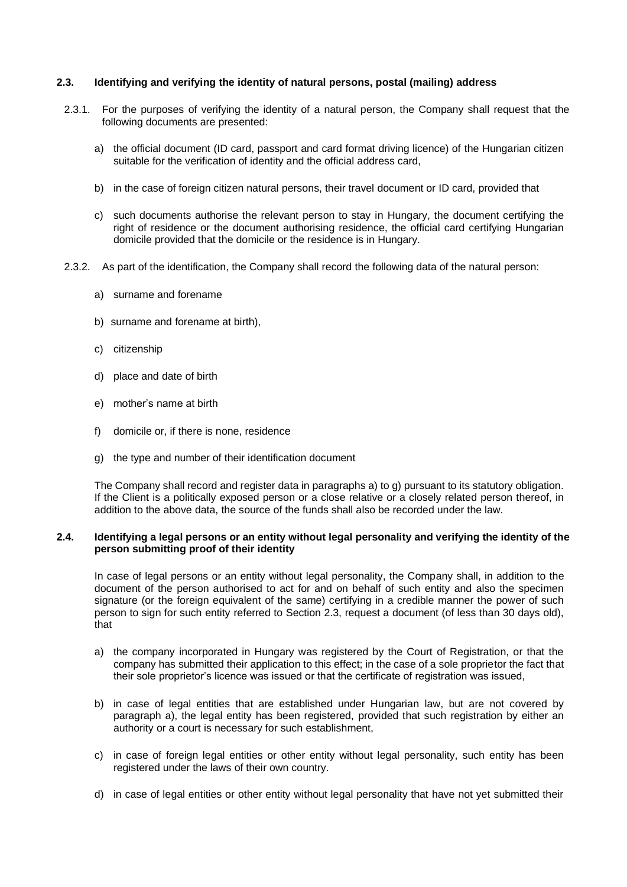### <span id="page-13-0"></span>**2.3. Identifying and verifying the identity of natural persons, postal (mailing) address**

- 2.3.1. For the purposes of verifying the identity of a natural person, the Company shall request that the following documents are presented:
	- a) the official document (ID card, passport and card format driving licence) of the Hungarian citizen suitable for the verification of identity and the official address card,
	- b) in the case of foreign citizen natural persons, their travel document or ID card, provided that
	- c) such documents authorise the relevant person to stay in Hungary, the document certifying the right of residence or the document authorising residence, the official card certifying Hungarian domicile provided that the domicile or the residence is in Hungary.
- 2.3.2. As part of the identification, the Company shall record the following data of the natural person:
	- a) surname and forename
	- b) surname and forename at birth),
	- c) citizenship
	- d) place and date of birth
	- e) mother's name at birth
	- f) domicile or, if there is none, residence
	- g) the type and number of their identification document

The Company shall record and register data in paragraphs a) to g) pursuant to its statutory obligation. If the Client is a politically exposed person or a close relative or a closely related person thereof, in addition to the above data, the source of the funds shall also be recorded under the law.

# <span id="page-13-1"></span>**2.4. Identifying a legal persons or an entity without legal personality and verifying the identity of the person submitting proof of their identity**

In case of legal persons or an entity without legal personality, the Company shall, in addition to the document of the person authorised to act for and on behalf of such entity and also the specimen signature (or the foreign equivalent of the same) certifying in a credible manner the power of such person to sign for such entity referred to Section 2.3, request a document (of less than 30 days old), that

- a) the company incorporated in Hungary was registered by the Court of Registration, or that the company has submitted their application to this effect; in the case of a sole proprietor the fact that their sole proprietor's licence was issued or that the certificate of registration was issued,
- b) in case of legal entities that are established under Hungarian law, but are not covered by paragraph a), the legal entity has been registered, provided that such registration by either an authority or a court is necessary for such establishment,
- c) in case of foreign legal entities or other entity without legal personality, such entity has been registered under the laws of their own country.
- d) in case of legal entities or other entity without legal personality that have not yet submitted their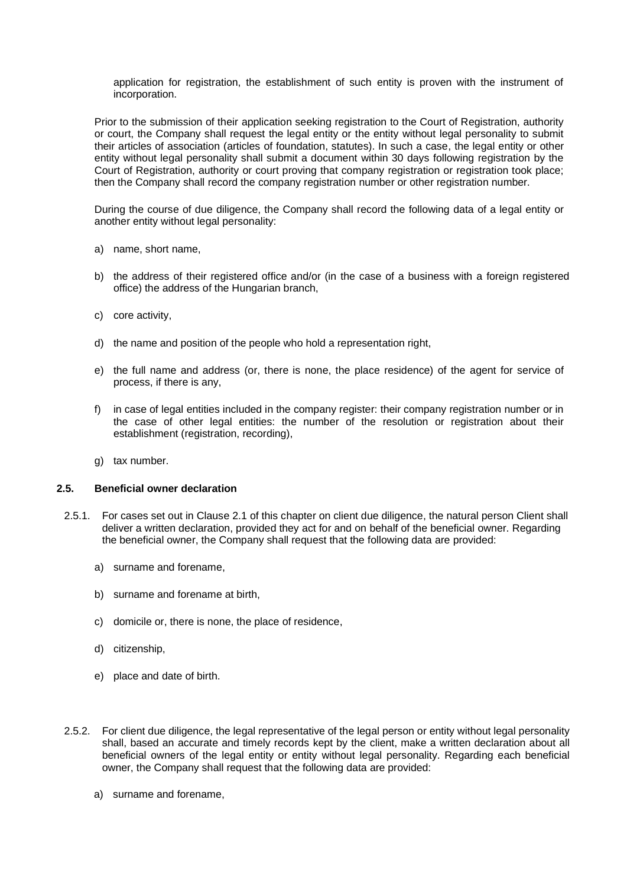application for registration, the establishment of such entity is proven with the instrument of incorporation.

Prior to the submission of their application seeking registration to the Court of Registration, authority or court, the Company shall request the legal entity or the entity without legal personality to submit their articles of association (articles of foundation, statutes). In such a case, the legal entity or other entity without legal personality shall submit a document within 30 days following registration by the Court of Registration, authority or court proving that company registration or registration took place; then the Company shall record the company registration number or other registration number.

During the course of due diligence, the Company shall record the following data of a legal entity or another entity without legal personality:

- a) name, short name,
- b) the address of their registered office and/or (in the case of a business with a foreign registered office) the address of the Hungarian branch,
- c) core activity,
- d) the name and position of the people who hold a representation right,
- e) the full name and address (or, there is none, the place residence) of the agent for service of process, if there is any,
- f) in case of legal entities included in the company register: their company registration number or in the case of other legal entities: the number of the resolution or registration about their establishment (registration, recording),
- g) tax number.

#### <span id="page-14-0"></span>**2.5. Beneficial owner declaration**

- 2.5.1. For cases set out in Clause 2.1 of this chapter on client due diligence, the natural person Client shall deliver a written declaration, provided they act for and on behalf of the beneficial owner. Regarding the beneficial owner, the Company shall request that the following data are provided:
	- a) surname and forename,
	- b) surname and forename at birth,
	- c) domicile or, there is none, the place of residence,
	- d) citizenship,
	- e) place and date of birth.
- 2.5.2. For client due diligence, the legal representative of the legal person or entity without legal personality shall, based an accurate and timely records kept by the client, make a written declaration about all beneficial owners of the legal entity or entity without legal personality. Regarding each beneficial owner, the Company shall request that the following data are provided:
	- a) surname and forename,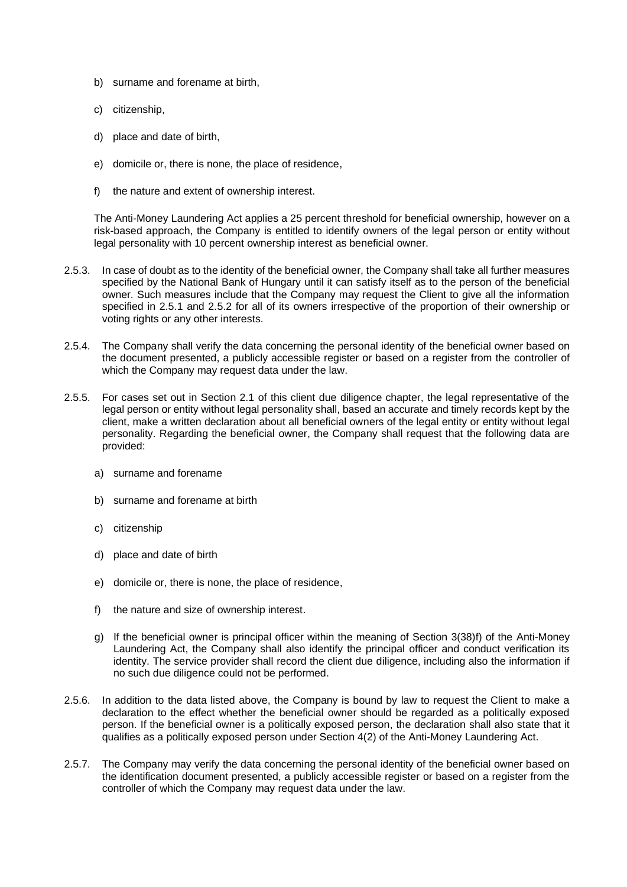- b) surname and forename at birth,
- c) citizenship,
- d) place and date of birth,
- e) domicile or, there is none, the place of residence,
- f) the nature and extent of ownership interest.

The Anti-Money Laundering Act applies a 25 percent threshold for beneficial ownership, however on a risk-based approach, the Company is entitled to identify owners of the legal person or entity without legal personality with 10 percent ownership interest as beneficial owner.

- 2.5.3. In case of doubt as to the identity of the beneficial owner, the Company shall take all further measures specified by the National Bank of Hungary until it can satisfy itself as to the person of the beneficial owner. Such measures include that the Company may request the Client to give all the information specified in 2.5.1 and 2.5.2 for all of its owners irrespective of the proportion of their ownership or voting rights or any other interests.
- 2.5.4. The Company shall verify the data concerning the personal identity of the beneficial owner based on the document presented, a publicly accessible register or based on a register from the controller of which the Company may request data under the law.
- 2.5.5. For cases set out in Section 2.1 of this client due diligence chapter, the legal representative of the legal person or entity without legal personality shall, based an accurate and timely records kept by the client, make a written declaration about all beneficial owners of the legal entity or entity without legal personality. Regarding the beneficial owner, the Company shall request that the following data are provided:
	- a) surname and forename
	- b) surname and forename at birth
	- c) citizenship
	- d) place and date of birth
	- e) domicile or, there is none, the place of residence,
	- f) the nature and size of ownership interest.
	- g) If the beneficial owner is principal officer within the meaning of Section 3(38)f) of the Anti-Money Laundering Act, the Company shall also identify the principal officer and conduct verification its identity. The service provider shall record the client due diligence, including also the information if no such due diligence could not be performed.
- 2.5.6. In addition to the data listed above, the Company is bound by law to request the Client to make a declaration to the effect whether the beneficial owner should be regarded as a politically exposed person. If the beneficial owner is a politically exposed person, the declaration shall also state that it qualifies as a politically exposed person under Section 4(2) of the Anti-Money Laundering Act.
- 2.5.7. The Company may verify the data concerning the personal identity of the beneficial owner based on the identification document presented, a publicly accessible register or based on a register from the controller of which the Company may request data under the law.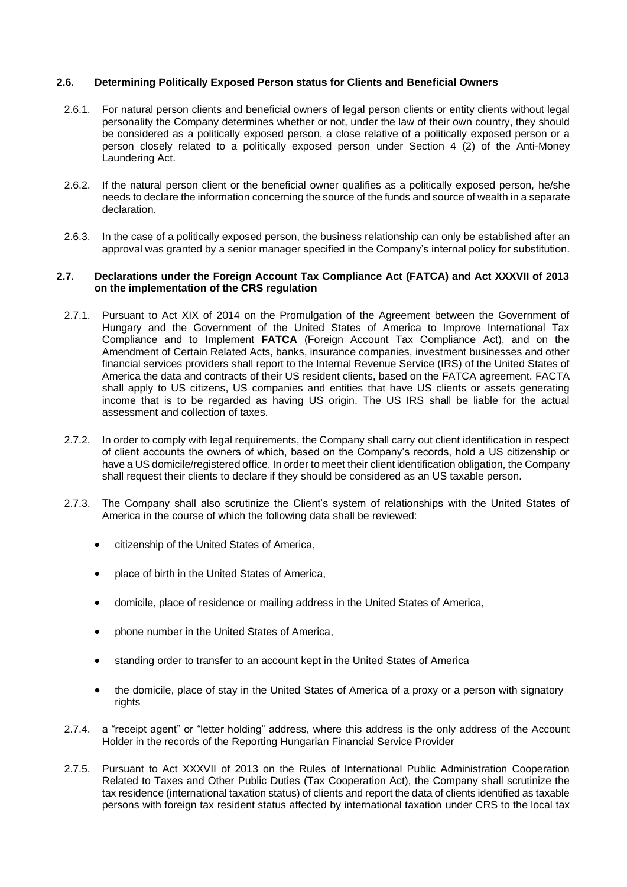## <span id="page-16-0"></span>**2.6. Determining Politically Exposed Person status for Clients and Beneficial Owners**

- 2.6.1. For natural person clients and beneficial owners of legal person clients or entity clients without legal personality the Company determines whether or not, under the law of their own country, they should be considered as a politically exposed person, a close relative of a politically exposed person or a person closely related to a politically exposed person under Section 4 (2) of the Anti-Money Laundering Act.
- 2.6.2. If the natural person client or the beneficial owner qualifies as a politically exposed person, he/she needs to declare the information concerning the source of the funds and source of wealth in a separate declaration.
- 2.6.3. In the case of a politically exposed person, the business relationship can only be established after an approval was granted by a senior manager specified in the Company's internal policy for substitution.

## <span id="page-16-1"></span>**2.7. Declarations under the Foreign Account Tax Compliance Act (FATCA) and Act XXXVII of 2013 on the implementation of the CRS regulation**

- 2.7.1. Pursuant to Act XIX of 2014 on the Promulgation of the Agreement between the Government of Hungary and the Government of the United States of America to Improve International Tax Compliance and to Implement **FATCA** (Foreign Account Tax Compliance Act), and on the Amendment of Certain Related Acts, banks, insurance companies, investment businesses and other financial services providers shall report to the Internal Revenue Service (IRS) of the United States of America the data and contracts of their US resident clients, based on the FATCA agreement. FACTA shall apply to US citizens, US companies and entities that have US clients or assets generating income that is to be regarded as having US origin. The US IRS shall be liable for the actual assessment and collection of taxes.
- 2.7.2. In order to comply with legal requirements, the Company shall carry out client identification in respect of client accounts the owners of which, based on the Company's records, hold a US citizenship or have a US domicile/registered office. In order to meet their client identification obligation, the Company shall request their clients to declare if they should be considered as an US taxable person.
- 2.7.3. The Company shall also scrutinize the Client's system of relationships with the United States of America in the course of which the following data shall be reviewed:
	- citizenship of the United States of America,
	- place of birth in the United States of America,
	- domicile, place of residence or mailing address in the United States of America,
	- phone number in the United States of America,
	- standing order to transfer to an account kept in the United States of America
	- the domicile, place of stay in the United States of America of a proxy or a person with signatory rights
- 2.7.4. a "receipt agent" or "letter holding" address, where this address is the only address of the Account Holder in the records of the Reporting Hungarian Financial Service Provider
- 2.7.5. Pursuant to Act XXXVII of 2013 on the Rules of International Public Administration Cooperation Related to Taxes and Other Public Duties (Tax Cooperation Act), the Company shall scrutinize the tax residence (international taxation status) of clients and report the data of clients identified as taxable persons with foreign tax resident status affected by international taxation under CRS to the local tax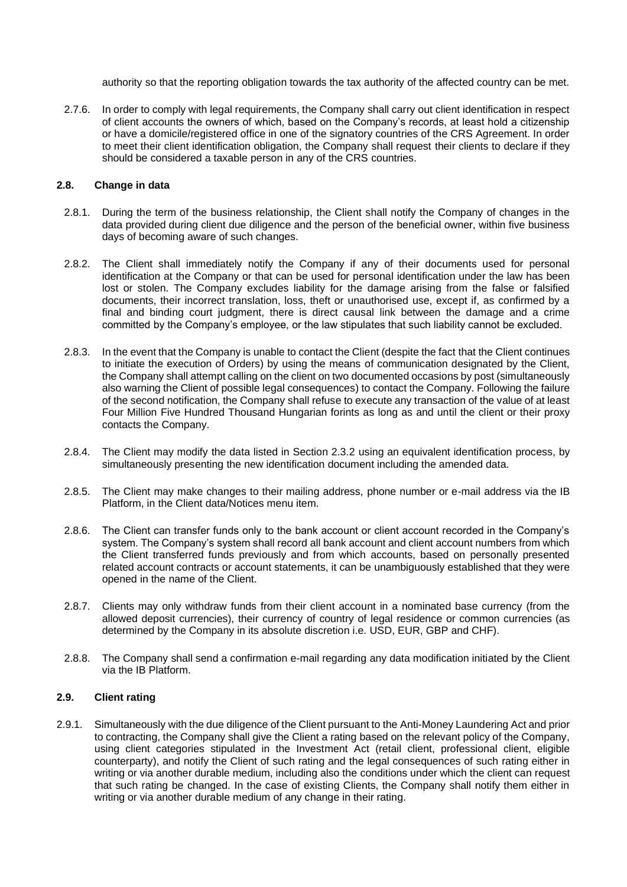authority so that the reporting obligation towards the tax authority of the affected country can be met.

2.7.6. In order to comply with legal requirements, the Company shall carry out client identification in respect of client accounts the owners of which, based on the Company's records, at least hold a citizenship or have a domicile/registered office in one of the signatory countries of the CRS Agreement. In order to meet their client identification obligation, the Company shall request their clients to declare if they should be considered a taxable person in any of the CRS countries.

## <span id="page-17-0"></span>**2.8. Change in data**

- 2.8.1. During the term of the business relationship, the Client shall notify the Company of changes in the data provided during client due diligence and the person of the beneficial owner, within five business days of becoming aware of such changes.
- 2.8.2. The Client shall immediately notify the Company if any of their documents used for personal identification at the Company or that can be used for personal identification under the law has been lost or stolen. The Company excludes liability for the damage arising from the false or falsified documents, their incorrect translation, loss, theft or unauthorised use, except if, as confirmed by a final and binding court judgment, there is direct causal link between the damage and a crime committed by the Company's employee, or the law stipulates that such liability cannot be excluded.
- 2.8.3. In the event that the Company is unable to contact the Client (despite the fact that the Client continues to initiate the execution of Orders) by using the means of communication designated by the Client, the Company shall attempt calling on the client on two documented occasions by post (simultaneously also warning the Client of possible legal consequences) to contact the Company. Following the failure of the second notification, the Company shall refuse to execute any transaction of the value of at least Four Million Five Hundred Thousand Hungarian forints as long as and until the client or their proxy contacts the Company.
- 2.8.4. The Client may modify the data listed in Section 2.3.2 using an equivalent identification process, by simultaneously presenting the new identification document including the amended data.
- 2.8.5. The Client may make changes to their mailing address, phone number or e-mail address via the IB Platform, in the Client data/Notices menu item.
- 2.8.6. The Client can transfer funds only to the bank account or client account recorded in the Company's system. The Company's system shall record all bank account and client account numbers from which the Client transferred funds previously and from which accounts, based on personally presented related account contracts or account statements, it can be unambiguously established that they were opened in the name of the Client.
- 2.8.7. Clients may only withdraw funds from their client account in a nominated base currency (from the allowed deposit currencies), their currency of country of legal residence or common currencies (as determined by the Company in its absolute discretion i.e. USD, EUR, GBP and CHF).
- 2.8.8. The Company shall send a confirmation e-mail regarding any data modification initiated by the Client via the IB Platform.

#### <span id="page-17-1"></span>**2.9. Client rating**

2.9.1. Simultaneously with the due diligence of the Client pursuant to the Anti-Money Laundering Act and prior to contracting, the Company shall give the Client a rating based on the relevant policy of the Company, using client categories stipulated in the Investment Act (retail client, professional client, eligible counterparty), and notify the Client of such rating and the legal consequences of such rating either in writing or via another durable medium, including also the conditions under which the client can request that such rating be changed. In the case of existing Clients, the Company shall notify them either in writing or via another durable medium of any change in their rating.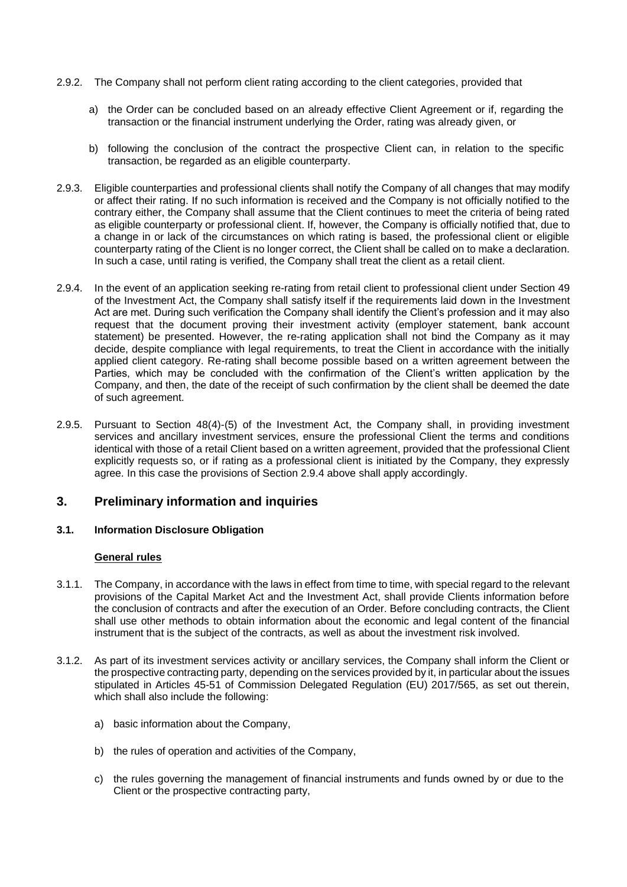- 2.9.2. The Company shall not perform client rating according to the client categories, provided that
	- a) the Order can be concluded based on an already effective Client Agreement or if, regarding the transaction or the financial instrument underlying the Order, rating was already given, or
	- b) following the conclusion of the contract the prospective Client can, in relation to the specific transaction, be regarded as an eligible counterparty.
- 2.9.3. Eligible counterparties and professional clients shall notify the Company of all changes that may modify or affect their rating. If no such information is received and the Company is not officially notified to the contrary either, the Company shall assume that the Client continues to meet the criteria of being rated as eligible counterparty or professional client. If, however, the Company is officially notified that, due to a change in or lack of the circumstances on which rating is based, the professional client or eligible counterparty rating of the Client is no longer correct, the Client shall be called on to make a declaration. In such a case, until rating is verified, the Company shall treat the client as a retail client.
- 2.9.4. In the event of an application seeking re-rating from retail client to professional client under Section 49 of the Investment Act, the Company shall satisfy itself if the requirements laid down in the Investment Act are met. During such verification the Company shall identify the Client's profession and it may also request that the document proving their investment activity (employer statement, bank account statement) be presented. However, the re-rating application shall not bind the Company as it may decide, despite compliance with legal requirements, to treat the Client in accordance with the initially applied client category. Re-rating shall become possible based on a written agreement between the Parties, which may be concluded with the confirmation of the Client's written application by the Company, and then, the date of the receipt of such confirmation by the client shall be deemed the date of such agreement.
- 2.9.5. Pursuant to Section 48(4)-(5) of the Investment Act, the Company shall, in providing investment services and ancillary investment services, ensure the professional Client the terms and conditions identical with those of a retail Client based on a written agreement, provided that the professional Client explicitly requests so, or if rating as a professional client is initiated by the Company, they expressly agree. In this case the provisions of Section 2.9.4 above shall apply accordingly.

# <span id="page-18-0"></span>**3. Preliminary information and inquiries**

# <span id="page-18-1"></span>**3.1. Information Disclosure Obligation**

# **General rules**

- 3.1.1. The Company, in accordance with the laws in effect from time to time, with special regard to the relevant provisions of the Capital Market Act and the Investment Act, shall provide Clients information before the conclusion of contracts and after the execution of an Order. Before concluding contracts, the Client shall use other methods to obtain information about the economic and legal content of the financial instrument that is the subject of the contracts, as well as about the investment risk involved.
- 3.1.2. As part of its investment services activity or ancillary services, the Company shall inform the Client or the prospective contracting party, depending on the services provided by it, in particular about the issues stipulated in Articles 45-51 of Commission Delegated Regulation (EU) 2017/565, as set out therein, which shall also include the following:
	- a) basic information about the Company,
	- b) the rules of operation and activities of the Company,
	- c) the rules governing the management of financial instruments and funds owned by or due to the Client or the prospective contracting party,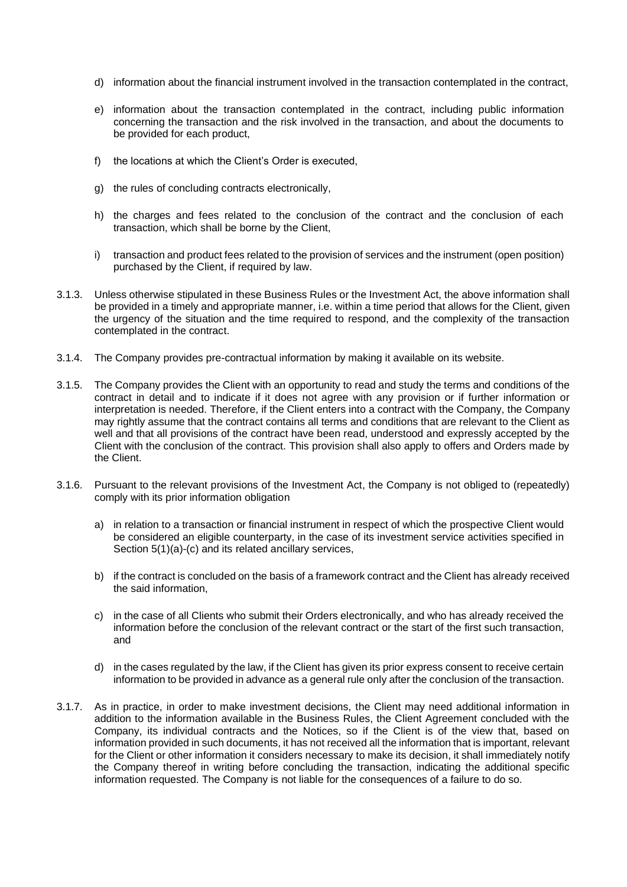- d) information about the financial instrument involved in the transaction contemplated in the contract,
- e) information about the transaction contemplated in the contract, including public information concerning the transaction and the risk involved in the transaction, and about the documents to be provided for each product,
- f) the locations at which the Client's Order is executed,
- g) the rules of concluding contracts electronically,
- h) the charges and fees related to the conclusion of the contract and the conclusion of each transaction, which shall be borne by the Client,
- i) transaction and product fees related to the provision of services and the instrument (open position) purchased by the Client, if required by law.
- 3.1.3. Unless otherwise stipulated in these Business Rules or the Investment Act, the above information shall be provided in a timely and appropriate manner, i.e. within a time period that allows for the Client, given the urgency of the situation and the time required to respond, and the complexity of the transaction contemplated in the contract.
- 3.1.4. The Company provides pre-contractual information by making it available on its website.
- 3.1.5. The Company provides the Client with an opportunity to read and study the terms and conditions of the contract in detail and to indicate if it does not agree with any provision or if further information or interpretation is needed. Therefore, if the Client enters into a contract with the Company, the Company may rightly assume that the contract contains all terms and conditions that are relevant to the Client as well and that all provisions of the contract have been read, understood and expressly accepted by the Client with the conclusion of the contract. This provision shall also apply to offers and Orders made by the Client.
- 3.1.6. Pursuant to the relevant provisions of the Investment Act, the Company is not obliged to (repeatedly) comply with its prior information obligation
	- a) in relation to a transaction or financial instrument in respect of which the prospective Client would be considered an eligible counterparty, in the case of its investment service activities specified in Section 5(1)(a)-(c) and its related ancillary services,
	- b) if the contract is concluded on the basis of a framework contract and the Client has already received the said information,
	- c) in the case of all Clients who submit their Orders electronically, and who has already received the information before the conclusion of the relevant contract or the start of the first such transaction, and
	- d) in the cases regulated by the law, if the Client has given its prior express consent to receive certain information to be provided in advance as a general rule only after the conclusion of the transaction.
- 3.1.7. As in practice, in order to make investment decisions, the Client may need additional information in addition to the information available in the Business Rules, the Client Agreement concluded with the Company, its individual contracts and the Notices, so if the Client is of the view that, based on information provided in such documents, it has not received all the information that is important, relevant for the Client or other information it considers necessary to make its decision, it shall immediately notify the Company thereof in writing before concluding the transaction, indicating the additional specific information requested. The Company is not liable for the consequences of a failure to do so.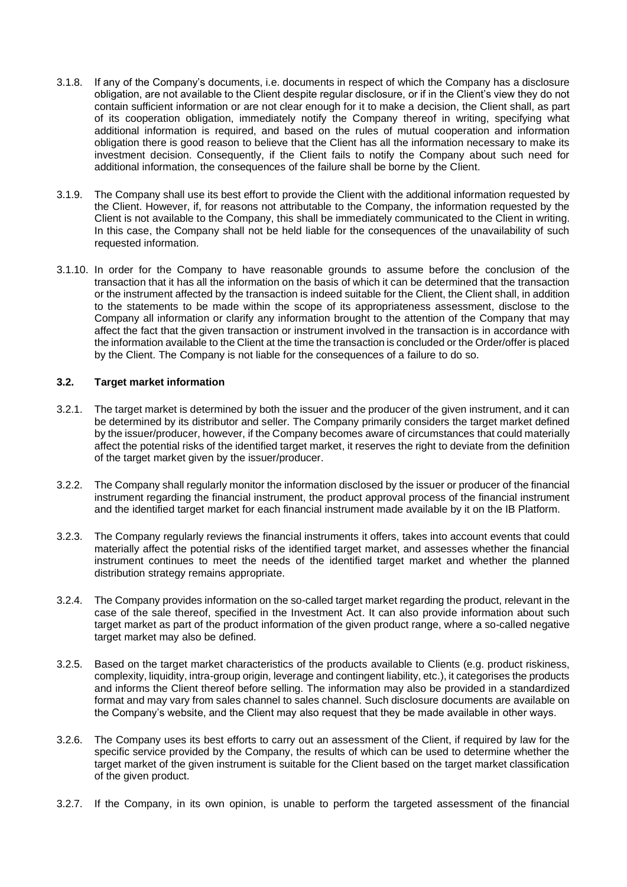- 3.1.8. If any of the Company's documents, i.e. documents in respect of which the Company has a disclosure obligation, are not available to the Client despite regular disclosure, or if in the Client's view they do not contain sufficient information or are not clear enough for it to make a decision, the Client shall, as part of its cooperation obligation, immediately notify the Company thereof in writing, specifying what additional information is required, and based on the rules of mutual cooperation and information obligation there is good reason to believe that the Client has all the information necessary to make its investment decision. Consequently, if the Client fails to notify the Company about such need for additional information, the consequences of the failure shall be borne by the Client.
- 3.1.9. The Company shall use its best effort to provide the Client with the additional information requested by the Client. However, if, for reasons not attributable to the Company, the information requested by the Client is not available to the Company, this shall be immediately communicated to the Client in writing. In this case, the Company shall not be held liable for the consequences of the unavailability of such requested information.
- 3.1.10. In order for the Company to have reasonable grounds to assume before the conclusion of the transaction that it has all the information on the basis of which it can be determined that the transaction or the instrument affected by the transaction is indeed suitable for the Client, the Client shall, in addition to the statements to be made within the scope of its appropriateness assessment, disclose to the Company all information or clarify any information brought to the attention of the Company that may affect the fact that the given transaction or instrument involved in the transaction is in accordance with the information available to the Client at the time the transaction is concluded or the Order/offer is placed by the Client. The Company is not liable for the consequences of a failure to do so.

## <span id="page-20-0"></span>**3.2. Target market information**

- 3.2.1. The target market is determined by both the issuer and the producer of the given instrument, and it can be determined by its distributor and seller. The Company primarily considers the target market defined by the issuer/producer, however, if the Company becomes aware of circumstances that could materially affect the potential risks of the identified target market, it reserves the right to deviate from the definition of the target market given by the issuer/producer.
- 3.2.2. The Company shall regularly monitor the information disclosed by the issuer or producer of the financial instrument regarding the financial instrument, the product approval process of the financial instrument and the identified target market for each financial instrument made available by it on the IB Platform.
- 3.2.3. The Company regularly reviews the financial instruments it offers, takes into account events that could materially affect the potential risks of the identified target market, and assesses whether the financial instrument continues to meet the needs of the identified target market and whether the planned distribution strategy remains appropriate.
- 3.2.4. The Company provides information on the so-called target market regarding the product, relevant in the case of the sale thereof, specified in the Investment Act. It can also provide information about such target market as part of the product information of the given product range, where a so-called negative target market may also be defined.
- 3.2.5. Based on the target market characteristics of the products available to Clients (e.g. product riskiness, complexity, liquidity, intra-group origin, leverage and contingent liability, etc.), it categorises the products and informs the Client thereof before selling. The information may also be provided in a standardized format and may vary from sales channel to sales channel. Such disclosure documents are available on the Company's website, and the Client may also request that they be made available in other ways.
- 3.2.6. The Company uses its best efforts to carry out an assessment of the Client, if required by law for the specific service provided by the Company, the results of which can be used to determine whether the target market of the given instrument is suitable for the Client based on the target market classification of the given product.
- 3.2.7. If the Company, in its own opinion, is unable to perform the targeted assessment of the financial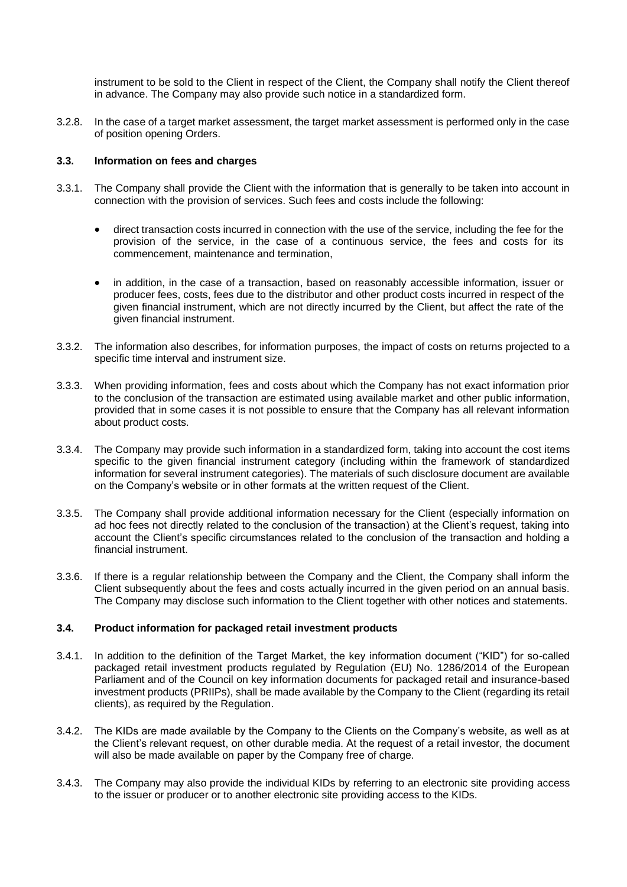instrument to be sold to the Client in respect of the Client, the Company shall notify the Client thereof in advance. The Company may also provide such notice in a standardized form.

3.2.8. In the case of a target market assessment, the target market assessment is performed only in the case of position opening Orders.

## <span id="page-21-0"></span>**3.3. Information on fees and charges**

- 3.3.1. The Company shall provide the Client with the information that is generally to be taken into account in connection with the provision of services. Such fees and costs include the following:
	- direct transaction costs incurred in connection with the use of the service, including the fee for the provision of the service, in the case of a continuous service, the fees and costs for its commencement, maintenance and termination,
	- in addition, in the case of a transaction, based on reasonably accessible information, issuer or producer fees, costs, fees due to the distributor and other product costs incurred in respect of the given financial instrument, which are not directly incurred by the Client, but affect the rate of the given financial instrument.
- 3.3.2. The information also describes, for information purposes, the impact of costs on returns projected to a specific time interval and instrument size.
- 3.3.3. When providing information, fees and costs about which the Company has not exact information prior to the conclusion of the transaction are estimated using available market and other public information, provided that in some cases it is not possible to ensure that the Company has all relevant information about product costs.
- 3.3.4. The Company may provide such information in a standardized form, taking into account the cost items specific to the given financial instrument category (including within the framework of standardized information for several instrument categories). The materials of such disclosure document are available on the Company's website or in other formats at the written request of the Client.
- 3.3.5. The Company shall provide additional information necessary for the Client (especially information on ad hoc fees not directly related to the conclusion of the transaction) at the Client's request, taking into account the Client's specific circumstances related to the conclusion of the transaction and holding a financial instrument.
- 3.3.6. If there is a regular relationship between the Company and the Client, the Company shall inform the Client subsequently about the fees and costs actually incurred in the given period on an annual basis. The Company may disclose such information to the Client together with other notices and statements.

### <span id="page-21-1"></span>**3.4. Product information for packaged retail investment products**

- 3.4.1. In addition to the definition of the Target Market, the key information document ("KID") for so-called packaged retail investment products regulated by Regulation (EU) No. 1286/2014 of the European Parliament and of the Council on key information documents for packaged retail and insurance-based investment products (PRIIPs), shall be made available by the Company to the Client (regarding its retail clients), as required by the Regulation.
- 3.4.2. The KIDs are made available by the Company to the Clients on the Company's website, as well as at the Client's relevant request, on other durable media. At the request of a retail investor, the document will also be made available on paper by the Company free of charge.
- 3.4.3. The Company may also provide the individual KIDs by referring to an electronic site providing access to the issuer or producer or to another electronic site providing access to the KIDs.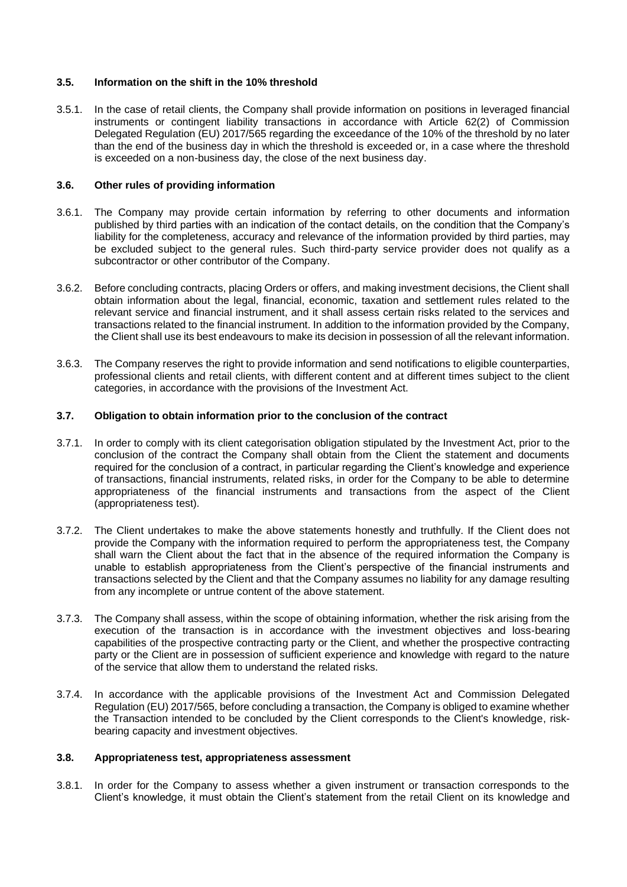## <span id="page-22-0"></span>**3.5. Information on the shift in the 10% threshold**

3.5.1. In the case of retail clients, the Company shall provide information on positions in leveraged financial instruments or contingent liability transactions in accordance with Article 62(2) of Commission Delegated Regulation (EU) 2017/565 regarding the exceedance of the 10% of the threshold by no later than the end of the business day in which the threshold is exceeded or, in a case where the threshold is exceeded on a non-business day, the close of the next business day.

#### <span id="page-22-1"></span>**3.6. Other rules of providing information**

- 3.6.1. The Company may provide certain information by referring to other documents and information published by third parties with an indication of the contact details, on the condition that the Company's liability for the completeness, accuracy and relevance of the information provided by third parties, may be excluded subject to the general rules. Such third-party service provider does not qualify as a subcontractor or other contributor of the Company.
- 3.6.2. Before concluding contracts, placing Orders or offers, and making investment decisions, the Client shall obtain information about the legal, financial, economic, taxation and settlement rules related to the relevant service and financial instrument, and it shall assess certain risks related to the services and transactions related to the financial instrument. In addition to the information provided by the Company, the Client shall use its best endeavours to make its decision in possession of all the relevant information.
- 3.6.3. The Company reserves the right to provide information and send notifications to eligible counterparties, professional clients and retail clients, with different content and at different times subject to the client categories, in accordance with the provisions of the Investment Act.

#### <span id="page-22-2"></span>**3.7. Obligation to obtain information prior to the conclusion of the contract**

- 3.7.1. In order to comply with its client categorisation obligation stipulated by the Investment Act, prior to the conclusion of the contract the Company shall obtain from the Client the statement and documents required for the conclusion of a contract, in particular regarding the Client's knowledge and experience of transactions, financial instruments, related risks, in order for the Company to be able to determine appropriateness of the financial instruments and transactions from the aspect of the Client (appropriateness test).
- 3.7.2. The Client undertakes to make the above statements honestly and truthfully. If the Client does not provide the Company with the information required to perform the appropriateness test, the Company shall warn the Client about the fact that in the absence of the required information the Company is unable to establish appropriateness from the Client's perspective of the financial instruments and transactions selected by the Client and that the Company assumes no liability for any damage resulting from any incomplete or untrue content of the above statement.
- 3.7.3. The Company shall assess, within the scope of obtaining information, whether the risk arising from the execution of the transaction is in accordance with the investment objectives and loss-bearing capabilities of the prospective contracting party or the Client, and whether the prospective contracting party or the Client are in possession of sufficient experience and knowledge with regard to the nature of the service that allow them to understand the related risks.
- 3.7.4. In accordance with the applicable provisions of the Investment Act and Commission Delegated Regulation (EU) 2017/565, before concluding a transaction, the Company is obliged to examine whether the Transaction intended to be concluded by the Client corresponds to the Client's knowledge, riskbearing capacity and investment objectives.

# <span id="page-22-3"></span>**3.8. Appropriateness test, appropriateness assessment**

3.8.1. In order for the Company to assess whether a given instrument or transaction corresponds to the Client's knowledge, it must obtain the Client's statement from the retail Client on its knowledge and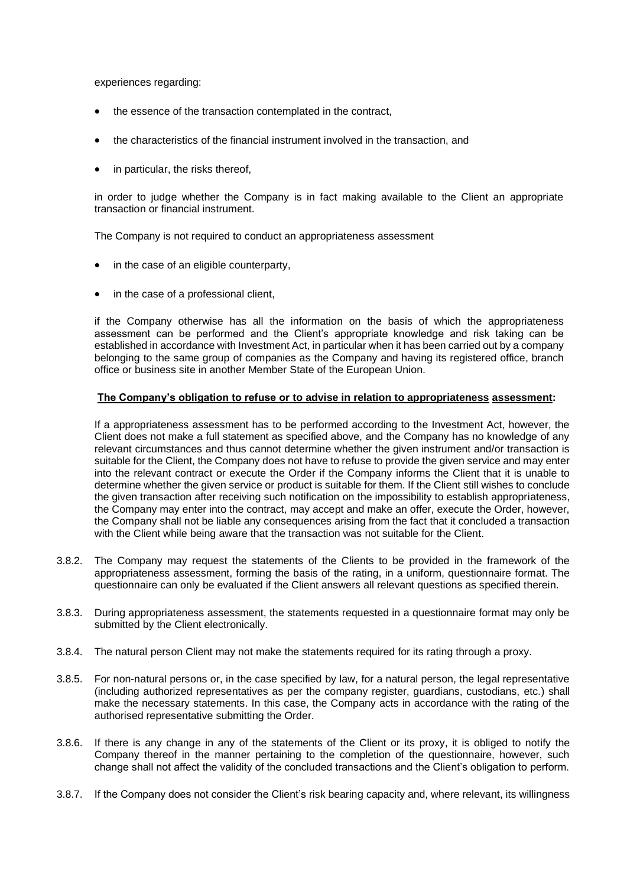experiences regarding:

- the essence of the transaction contemplated in the contract,
- the characteristics of the financial instrument involved in the transaction, and
- in particular, the risks thereof,

in order to judge whether the Company is in fact making available to the Client an appropriate transaction or financial instrument.

The Company is not required to conduct an appropriateness assessment

- in the case of an eligible counterparty,
- in the case of a professional client,

if the Company otherwise has all the information on the basis of which the appropriateness assessment can be performed and the Client's appropriate knowledge and risk taking can be established in accordance with Investment Act, in particular when it has been carried out by a company belonging to the same group of companies as the Company and having its registered office, branch office or business site in another Member State of the European Union.

## **The Company's obligation to refuse or to advise in relation to appropriateness assessment:**

If a appropriateness assessment has to be performed according to the Investment Act, however, the Client does not make a full statement as specified above, and the Company has no knowledge of any relevant circumstances and thus cannot determine whether the given instrument and/or transaction is suitable for the Client, the Company does not have to refuse to provide the given service and may enter into the relevant contract or execute the Order if the Company informs the Client that it is unable to determine whether the given service or product is suitable for them. If the Client still wishes to conclude the given transaction after receiving such notification on the impossibility to establish appropriateness, the Company may enter into the contract, may accept and make an offer, execute the Order, however, the Company shall not be liable any consequences arising from the fact that it concluded a transaction with the Client while being aware that the transaction was not suitable for the Client.

- 3.8.2. The Company may request the statements of the Clients to be provided in the framework of the appropriateness assessment, forming the basis of the rating, in a uniform, questionnaire format. The questionnaire can only be evaluated if the Client answers all relevant questions as specified therein.
- 3.8.3. During appropriateness assessment, the statements requested in a questionnaire format may only be submitted by the Client electronically.
- 3.8.4. The natural person Client may not make the statements required for its rating through a proxy.
- 3.8.5. For non-natural persons or, in the case specified by law, for a natural person, the legal representative (including authorized representatives as per the company register, guardians, custodians, etc.) shall make the necessary statements. In this case, the Company acts in accordance with the rating of the authorised representative submitting the Order.
- 3.8.6. If there is any change in any of the statements of the Client or its proxy, it is obliged to notify the Company thereof in the manner pertaining to the completion of the questionnaire, however, such change shall not affect the validity of the concluded transactions and the Client's obligation to perform.
- 3.8.7. If the Company does not consider the Client's risk bearing capacity and, where relevant, its willingness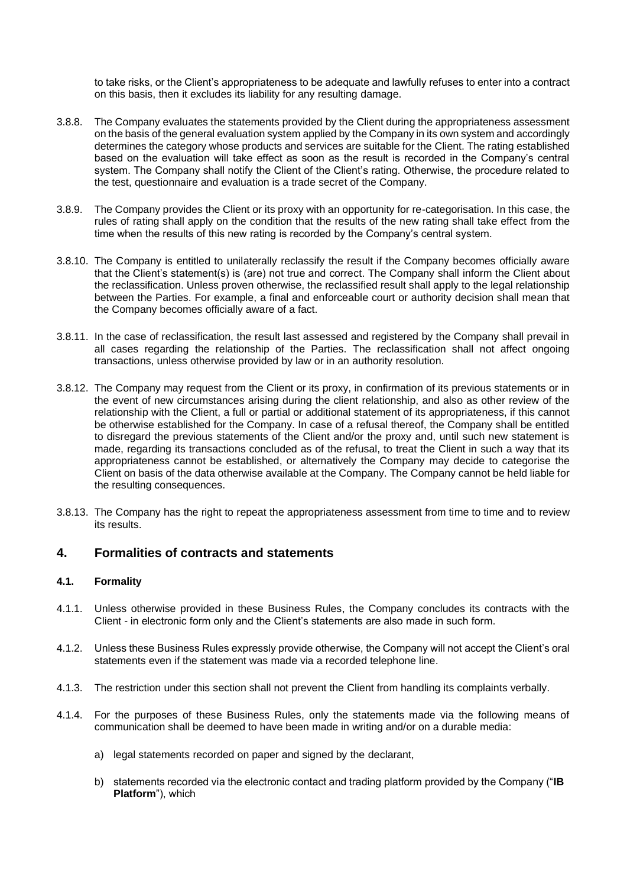to take risks, or the Client's appropriateness to be adequate and lawfully refuses to enter into a contract on this basis, then it excludes its liability for any resulting damage.

- 3.8.8. The Company evaluates the statements provided by the Client during the appropriateness assessment on the basis of the general evaluation system applied by the Company in its own system and accordingly determines the category whose products and services are suitable for the Client. The rating established based on the evaluation will take effect as soon as the result is recorded in the Company's central system. The Company shall notify the Client of the Client's rating. Otherwise, the procedure related to the test, questionnaire and evaluation is a trade secret of the Company.
- 3.8.9. The Company provides the Client or its proxy with an opportunity for re-categorisation. In this case, the rules of rating shall apply on the condition that the results of the new rating shall take effect from the time when the results of this new rating is recorded by the Company's central system.
- 3.8.10. The Company is entitled to unilaterally reclassify the result if the Company becomes officially aware that the Client's statement(s) is (are) not true and correct. The Company shall inform the Client about the reclassification. Unless proven otherwise, the reclassified result shall apply to the legal relationship between the Parties. For example, a final and enforceable court or authority decision shall mean that the Company becomes officially aware of a fact.
- 3.8.11. In the case of reclassification, the result last assessed and registered by the Company shall prevail in all cases regarding the relationship of the Parties. The reclassification shall not affect ongoing transactions, unless otherwise provided by law or in an authority resolution.
- 3.8.12. The Company may request from the Client or its proxy, in confirmation of its previous statements or in the event of new circumstances arising during the client relationship, and also as other review of the relationship with the Client, a full or partial or additional statement of its appropriateness, if this cannot be otherwise established for the Company. In case of a refusal thereof, the Company shall be entitled to disregard the previous statements of the Client and/or the proxy and, until such new statement is made, regarding its transactions concluded as of the refusal, to treat the Client in such a way that its appropriateness cannot be established, or alternatively the Company may decide to categorise the Client on basis of the data otherwise available at the Company. The Company cannot be held liable for the resulting consequences.
- 3.8.13. The Company has the right to repeat the appropriateness assessment from time to time and to review its results.

# <span id="page-24-0"></span>**4. Formalities of contracts and statements**

# <span id="page-24-1"></span>**4.1. Formality**

- 4.1.1. Unless otherwise provided in these Business Rules, the Company concludes its contracts with the Client - in electronic form only and the Client's statements are also made in such form.
- 4.1.2. Unless these Business Rules expressly provide otherwise, the Company will not accept the Client's oral statements even if the statement was made via a recorded telephone line.
- 4.1.3. The restriction under this section shall not prevent the Client from handling its complaints verbally.
- 4.1.4. For the purposes of these Business Rules, only the statements made via the following means of communication shall be deemed to have been made in writing and/or on a durable media:
	- a) legal statements recorded on paper and signed by the declarant,
	- b) statements recorded via the electronic contact and trading platform provided by the Company ("**IB Platform**"), which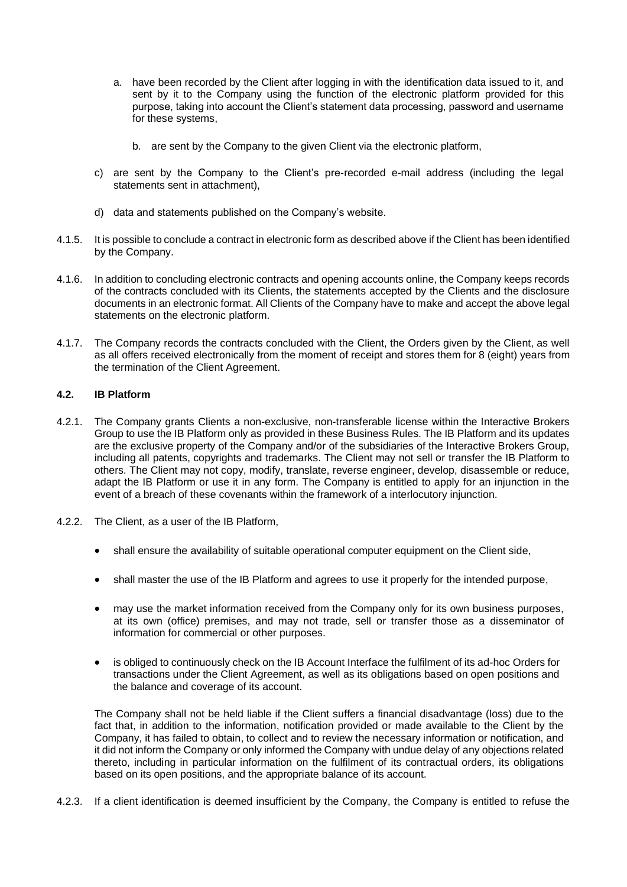- a. have been recorded by the Client after logging in with the identification data issued to it, and sent by it to the Company using the function of the electronic platform provided for this purpose, taking into account the Client's statement data processing, password and username for these systems,
	- b. are sent by the Company to the given Client via the electronic platform,
- c) are sent by the Company to the Client's pre-recorded e-mail address (including the legal statements sent in attachment),
- d) data and statements published on the Company's website.
- 4.1.5. It is possible to conclude a contract in electronic form as described above if the Client has been identified by the Company.
- 4.1.6. In addition to concluding electronic contracts and opening accounts online, the Company keeps records of the contracts concluded with its Clients, the statements accepted by the Clients and the disclosure documents in an electronic format. All Clients of the Company have to make and accept the above legal statements on the electronic platform.
- 4.1.7. The Company records the contracts concluded with the Client, the Orders given by the Client, as well as all offers received electronically from the moment of receipt and stores them for 8 (eight) years from the termination of the Client Agreement.

## <span id="page-25-0"></span>**4.2. IB Platform**

- 4.2.1. The Company grants Clients a non-exclusive, non-transferable license within the Interactive Brokers Group to use the IB Platform only as provided in these Business Rules. The IB Platform and its updates are the exclusive property of the Company and/or of the subsidiaries of the Interactive Brokers Group, including all patents, copyrights and trademarks. The Client may not sell or transfer the IB Platform to others. The Client may not copy, modify, translate, reverse engineer, develop, disassemble or reduce, adapt the IB Platform or use it in any form. The Company is entitled to apply for an injunction in the event of a breach of these covenants within the framework of a interlocutory injunction.
- 4.2.2. The Client, as a user of the IB Platform,
	- shall ensure the availability of suitable operational computer equipment on the Client side,
	- shall master the use of the IB Platform and agrees to use it properly for the intended purpose,
	- may use the market information received from the Company only for its own business purposes, at its own (office) premises, and may not trade, sell or transfer those as a disseminator of information for commercial or other purposes.
	- is obliged to continuously check on the IB Account Interface the fulfilment of its ad-hoc Orders for transactions under the Client Agreement, as well as its obligations based on open positions and the balance and coverage of its account.

The Company shall not be held liable if the Client suffers a financial disadvantage (loss) due to the fact that, in addition to the information, notification provided or made available to the Client by the Company, it has failed to obtain, to collect and to review the necessary information or notification, and it did not inform the Company or only informed the Company with undue delay of any objections related thereto, including in particular information on the fulfilment of its contractual orders, its obligations based on its open positions, and the appropriate balance of its account.

4.2.3. If a client identification is deemed insufficient by the Company, the Company is entitled to refuse the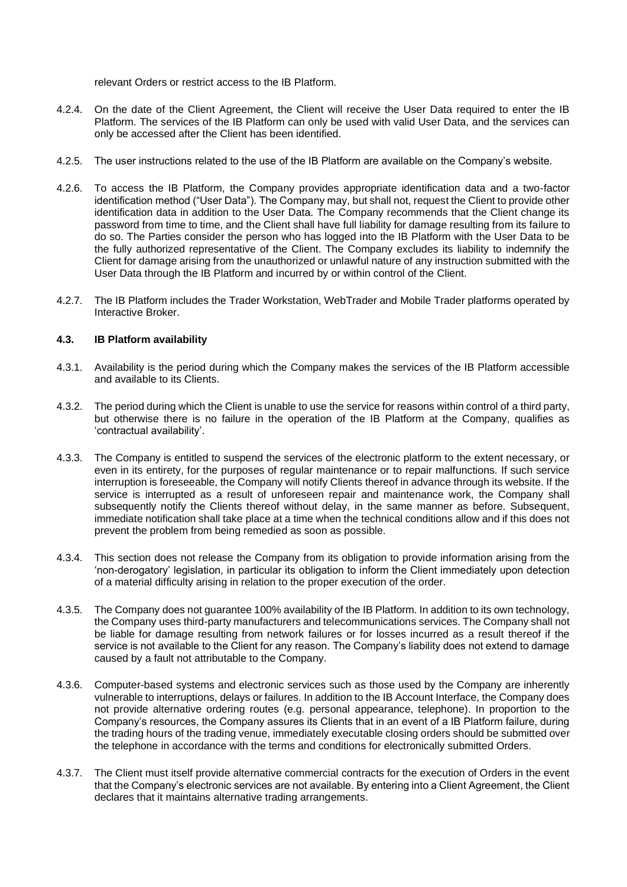relevant Orders or restrict access to the IB Platform.

- 4.2.4. On the date of the Client Agreement, the Client will receive the User Data required to enter the IB Platform. The services of the IB Platform can only be used with valid User Data, and the services can only be accessed after the Client has been identified.
- 4.2.5. The user instructions related to the use of the IB Platform are available on the Company's website.
- 4.2.6. To access the IB Platform, the Company provides appropriate identification data and a two-factor identification method ("User Data"). The Company may, but shall not, request the Client to provide other identification data in addition to the User Data. The Company recommends that the Client change its password from time to time, and the Client shall have full liability for damage resulting from its failure to do so. The Parties consider the person who has logged into the IB Platform with the User Data to be the fully authorized representative of the Client. The Company excludes its liability to indemnify the Client for damage arising from the unauthorized or unlawful nature of any instruction submitted with the User Data through the IB Platform and incurred by or within control of the Client.
- 4.2.7. The IB Platform includes the Trader Workstation, WebTrader and Mobile Trader platforms operated by Interactive Broker.

# <span id="page-26-0"></span>**4.3. IB Platform availability**

- 4.3.1. Availability is the period during which the Company makes the services of the IB Platform accessible and available to its Clients.
- 4.3.2. The period during which the Client is unable to use the service for reasons within control of a third party, but otherwise there is no failure in the operation of the IB Platform at the Company, qualifies as 'contractual availability'.
- 4.3.3. The Company is entitled to suspend the services of the electronic platform to the extent necessary, or even in its entirety, for the purposes of regular maintenance or to repair malfunctions. If such service interruption is foreseeable, the Company will notify Clients thereof in advance through its website. If the service is interrupted as a result of unforeseen repair and maintenance work, the Company shall subsequently notify the Clients thereof without delay, in the same manner as before. Subsequent, immediate notification shall take place at a time when the technical conditions allow and if this does not prevent the problem from being remedied as soon as possible.
- 4.3.4. This section does not release the Company from its obligation to provide information arising from the 'non-derogatory' legislation, in particular its obligation to inform the Client immediately upon detection of a material difficulty arising in relation to the proper execution of the order.
- 4.3.5. The Company does not guarantee 100% availability of the IB Platform. In addition to its own technology, the Company uses third-party manufacturers and telecommunications services. The Company shall not be liable for damage resulting from network failures or for losses incurred as a result thereof if the service is not available to the Client for any reason. The Company's liability does not extend to damage caused by a fault not attributable to the Company.
- 4.3.6. Computer-based systems and electronic services such as those used by the Company are inherently vulnerable to interruptions, delays or failures. In addition to the IB Account Interface, the Company does not provide alternative ordering routes (e.g. personal appearance, telephone). In proportion to the Company's resources, the Company assures its Clients that in an event of a IB Platform failure, during the trading hours of the trading venue, immediately executable closing orders should be submitted over the telephone in accordance with the terms and conditions for electronically submitted Orders.
- 4.3.7. The Client must itself provide alternative commercial contracts for the execution of Orders in the event that the Company's electronic services are not available. By entering into a Client Agreement, the Client declares that it maintains alternative trading arrangements.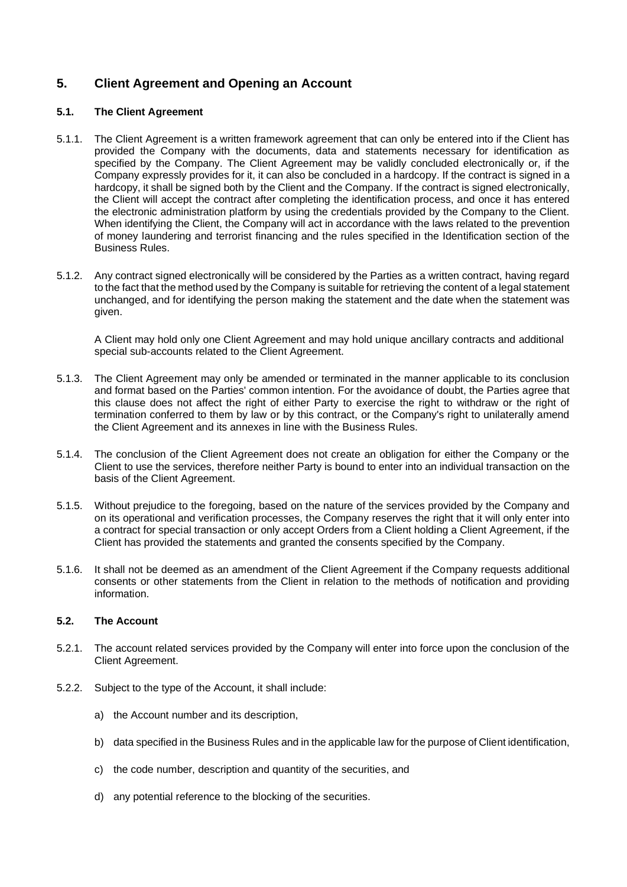# <span id="page-27-0"></span>**5. Client Agreement and Opening an Account**

# <span id="page-27-1"></span>**5.1. The Client Agreement**

- 5.1.1. The Client Agreement is a written framework agreement that can only be entered into if the Client has provided the Company with the documents, data and statements necessary for identification as specified by the Company. The Client Agreement may be validly concluded electronically or, if the Company expressly provides for it, it can also be concluded in a hardcopy. If the contract is signed in a hardcopy, it shall be signed both by the Client and the Company. If the contract is signed electronically, the Client will accept the contract after completing the identification process, and once it has entered the electronic administration platform by using the credentials provided by the Company to the Client. When identifying the Client, the Company will act in accordance with the laws related to the prevention of money laundering and terrorist financing and the rules specified in the Identification section of the Business Rules.
- 5.1.2. Any contract signed electronically will be considered by the Parties as a written contract, having regard to the fact that the method used by the Company is suitable for retrieving the content of a legal statement unchanged, and for identifying the person making the statement and the date when the statement was given.

A Client may hold only one Client Agreement and may hold unique ancillary contracts and additional special sub-accounts related to the Client Agreement.

- 5.1.3. The Client Agreement may only be amended or terminated in the manner applicable to its conclusion and format based on the Parties' common intention. For the avoidance of doubt, the Parties agree that this clause does not affect the right of either Party to exercise the right to withdraw or the right of termination conferred to them by law or by this contract, or the Company's right to unilaterally amend the Client Agreement and its annexes in line with the Business Rules.
- 5.1.4. The conclusion of the Client Agreement does not create an obligation for either the Company or the Client to use the services, therefore neither Party is bound to enter into an individual transaction on the basis of the Client Agreement.
- 5.1.5. Without prejudice to the foregoing, based on the nature of the services provided by the Company and on its operational and verification processes, the Company reserves the right that it will only enter into a contract for special transaction or only accept Orders from a Client holding a Client Agreement, if the Client has provided the statements and granted the consents specified by the Company.
- 5.1.6. It shall not be deemed as an amendment of the Client Agreement if the Company requests additional consents or other statements from the Client in relation to the methods of notification and providing information.

# <span id="page-27-2"></span>**5.2. The Account**

- 5.2.1. The account related services provided by the Company will enter into force upon the conclusion of the Client Agreement.
- 5.2.2. Subject to the type of the Account, it shall include:
	- a) the Account number and its description,
	- b) data specified in the Business Rules and in the applicable law for the purpose of Client identification,
	- c) the code number, description and quantity of the securities, and
	- d) any potential reference to the blocking of the securities.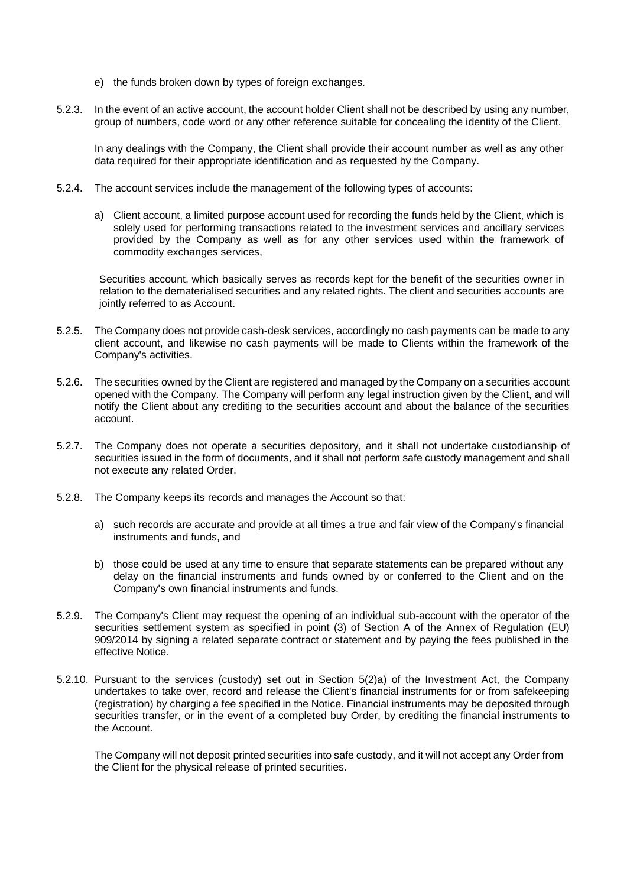- e) the funds broken down by types of foreign exchanges.
- 5.2.3. In the event of an active account, the account holder Client shall not be described by using any number, group of numbers, code word or any other reference suitable for concealing the identity of the Client.

In any dealings with the Company, the Client shall provide their account number as well as any other data required for their appropriate identification and as requested by the Company.

- 5.2.4. The account services include the management of the following types of accounts:
	- a) Client account, a limited purpose account used for recording the funds held by the Client, which is solely used for performing transactions related to the investment services and ancillary services provided by the Company as well as for any other services used within the framework of commodity exchanges services,

Securities account, which basically serves as records kept for the benefit of the securities owner in relation to the dematerialised securities and any related rights. The client and securities accounts are jointly referred to as Account.

- 5.2.5. The Company does not provide cash-desk services, accordingly no cash payments can be made to any client account, and likewise no cash payments will be made to Clients within the framework of the Company's activities.
- 5.2.6. The securities owned by the Client are registered and managed by the Company on a securities account opened with the Company. The Company will perform any legal instruction given by the Client, and will notify the Client about any crediting to the securities account and about the balance of the securities account.
- 5.2.7. The Company does not operate a securities depository, and it shall not undertake custodianship of securities issued in the form of documents, and it shall not perform safe custody management and shall not execute any related Order.
- 5.2.8. The Company keeps its records and manages the Account so that:
	- a) such records are accurate and provide at all times a true and fair view of the Company's financial instruments and funds, and
	- b) those could be used at any time to ensure that separate statements can be prepared without any delay on the financial instruments and funds owned by or conferred to the Client and on the Company's own financial instruments and funds.
- 5.2.9. The Company's Client may request the opening of an individual sub-account with the operator of the securities settlement system as specified in point (3) of Section A of the Annex of Regulation (EU) 909/2014 by signing a related separate contract or statement and by paying the fees published in the effective Notice.
- 5.2.10. Pursuant to the services (custody) set out in Section 5(2)a) of the Investment Act, the Company undertakes to take over, record and release the Client's financial instruments for or from safekeeping (registration) by charging a fee specified in the Notice. Financial instruments may be deposited through securities transfer, or in the event of a completed buy Order, by crediting the financial instruments to the Account.

The Company will not deposit printed securities into safe custody, and it will not accept any Order from the Client for the physical release of printed securities.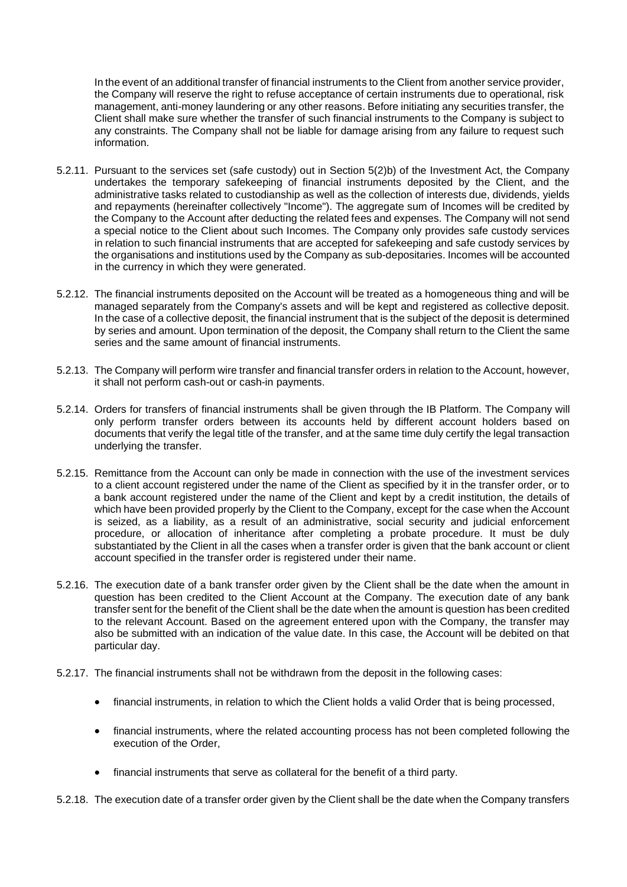In the event of an additional transfer of financial instruments to the Client from another service provider, the Company will reserve the right to refuse acceptance of certain instruments due to operational, risk management, anti-money laundering or any other reasons. Before initiating any securities transfer, the Client shall make sure whether the transfer of such financial instruments to the Company is subject to any constraints. The Company shall not be liable for damage arising from any failure to request such information.

- 5.2.11. Pursuant to the services set (safe custody) out in Section 5(2)b) of the Investment Act, the Company undertakes the temporary safekeeping of financial instruments deposited by the Client, and the administrative tasks related to custodianship as well as the collection of interests due, dividends, yields and repayments (hereinafter collectively "Income"). The aggregate sum of Incomes will be credited by the Company to the Account after deducting the related fees and expenses. The Company will not send a special notice to the Client about such Incomes. The Company only provides safe custody services in relation to such financial instruments that are accepted for safekeeping and safe custody services by the organisations and institutions used by the Company as sub-depositaries. Incomes will be accounted in the currency in which they were generated.
- 5.2.12. The financial instruments deposited on the Account will be treated as a homogeneous thing and will be managed separately from the Company's assets and will be kept and registered as collective deposit. In the case of a collective deposit, the financial instrument that is the subject of the deposit is determined by series and amount. Upon termination of the deposit, the Company shall return to the Client the same series and the same amount of financial instruments.
- 5.2.13. The Company will perform wire transfer and financial transfer orders in relation to the Account, however, it shall not perform cash-out or cash-in payments.
- 5.2.14. Orders for transfers of financial instruments shall be given through the IB Platform. The Company will only perform transfer orders between its accounts held by different account holders based on documents that verify the legal title of the transfer, and at the same time duly certify the legal transaction underlying the transfer.
- 5.2.15. Remittance from the Account can only be made in connection with the use of the investment services to a client account registered under the name of the Client as specified by it in the transfer order, or to a bank account registered under the name of the Client and kept by a credit institution, the details of which have been provided properly by the Client to the Company, except for the case when the Account is seized, as a liability, as a result of an administrative, social security and judicial enforcement procedure, or allocation of inheritance after completing a probate procedure. It must be duly substantiated by the Client in all the cases when a transfer order is given that the bank account or client account specified in the transfer order is registered under their name.
- 5.2.16. The execution date of a bank transfer order given by the Client shall be the date when the amount in question has been credited to the Client Account at the Company. The execution date of any bank transfer sent for the benefit of the Client shall be the date when the amount is question has been credited to the relevant Account. Based on the agreement entered upon with the Company, the transfer may also be submitted with an indication of the value date. In this case, the Account will be debited on that particular day.
- 5.2.17. The financial instruments shall not be withdrawn from the deposit in the following cases:
	- financial instruments, in relation to which the Client holds a valid Order that is being processed,
	- financial instruments, where the related accounting process has not been completed following the execution of the Order,
	- financial instruments that serve as collateral for the benefit of a third party.

5.2.18. The execution date of a transfer order given by the Client shall be the date when the Company transfers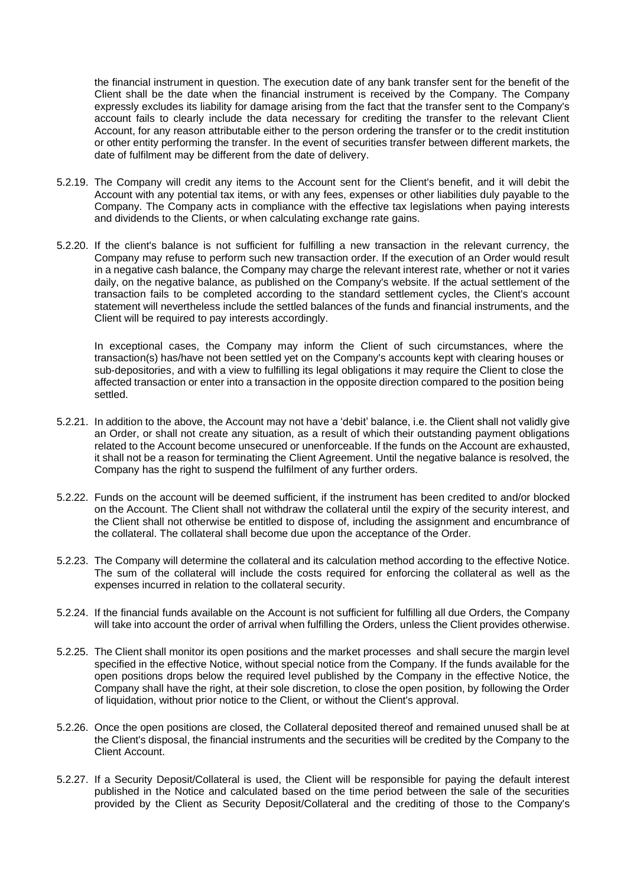the financial instrument in question. The execution date of any bank transfer sent for the benefit of the Client shall be the date when the financial instrument is received by the Company. The Company expressly excludes its liability for damage arising from the fact that the transfer sent to the Company's account fails to clearly include the data necessary for crediting the transfer to the relevant Client Account, for any reason attributable either to the person ordering the transfer or to the credit institution or other entity performing the transfer. In the event of securities transfer between different markets, the date of fulfilment may be different from the date of delivery.

- 5.2.19. The Company will credit any items to the Account sent for the Client's benefit, and it will debit the Account with any potential tax items, or with any fees, expenses or other liabilities duly payable to the Company. The Company acts in compliance with the effective tax legislations when paying interests and dividends to the Clients, or when calculating exchange rate gains.
- 5.2.20. If the client's balance is not sufficient for fulfilling a new transaction in the relevant currency, the Company may refuse to perform such new transaction order. If the execution of an Order would result in a negative cash balance, the Company may charge the relevant interest rate, whether or not it varies daily, on the negative balance, as published on the Company's website. If the actual settlement of the transaction fails to be completed according to the standard settlement cycles, the Client's account statement will nevertheless include the settled balances of the funds and financial instruments, and the Client will be required to pay interests accordingly.

In exceptional cases, the Company may inform the Client of such circumstances, where the transaction(s) has/have not been settled yet on the Company's accounts kept with clearing houses or sub-depositories, and with a view to fulfilling its legal obligations it may require the Client to close the affected transaction or enter into a transaction in the opposite direction compared to the position being settled.

- 5.2.21. In addition to the above, the Account may not have a 'debit' balance, i.e. the Client shall not validly give an Order, or shall not create any situation, as a result of which their outstanding payment obligations related to the Account become unsecured or unenforceable. If the funds on the Account are exhausted, it shall not be a reason for terminating the Client Agreement. Until the negative balance is resolved, the Company has the right to suspend the fulfilment of any further orders.
- 5.2.22. Funds on the account will be deemed sufficient, if the instrument has been credited to and/or blocked on the Account. The Client shall not withdraw the collateral until the expiry of the security interest, and the Client shall not otherwise be entitled to dispose of, including the assignment and encumbrance of the collateral. The collateral shall become due upon the acceptance of the Order.
- 5.2.23. The Company will determine the collateral and its calculation method according to the effective Notice. The sum of the collateral will include the costs required for enforcing the collateral as well as the expenses incurred in relation to the collateral security.
- 5.2.24. If the financial funds available on the Account is not sufficient for fulfilling all due Orders, the Company will take into account the order of arrival when fulfilling the Orders, unless the Client provides otherwise.
- 5.2.25. The Client shall monitor its open positions and the market processes and shall secure the margin level specified in the effective Notice, without special notice from the Company. If the funds available for the open positions drops below the required level published by the Company in the effective Notice, the Company shall have the right, at their sole discretion, to close the open position, by following the Order of liquidation, without prior notice to the Client, or without the Client's approval.
- 5.2.26. Once the open positions are closed, the Collateral deposited thereof and remained unused shall be at the Client's disposal, the financial instruments and the securities will be credited by the Company to the Client Account.
- 5.2.27. If a Security Deposit/Collateral is used, the Client will be responsible for paying the default interest published in the Notice and calculated based on the time period between the sale of the securities provided by the Client as Security Deposit/Collateral and the crediting of those to the Company's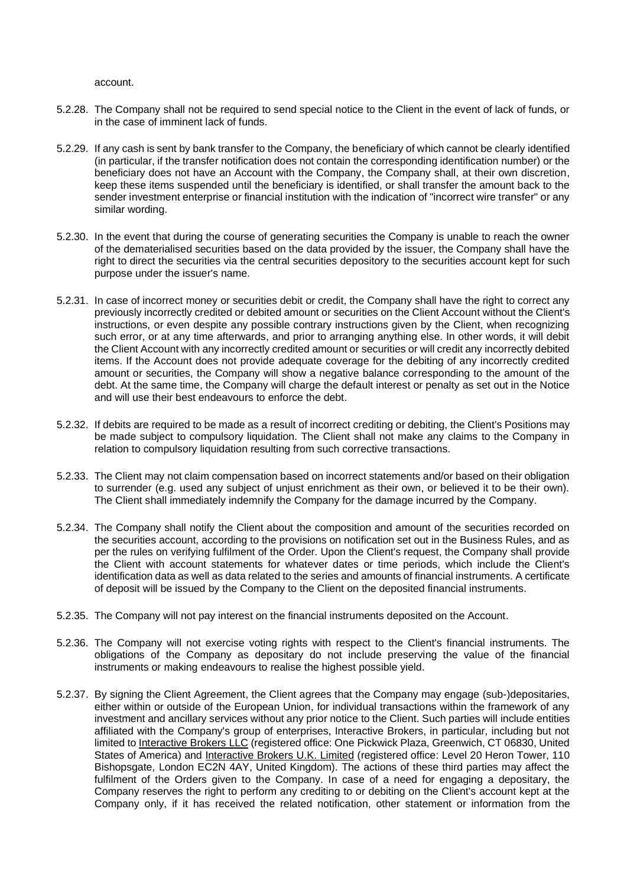account.

- 5.2.28. The Company shall not be required to send special notice to the Client in the event of lack of funds, or in the case of imminent lack of funds.
- 5.2.29. If any cash is sent by bank transfer to the Company, the beneficiary of which cannot be clearly identified (in particular, if the transfer notification does not contain the corresponding identification number) or the beneficiary does not have an Account with the Company, the Company shall, at their own discretion, keep these items suspended until the beneficiary is identified, or shall transfer the amount back to the sender investment enterprise or financial institution with the indication of "incorrect wire transfer" or any similar wording.
- 5.2.30. In the event that during the course of generating securities the Company is unable to reach the owner of the dematerialised securities based on the data provided by the issuer, the Company shall have the right to direct the securities via the central securities depository to the securities account kept for such purpose under the issuer's name.
- 5.2.31. In case of incorrect money or securities debit or credit, the Company shall have the right to correct any previously incorrectly credited or debited amount or securities on the Client Account without the Client's instructions, or even despite any possible contrary instructions given by the Client, when recognizing such error, or at any time afterwards, and prior to arranging anything else. In other words, it will debit the Client Account with any incorrectly credited amount or securities or will credit any incorrectly debited items. If the Account does not provide adequate coverage for the debiting of any incorrectly credited amount or securities, the Company will show a negative balance corresponding to the amount of the debt. At the same time, the Company will charge the default interest or penalty as set out in the Notice and will use their best endeavours to enforce the debt.
- 5.2.32. If debits are required to be made as a result of incorrect crediting or debiting, the Client's Positions may be made subject to compulsory liquidation. The Client shall not make any claims to the Company in relation to compulsory liquidation resulting from such corrective transactions.
- 5.2.33. The Client may not claim compensation based on incorrect statements and/or based on their obligation to surrender (e.g. used any subject of unjust enrichment as their own, or believed it to be their own). The Client shall immediately indemnify the Company for the damage incurred by the Company.
- 5.2.34. The Company shall notify the Client about the composition and amount of the securities recorded on the securities account, according to the provisions on notification set out in the Business Rules, and as per the rules on verifying fulfilment of the Order. Upon the Client's request, the Company shall provide the Client with account statements for whatever dates or time periods, which include the Client's identification data as well as data related to the series and amounts of financial instruments. A certificate of deposit will be issued by the Company to the Client on the deposited financial instruments.
- 5.2.35. The Company will not pay interest on the financial instruments deposited on the Account.
- 5.2.36. The Company will not exercise voting rights with respect to the Client's financial instruments. The obligations of the Company as depositary do not include preserving the value of the financial instruments or making endeavours to realise the highest possible yield.
- 5.2.37. By signing the Client Agreement, the Client agrees that the Company may engage (sub-)depositaries, either within or outside of the European Union, for individual transactions within the framework of any investment and ancillary services without any prior notice to the Client. Such parties will include entities affiliated with the Company's group of enterprises, Interactive Brokers, in particular, including but not limited to Interactive Brokers LLC (registered office: One Pickwick Plaza, Greenwich, CT 06830, United States of America) and Interactive Brokers U.K. Limited (registered office: Level 20 Heron Tower, 110 Bishopsgate, London EC2N 4AY, United Kingdom). The actions of these third parties may affect the fulfilment of the Orders given to the Company. In case of a need for engaging a depositary, the Company reserves the right to perform any crediting to or debiting on the Client's account kept at the Company only, if it has received the related notification, other statement or information from the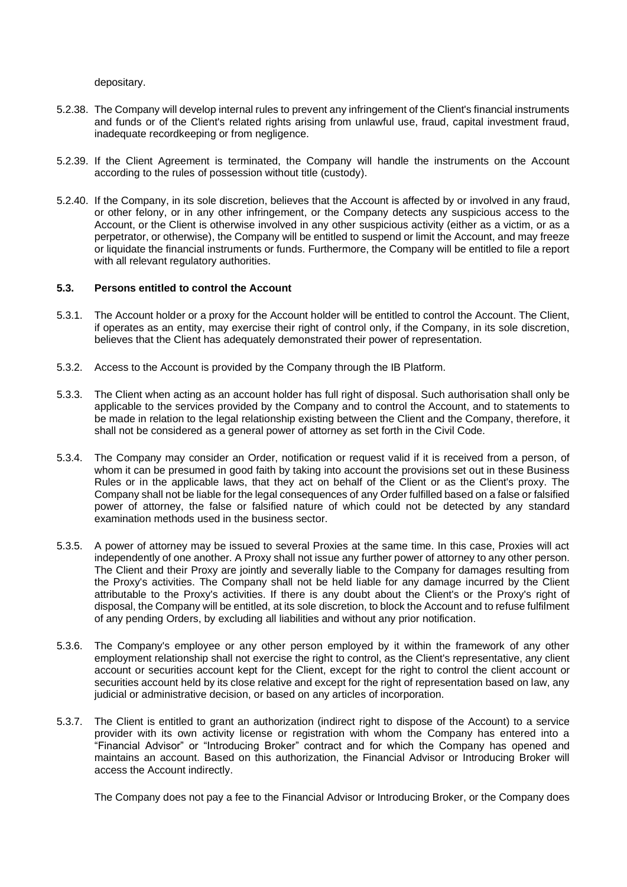depositary.

- 5.2.38. The Company will develop internal rules to prevent any infringement of the Client's financial instruments and funds or of the Client's related rights arising from unlawful use, fraud, capital investment fraud, inadequate recordkeeping or from negligence.
- 5.2.39. If the Client Agreement is terminated, the Company will handle the instruments on the Account according to the rules of possession without title (custody).
- 5.2.40. If the Company, in its sole discretion, believes that the Account is affected by or involved in any fraud, or other felony, or in any other infringement, or the Company detects any suspicious access to the Account, or the Client is otherwise involved in any other suspicious activity (either as a victim, or as a perpetrator, or otherwise), the Company will be entitled to suspend or limit the Account, and may freeze or liquidate the financial instruments or funds. Furthermore, the Company will be entitled to file a report with all relevant regulatory authorities.

## <span id="page-32-0"></span>**5.3. Persons entitled to control the Account**

- 5.3.1. The Account holder or a proxy for the Account holder will be entitled to control the Account. The Client, if operates as an entity, may exercise their right of control only, if the Company, in its sole discretion, believes that the Client has adequately demonstrated their power of representation.
- 5.3.2. Access to the Account is provided by the Company through the IB Platform.
- 5.3.3. The Client when acting as an account holder has full right of disposal. Such authorisation shall only be applicable to the services provided by the Company and to control the Account, and to statements to be made in relation to the legal relationship existing between the Client and the Company, therefore, it shall not be considered as a general power of attorney as set forth in the Civil Code.
- 5.3.4. The Company may consider an Order, notification or request valid if it is received from a person, of whom it can be presumed in good faith by taking into account the provisions set out in these Business Rules or in the applicable laws, that they act on behalf of the Client or as the Client's proxy. The Company shall not be liable for the legal consequences of any Order fulfilled based on a false or falsified power of attorney, the false or falsified nature of which could not be detected by any standard examination methods used in the business sector.
- 5.3.5. A power of attorney may be issued to several Proxies at the same time. In this case, Proxies will act independently of one another. A Proxy shall not issue any further power of attorney to any other person. The Client and their Proxy are jointly and severally liable to the Company for damages resulting from the Proxy's activities. The Company shall not be held liable for any damage incurred by the Client attributable to the Proxy's activities. If there is any doubt about the Client's or the Proxy's right of disposal, the Company will be entitled, at its sole discretion, to block the Account and to refuse fulfilment of any pending Orders, by excluding all liabilities and without any prior notification.
- 5.3.6. The Company's employee or any other person employed by it within the framework of any other employment relationship shall not exercise the right to control, as the Client's representative, any client account or securities account kept for the Client, except for the right to control the client account or securities account held by its close relative and except for the right of representation based on law, any judicial or administrative decision, or based on any articles of incorporation.
- 5.3.7. The Client is entitled to grant an authorization (indirect right to dispose of the Account) to a service provider with its own activity license or registration with whom the Company has entered into a "Financial Advisor" or "Introducing Broker" contract and for which the Company has opened and maintains an account. Based on this authorization, the Financial Advisor or Introducing Broker will access the Account indirectly.

The Company does not pay a fee to the Financial Advisor or Introducing Broker, or the Company does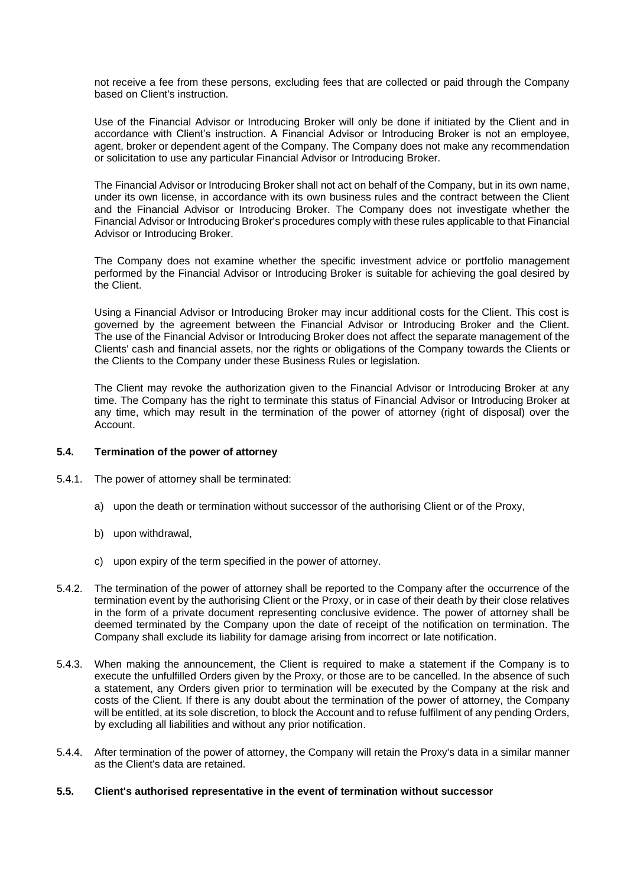not receive a fee from these persons, excluding fees that are collected or paid through the Company based on Client's instruction.

Use of the Financial Advisor or Introducing Broker will only be done if initiated by the Client and in accordance with Client's instruction. A Financial Advisor or Introducing Broker is not an employee, agent, broker or dependent agent of the Company. The Company does not make any recommendation or solicitation to use any particular Financial Advisor or Introducing Broker.

The Financial Advisor or Introducing Broker shall not act on behalf of the Company, but in its own name, under its own license, in accordance with its own business rules and the contract between the Client and the Financial Advisor or Introducing Broker. The Company does not investigate whether the Financial Advisor or Introducing Broker's procedures comply with these rules applicable to that Financial Advisor or Introducing Broker.

The Company does not examine whether the specific investment advice or portfolio management performed by the Financial Advisor or Introducing Broker is suitable for achieving the goal desired by the Client.

Using a Financial Advisor or Introducing Broker may incur additional costs for the Client. This cost is governed by the agreement between the Financial Advisor or Introducing Broker and the Client. The use of the Financial Advisor or Introducing Broker does not affect the separate management of the Clients' cash and financial assets, nor the rights or obligations of the Company towards the Clients or the Clients to the Company under these Business Rules or legislation.

The Client may revoke the authorization given to the Financial Advisor or Introducing Broker at any time. The Company has the right to terminate this status of Financial Advisor or Introducing Broker at any time, which may result in the termination of the power of attorney (right of disposal) over the Account.

#### <span id="page-33-0"></span>**5.4. Termination of the power of attorney**

- 5.4.1. The power of attorney shall be terminated:
	- a) upon the death or termination without successor of the authorising Client or of the Proxy,
	- b) upon withdrawal,
	- c) upon expiry of the term specified in the power of attorney.
- 5.4.2. The termination of the power of attorney shall be reported to the Company after the occurrence of the termination event by the authorising Client or the Proxy, or in case of their death by their close relatives in the form of a private document representing conclusive evidence. The power of attorney shall be deemed terminated by the Company upon the date of receipt of the notification on termination. The Company shall exclude its liability for damage arising from incorrect or late notification.
- 5.4.3. When making the announcement, the Client is required to make a statement if the Company is to execute the unfulfilled Orders given by the Proxy, or those are to be cancelled. In the absence of such a statement, any Orders given prior to termination will be executed by the Company at the risk and costs of the Client. If there is any doubt about the termination of the power of attorney, the Company will be entitled, at its sole discretion, to block the Account and to refuse fulfilment of any pending Orders, by excluding all liabilities and without any prior notification.
- 5.4.4. After termination of the power of attorney, the Company will retain the Proxy's data in a similar manner as the Client's data are retained.
- <span id="page-33-1"></span>**5.5. Client's authorised representative in the event of termination without successor**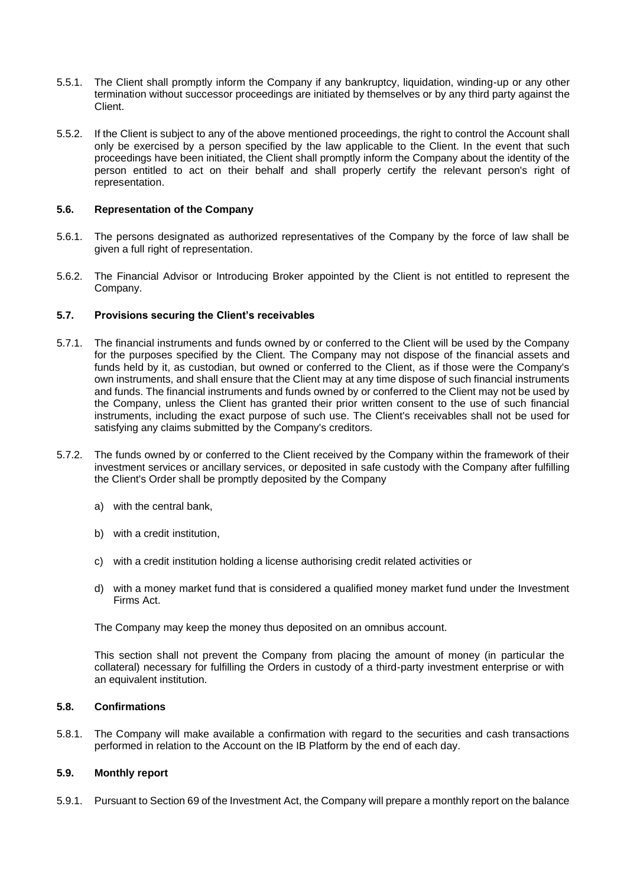- 5.5.1. The Client shall promptly inform the Company if any bankruptcy, liquidation, winding-up or any other termination without successor proceedings are initiated by themselves or by any third party against the Client.
- 5.5.2. If the Client is subject to any of the above mentioned proceedings, the right to control the Account shall only be exercised by a person specified by the law applicable to the Client. In the event that such proceedings have been initiated, the Client shall promptly inform the Company about the identity of the person entitled to act on their behalf and shall properly certify the relevant person's right of representation.

## <span id="page-34-0"></span>**5.6. Representation of the Company**

- 5.6.1. The persons designated as authorized representatives of the Company by the force of law shall be given a full right of representation.
- 5.6.2. The Financial Advisor or Introducing Broker appointed by the Client is not entitled to represent the Company.

#### <span id="page-34-1"></span>**5.7. Provisions securing the Client's receivables**

- 5.7.1. The financial instruments and funds owned by or conferred to the Client will be used by the Company for the purposes specified by the Client. The Company may not dispose of the financial assets and funds held by it, as custodian, but owned or conferred to the Client, as if those were the Company's own instruments, and shall ensure that the Client may at any time dispose of such financial instruments and funds. The financial instruments and funds owned by or conferred to the Client may not be used by the Company, unless the Client has granted their prior written consent to the use of such financial instruments, including the exact purpose of such use. The Client's receivables shall not be used for satisfying any claims submitted by the Company's creditors.
- 5.7.2. The funds owned by or conferred to the Client received by the Company within the framework of their investment services or ancillary services, or deposited in safe custody with the Company after fulfilling the Client's Order shall be promptly deposited by the Company
	- a) with the central bank,
	- b) with a credit institution,
	- c) with a credit institution holding a license authorising credit related activities or
	- d) with a money market fund that is considered a qualified money market fund under the Investment Firms Act.

The Company may keep the money thus deposited on an omnibus account.

This section shall not prevent the Company from placing the amount of money (in particular the collateral) necessary for fulfilling the Orders in custody of a third-party investment enterprise or with an equivalent institution.

## <span id="page-34-2"></span>**5.8. Confirmations**

5.8.1. The Company will make available a confirmation with regard to the securities and cash transactions performed in relation to the Account on the IB Platform by the end of each day.

# <span id="page-34-3"></span>**5.9. Monthly report**

5.9.1. Pursuant to Section 69 of the Investment Act, the Company will prepare a monthly report on the balance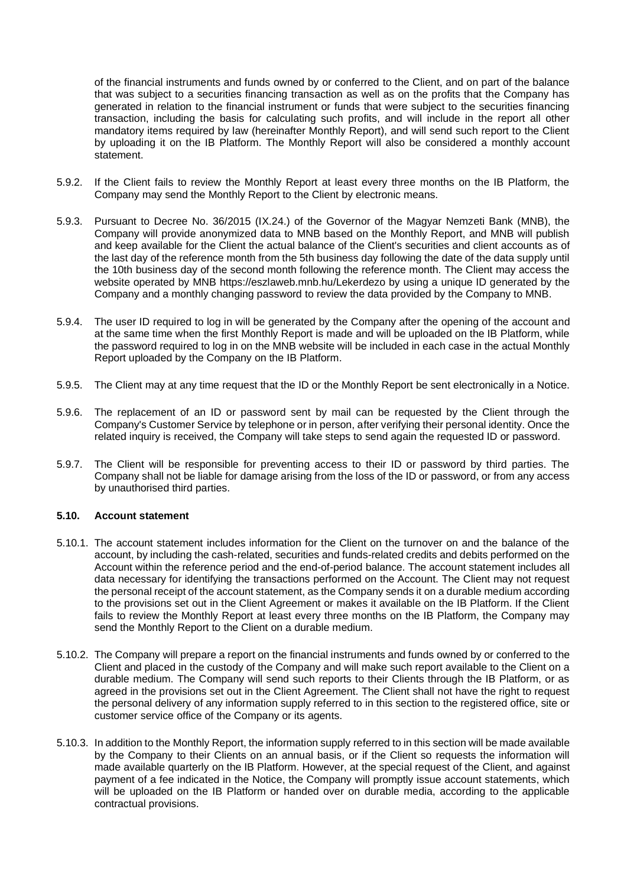of the financial instruments and funds owned by or conferred to the Client, and on part of the balance that was subject to a securities financing transaction as well as on the profits that the Company has generated in relation to the financial instrument or funds that were subject to the securities financing transaction, including the basis for calculating such profits, and will include in the report all other mandatory items required by law (hereinafter Monthly Report), and will send such report to the Client by uploading it on the IB Platform. The Monthly Report will also be considered a monthly account statement.

- 5.9.2. If the Client fails to review the Monthly Report at least every three months on the IB Platform, the Company may send the Monthly Report to the Client by electronic means.
- 5.9.3. Pursuant to Decree No. 36/2015 (IX.24.) of the Governor of the Magyar Nemzeti Bank (MNB), the Company will provide anonymized data to MNB based on the Monthly Report, and MNB will publish and keep available for the Client the actual balance of the Client's securities and client accounts as of the last day of the reference month from the 5th business day following the date of the data supply until the 10th business day of the second month following the reference month. The Client may access the website operated by MNB https://eszlaweb.mnb.hu/Lekerdezo by using a unique ID generated by the Company and a monthly changing password to review the data provided by the Company to MNB.
- 5.9.4. The user ID required to log in will be generated by the Company after the opening of the account and at the same time when the first Monthly Report is made and will be uploaded on the IB Platform, while the password required to log in on the MNB website will be included in each case in the actual Monthly Report uploaded by the Company on the IB Platform.
- 5.9.5. The Client may at any time request that the ID or the Monthly Report be sent electronically in a Notice.
- 5.9.6. The replacement of an ID or password sent by mail can be requested by the Client through the Company's Customer Service by telephone or in person, after verifying their personal identity. Once the related inquiry is received, the Company will take steps to send again the requested ID or password.
- 5.9.7. The Client will be responsible for preventing access to their ID or password by third parties. The Company shall not be liable for damage arising from the loss of the ID or password, or from any access by unauthorised third parties.

#### <span id="page-35-0"></span>**5.10. Account statement**

- 5.10.1. The account statement includes information for the Client on the turnover on and the balance of the account, by including the cash-related, securities and funds-related credits and debits performed on the Account within the reference period and the end-of-period balance. The account statement includes all data necessary for identifying the transactions performed on the Account. The Client may not request the personal receipt of the account statement, as the Company sends it on a durable medium according to the provisions set out in the Client Agreement or makes it available on the IB Platform. If the Client fails to review the Monthly Report at least every three months on the IB Platform, the Company may send the Monthly Report to the Client on a durable medium.
- 5.10.2. The Company will prepare a report on the financial instruments and funds owned by or conferred to the Client and placed in the custody of the Company and will make such report available to the Client on a durable medium. The Company will send such reports to their Clients through the IB Platform, or as agreed in the provisions set out in the Client Agreement. The Client shall not have the right to request the personal delivery of any information supply referred to in this section to the registered office, site or customer service office of the Company or its agents.
- 5.10.3. In addition to the Monthly Report, the information supply referred to in this section will be made available by the Company to their Clients on an annual basis, or if the Client so requests the information will made available quarterly on the IB Platform. However, at the special request of the Client, and against payment of a fee indicated in the Notice, the Company will promptly issue account statements, which will be uploaded on the IB Platform or handed over on durable media, according to the applicable contractual provisions.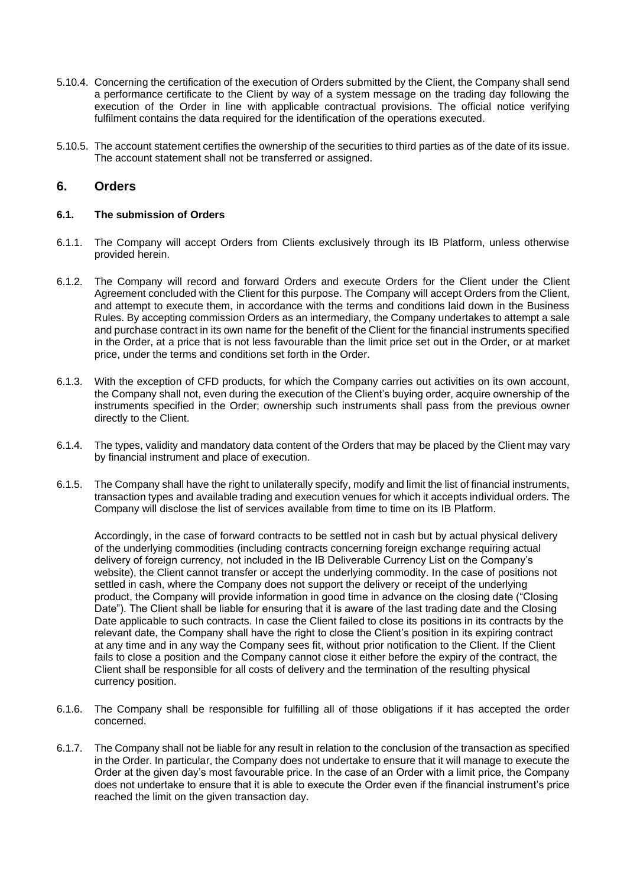- 5.10.4. Concerning the certification of the execution of Orders submitted by the Client, the Company shall send a performance certificate to the Client by way of a system message on the trading day following the execution of the Order in line with applicable contractual provisions. The official notice verifying fulfilment contains the data required for the identification of the operations executed.
- 5.10.5. The account statement certifies the ownership of the securities to third parties as of the date of its issue. The account statement shall not be transferred or assigned.

# <span id="page-36-0"></span>**6. Orders**

# <span id="page-36-1"></span>**6.1. The submission of Orders**

- 6.1.1. The Company will accept Orders from Clients exclusively through its IB Platform, unless otherwise provided herein.
- 6.1.2. The Company will record and forward Orders and execute Orders for the Client under the Client Agreement concluded with the Client for this purpose. The Company will accept Orders from the Client, and attempt to execute them, in accordance with the terms and conditions laid down in the Business Rules. By accepting commission Orders as an intermediary, the Company undertakes to attempt a sale and purchase contract in its own name for the benefit of the Client for the financial instruments specified in the Order, at a price that is not less favourable than the limit price set out in the Order, or at market price, under the terms and conditions set forth in the Order.
- 6.1.3. With the exception of CFD products, for which the Company carries out activities on its own account, the Company shall not, even during the execution of the Client's buying order, acquire ownership of the instruments specified in the Order; ownership such instruments shall pass from the previous owner directly to the Client.
- 6.1.4. The types, validity and mandatory data content of the Orders that may be placed by the Client may vary by financial instrument and place of execution.
- 6.1.5. The Company shall have the right to unilaterally specify, modify and limit the list of financial instruments, transaction types and available trading and execution venues for which it accepts individual orders. The Company will disclose the list of services available from time to time on its IB Platform.

Accordingly, in the case of forward contracts to be settled not in cash but by actual physical delivery of the underlying commodities (including contracts concerning foreign exchange requiring actual delivery of foreign currency, not included in the IB Deliverable Currency List on the Company's website), the Client cannot transfer or accept the underlying commodity. In the case of positions not settled in cash, where the Company does not support the delivery or receipt of the underlying product, the Company will provide information in good time in advance on the closing date ("Closing Date"). The Client shall be liable for ensuring that it is aware of the last trading date and the Closing Date applicable to such contracts. In case the Client failed to close its positions in its contracts by the relevant date, the Company shall have the right to close the Client's position in its expiring contract at any time and in any way the Company sees fit, without prior notification to the Client. If the Client fails to close a position and the Company cannot close it either before the expiry of the contract, the Client shall be responsible for all costs of delivery and the termination of the resulting physical currency position.

- 6.1.6. The Company shall be responsible for fulfilling all of those obligations if it has accepted the order concerned.
- 6.1.7. The Company shall not be liable for any result in relation to the conclusion of the transaction as specified in the Order. In particular, the Company does not undertake to ensure that it will manage to execute the Order at the given day's most favourable price. In the case of an Order with a limit price, the Company does not undertake to ensure that it is able to execute the Order even if the financial instrument's price reached the limit on the given transaction day.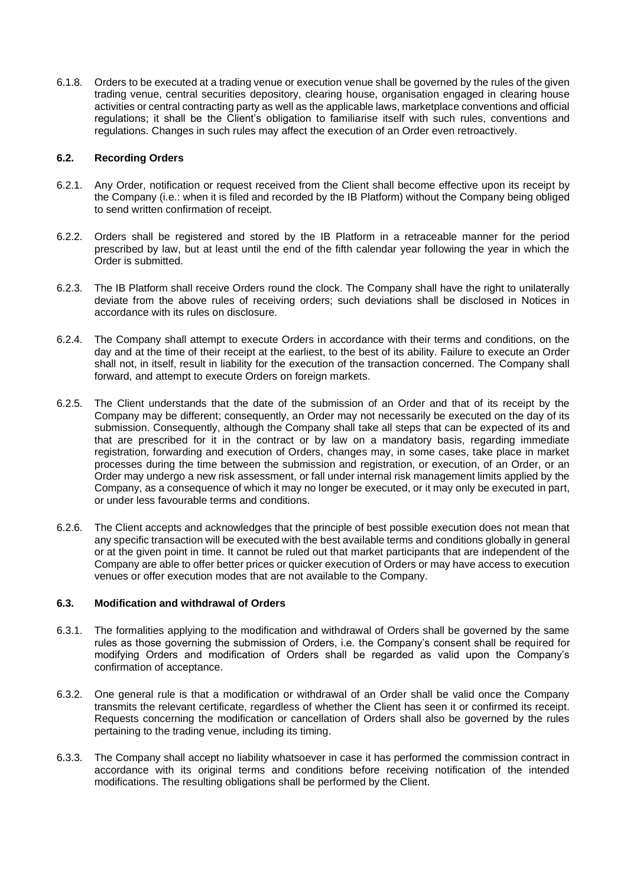6.1.8. Orders to be executed at a trading venue or execution venue shall be governed by the rules of the given trading venue, central securities depository, clearing house, organisation engaged in clearing house activities or central contracting party as well as the applicable laws, marketplace conventions and official regulations; it shall be the Client's obligation to familiarise itself with such rules, conventions and regulations. Changes in such rules may affect the execution of an Order even retroactively.

## <span id="page-37-0"></span>**6.2. Recording Orders**

- 6.2.1. Any Order, notification or request received from the Client shall become effective upon its receipt by the Company (i.e.: when it is filed and recorded by the IB Platform) without the Company being obliged to send written confirmation of receipt.
- 6.2.2. Orders shall be registered and stored by the IB Platform in a retraceable manner for the period prescribed by law, but at least until the end of the fifth calendar year following the year in which the Order is submitted.
- 6.2.3. The IB Platform shall receive Orders round the clock. The Company shall have the right to unilaterally deviate from the above rules of receiving orders; such deviations shall be disclosed in Notices in accordance with its rules on disclosure.
- 6.2.4. The Company shall attempt to execute Orders in accordance with their terms and conditions, on the day and at the time of their receipt at the earliest, to the best of its ability. Failure to execute an Order shall not, in itself, result in liability for the execution of the transaction concerned. The Company shall forward, and attempt to execute Orders on foreign markets.
- 6.2.5. The Client understands that the date of the submission of an Order and that of its receipt by the Company may be different; consequently, an Order may not necessarily be executed on the day of its submission. Consequently, although the Company shall take all steps that can be expected of its and that are prescribed for it in the contract or by law on a mandatory basis, regarding immediate registration, forwarding and execution of Orders, changes may, in some cases, take place in market processes during the time between the submission and registration, or execution, of an Order, or an Order may undergo a new risk assessment, or fall under internal risk management limits applied by the Company, as a consequence of which it may no longer be executed, or it may only be executed in part, or under less favourable terms and conditions.
- 6.2.6. The Client accepts and acknowledges that the principle of best possible execution does not mean that any specific transaction will be executed with the best available terms and conditions globally in general or at the given point in time. It cannot be ruled out that market participants that are independent of the Company are able to offer better prices or quicker execution of Orders or may have access to execution venues or offer execution modes that are not available to the Company.

# <span id="page-37-1"></span>**6.3. Modification and withdrawal of Orders**

- 6.3.1. The formalities applying to the modification and withdrawal of Orders shall be governed by the same rules as those governing the submission of Orders, i.e. the Company's consent shall be required for modifying Orders and modification of Orders shall be regarded as valid upon the Company's confirmation of acceptance.
- 6.3.2. One general rule is that a modification or withdrawal of an Order shall be valid once the Company transmits the relevant certificate, regardless of whether the Client has seen it or confirmed its receipt. Requests concerning the modification or cancellation of Orders shall also be governed by the rules pertaining to the trading venue, including its timing.
- 6.3.3. The Company shall accept no liability whatsoever in case it has performed the commission contract in accordance with its original terms and conditions before receiving notification of the intended modifications. The resulting obligations shall be performed by the Client.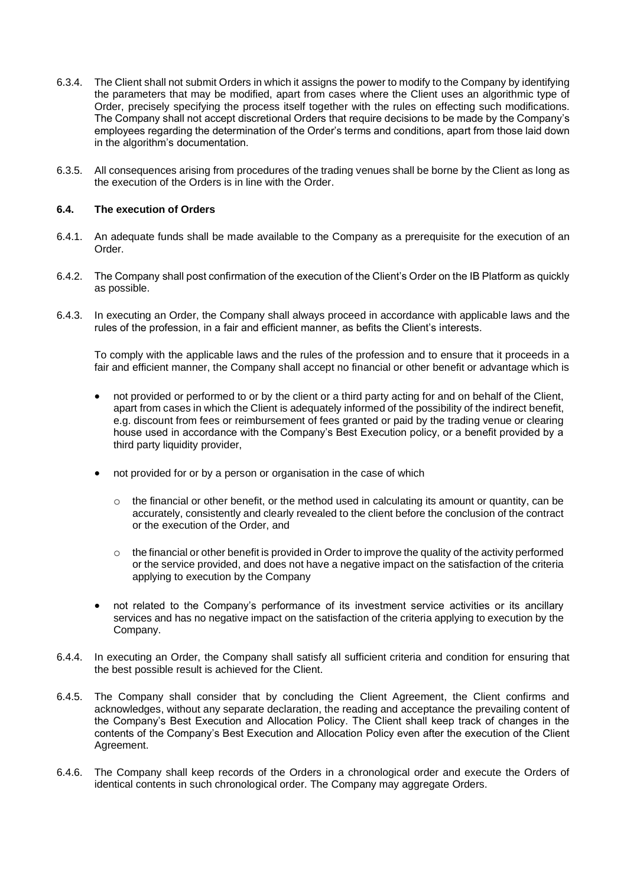- 6.3.4. The Client shall not submit Orders in which it assigns the power to modify to the Company by identifying the parameters that may be modified, apart from cases where the Client uses an algorithmic type of Order, precisely specifying the process itself together with the rules on effecting such modifications. The Company shall not accept discretional Orders that require decisions to be made by the Company's employees regarding the determination of the Order's terms and conditions, apart from those laid down in the algorithm's documentation.
- 6.3.5. All consequences arising from procedures of the trading venues shall be borne by the Client as long as the execution of the Orders is in line with the Order.

## <span id="page-38-0"></span>**6.4. The execution of Orders**

- 6.4.1. An adequate funds shall be made available to the Company as a prerequisite for the execution of an Order.
- 6.4.2. The Company shall post confirmation of the execution of the Client's Order on the IB Platform as quickly as possible.
- 6.4.3. In executing an Order, the Company shall always proceed in accordance with applicable laws and the rules of the profession, in a fair and efficient manner, as befits the Client's interests.

To comply with the applicable laws and the rules of the profession and to ensure that it proceeds in a fair and efficient manner, the Company shall accept no financial or other benefit or advantage which is

- not provided or performed to or by the client or a third party acting for and on behalf of the Client, apart from cases in which the Client is adequately informed of the possibility of the indirect benefit, e.g. discount from fees or reimbursement of fees granted or paid by the trading venue or clearing house used in accordance with the Company's Best Execution policy, or a benefit provided by a third party liquidity provider,
- not provided for or by a person or organisation in the case of which
	- o the financial or other benefit, or the method used in calculating its amount or quantity, can be accurately, consistently and clearly revealed to the client before the conclusion of the contract or the execution of the Order, and
	- $\circ$  the financial or other benefit is provided in Order to improve the quality of the activity performed or the service provided, and does not have a negative impact on the satisfaction of the criteria applying to execution by the Company
- not related to the Company's performance of its investment service activities or its ancillary services and has no negative impact on the satisfaction of the criteria applying to execution by the Company.
- 6.4.4. In executing an Order, the Company shall satisfy all sufficient criteria and condition for ensuring that the best possible result is achieved for the Client.
- 6.4.5. The Company shall consider that by concluding the Client Agreement, the Client confirms and acknowledges, without any separate declaration, the reading and acceptance the prevailing content of the Company's Best Execution and Allocation Policy. The Client shall keep track of changes in the contents of the Company's Best Execution and Allocation Policy even after the execution of the Client Agreement.
- 6.4.6. The Company shall keep records of the Orders in a chronological order and execute the Orders of identical contents in such chronological order. The Company may aggregate Orders.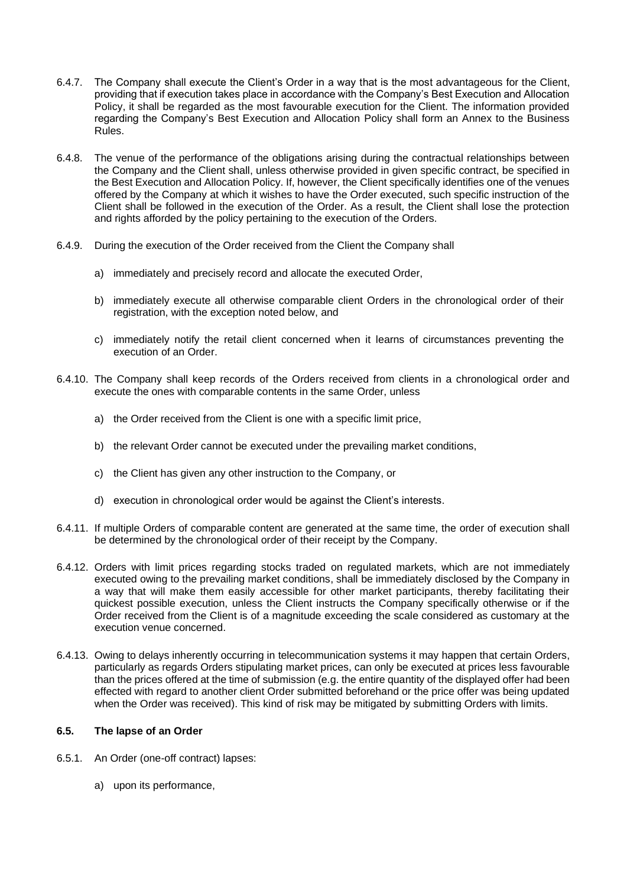- 6.4.7. The Company shall execute the Client's Order in a way that is the most advantageous for the Client, providing that if execution takes place in accordance with the Company's Best Execution and Allocation Policy, it shall be regarded as the most favourable execution for the Client. The information provided regarding the Company's Best Execution and Allocation Policy shall form an Annex to the Business Rules.
- 6.4.8. The venue of the performance of the obligations arising during the contractual relationships between the Company and the Client shall, unless otherwise provided in given specific contract, be specified in the Best Execution and Allocation Policy. If, however, the Client specifically identifies one of the venues offered by the Company at which it wishes to have the Order executed, such specific instruction of the Client shall be followed in the execution of the Order. As a result, the Client shall lose the protection and rights afforded by the policy pertaining to the execution of the Orders.
- 6.4.9. During the execution of the Order received from the Client the Company shall
	- a) immediately and precisely record and allocate the executed Order,
	- b) immediately execute all otherwise comparable client Orders in the chronological order of their registration, with the exception noted below, and
	- c) immediately notify the retail client concerned when it learns of circumstances preventing the execution of an Order.
- 6.4.10. The Company shall keep records of the Orders received from clients in a chronological order and execute the ones with comparable contents in the same Order, unless
	- a) the Order received from the Client is one with a specific limit price,
	- b) the relevant Order cannot be executed under the prevailing market conditions,
	- c) the Client has given any other instruction to the Company, or
	- d) execution in chronological order would be against the Client's interests.
- 6.4.11. If multiple Orders of comparable content are generated at the same time, the order of execution shall be determined by the chronological order of their receipt by the Company.
- 6.4.12. Orders with limit prices regarding stocks traded on regulated markets, which are not immediately executed owing to the prevailing market conditions, shall be immediately disclosed by the Company in a way that will make them easily accessible for other market participants, thereby facilitating their quickest possible execution, unless the Client instructs the Company specifically otherwise or if the Order received from the Client is of a magnitude exceeding the scale considered as customary at the execution venue concerned.
- 6.4.13. Owing to delays inherently occurring in telecommunication systems it may happen that certain Orders, particularly as regards Orders stipulating market prices, can only be executed at prices less favourable than the prices offered at the time of submission (e.g. the entire quantity of the displayed offer had been effected with regard to another client Order submitted beforehand or the price offer was being updated when the Order was received). This kind of risk may be mitigated by submitting Orders with limits.

# <span id="page-39-0"></span>**6.5. The lapse of an Order**

- 6.5.1. An Order (one-off contract) lapses:
	- a) upon its performance,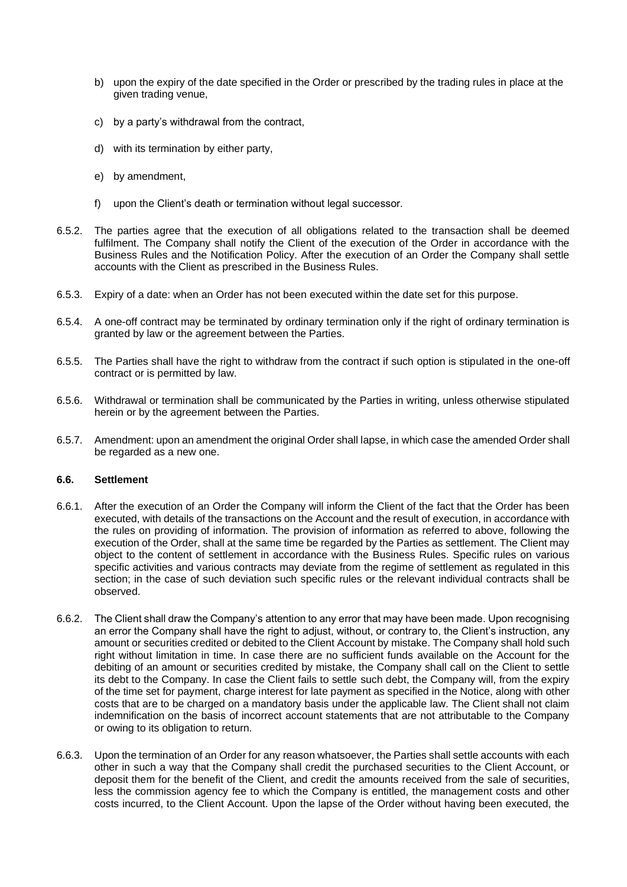- b) upon the expiry of the date specified in the Order or prescribed by the trading rules in place at the given trading venue,
- c) by a party's withdrawal from the contract,
- d) with its termination by either party,
- e) by amendment,
- f) upon the Client's death or termination without legal successor.
- 6.5.2. The parties agree that the execution of all obligations related to the transaction shall be deemed fulfilment. The Company shall notify the Client of the execution of the Order in accordance with the Business Rules and the Notification Policy. After the execution of an Order the Company shall settle accounts with the Client as prescribed in the Business Rules.
- 6.5.3. Expiry of a date: when an Order has not been executed within the date set for this purpose.
- 6.5.4. A one-off contract may be terminated by ordinary termination only if the right of ordinary termination is granted by law or the agreement between the Parties.
- 6.5.5. The Parties shall have the right to withdraw from the contract if such option is stipulated in the one-off contract or is permitted by law.
- 6.5.6. Withdrawal or termination shall be communicated by the Parties in writing, unless otherwise stipulated herein or by the agreement between the Parties.
- 6.5.7. Amendment: upon an amendment the original Order shall lapse, in which case the amended Order shall be regarded as a new one.

# <span id="page-40-0"></span>**6.6. Settlement**

- 6.6.1. After the execution of an Order the Company will inform the Client of the fact that the Order has been executed, with details of the transactions on the Account and the result of execution, in accordance with the rules on providing of information. The provision of information as referred to above, following the execution of the Order, shall at the same time be regarded by the Parties as settlement. The Client may object to the content of settlement in accordance with the Business Rules. Specific rules on various specific activities and various contracts may deviate from the regime of settlement as regulated in this section; in the case of such deviation such specific rules or the relevant individual contracts shall be observed.
- 6.6.2. The Client shall draw the Company's attention to any error that may have been made. Upon recognising an error the Company shall have the right to adjust, without, or contrary to, the Client's instruction, any amount or securities credited or debited to the Client Account by mistake. The Company shall hold such right without limitation in time. In case there are no sufficient funds available on the Account for the debiting of an amount or securities credited by mistake, the Company shall call on the Client to settle its debt to the Company. In case the Client fails to settle such debt, the Company will, from the expiry of the time set for payment, charge interest for late payment as specified in the Notice, along with other costs that are to be charged on a mandatory basis under the applicable law. The Client shall not claim indemnification on the basis of incorrect account statements that are not attributable to the Company or owing to its obligation to return.
- 6.6.3. Upon the termination of an Order for any reason whatsoever, the Parties shall settle accounts with each other in such a way that the Company shall credit the purchased securities to the Client Account, or deposit them for the benefit of the Client, and credit the amounts received from the sale of securities, less the commission agency fee to which the Company is entitled, the management costs and other costs incurred, to the Client Account. Upon the lapse of the Order without having been executed, the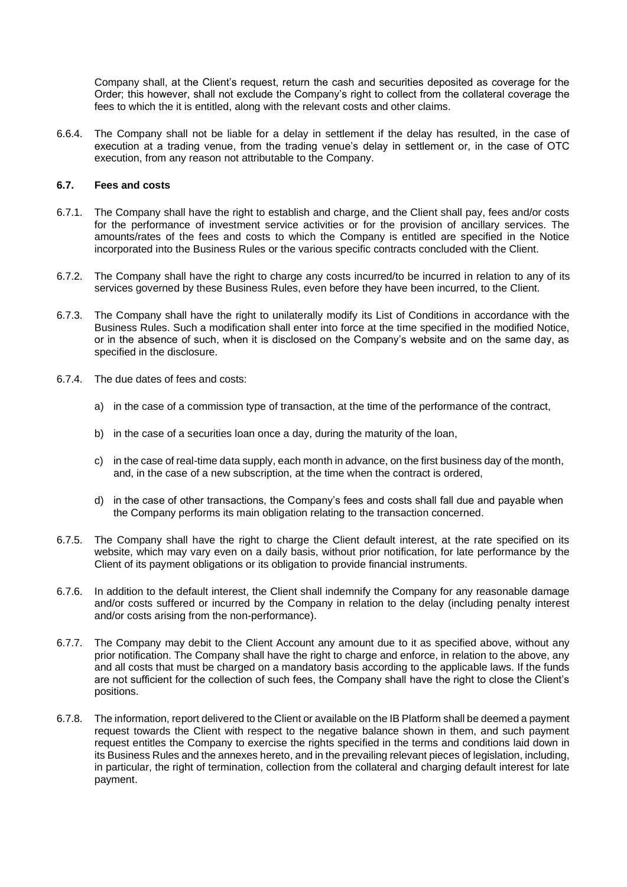Company shall, at the Client's request, return the cash and securities deposited as coverage for the Order; this however, shall not exclude the Company's right to collect from the collateral coverage the fees to which the it is entitled, along with the relevant costs and other claims.

6.6.4. The Company shall not be liable for a delay in settlement if the delay has resulted, in the case of execution at a trading venue, from the trading venue's delay in settlement or, in the case of OTC execution, from any reason not attributable to the Company.

#### <span id="page-41-0"></span>**6.7. Fees and costs**

- 6.7.1. The Company shall have the right to establish and charge, and the Client shall pay, fees and/or costs for the performance of investment service activities or for the provision of ancillary services. The amounts/rates of the fees and costs to which the Company is entitled are specified in the Notice incorporated into the Business Rules or the various specific contracts concluded with the Client.
- 6.7.2. The Company shall have the right to charge any costs incurred/to be incurred in relation to any of its services governed by these Business Rules, even before they have been incurred, to the Client.
- 6.7.3. The Company shall have the right to unilaterally modify its List of Conditions in accordance with the Business Rules. Such a modification shall enter into force at the time specified in the modified Notice, or in the absence of such, when it is disclosed on the Company's website and on the same day, as specified in the disclosure.
- 6.7.4. The due dates of fees and costs:
	- a) in the case of a commission type of transaction, at the time of the performance of the contract,
	- b) in the case of a securities loan once a day, during the maturity of the loan,
	- c) in the case of real-time data supply, each month in advance, on the first business day of the month, and, in the case of a new subscription, at the time when the contract is ordered,
	- d) in the case of other transactions, the Company's fees and costs shall fall due and payable when the Company performs its main obligation relating to the transaction concerned.
- 6.7.5. The Company shall have the right to charge the Client default interest, at the rate specified on its website, which may vary even on a daily basis, without prior notification, for late performance by the Client of its payment obligations or its obligation to provide financial instruments.
- 6.7.6. In addition to the default interest, the Client shall indemnify the Company for any reasonable damage and/or costs suffered or incurred by the Company in relation to the delay (including penalty interest and/or costs arising from the non-performance).
- 6.7.7. The Company may debit to the Client Account any amount due to it as specified above, without any prior notification. The Company shall have the right to charge and enforce, in relation to the above, any and all costs that must be charged on a mandatory basis according to the applicable laws. If the funds are not sufficient for the collection of such fees, the Company shall have the right to close the Client's positions.
- 6.7.8. The information, report delivered to the Client or available on the IB Platform shall be deemed a payment request towards the Client with respect to the negative balance shown in them, and such payment request entitles the Company to exercise the rights specified in the terms and conditions laid down in its Business Rules and the annexes hereto, and in the prevailing relevant pieces of legislation, including, in particular, the right of termination, collection from the collateral and charging default interest for late payment.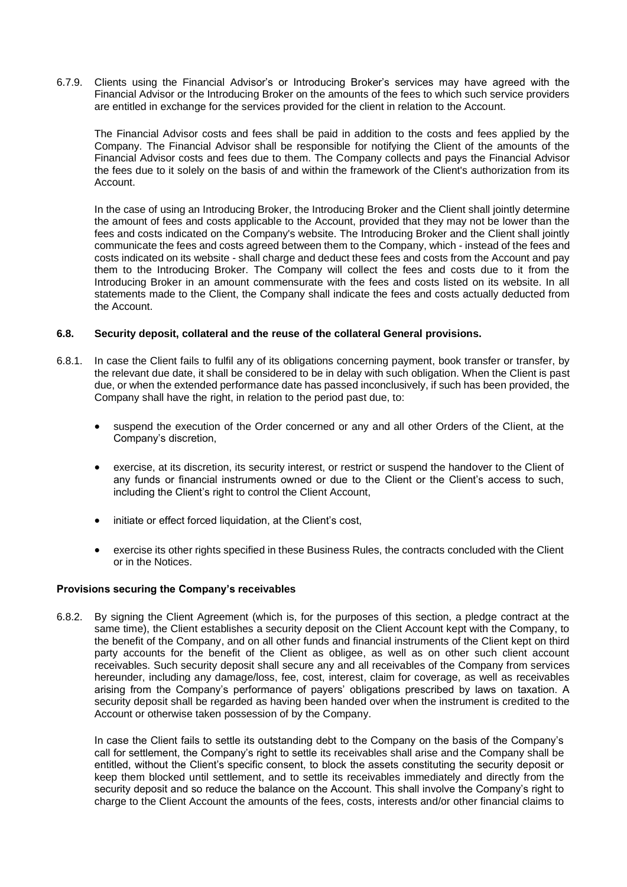6.7.9. Clients using the Financial Advisor's or Introducing Broker's services may have agreed with the Financial Advisor or the Introducing Broker on the amounts of the fees to which such service providers are entitled in exchange for the services provided for the client in relation to the Account.

The Financial Advisor costs and fees shall be paid in addition to the costs and fees applied by the Company. The Financial Advisor shall be responsible for notifying the Client of the amounts of the Financial Advisor costs and fees due to them. The Company collects and pays the Financial Advisor the fees due to it solely on the basis of and within the framework of the Client's authorization from its Account.

In the case of using an Introducing Broker, the Introducing Broker and the Client shall jointly determine the amount of fees and costs applicable to the Account, provided that they may not be lower than the fees and costs indicated on the Company's website. The Introducing Broker and the Client shall jointly communicate the fees and costs agreed between them to the Company, which - instead of the fees and costs indicated on its website - shall charge and deduct these fees and costs from the Account and pay them to the Introducing Broker. The Company will collect the fees and costs due to it from the Introducing Broker in an amount commensurate with the fees and costs listed on its website. In all statements made to the Client, the Company shall indicate the fees and costs actually deducted from the Account.

#### <span id="page-42-0"></span>**6.8. Security deposit, collateral and the reuse of the collateral General provisions.**

- 6.8.1. In case the Client fails to fulfil any of its obligations concerning payment, book transfer or transfer, by the relevant due date, it shall be considered to be in delay with such obligation. When the Client is past due, or when the extended performance date has passed inconclusively, if such has been provided, the Company shall have the right, in relation to the period past due, to:
	- suspend the execution of the Order concerned or any and all other Orders of the Client, at the Company's discretion,
	- exercise, at its discretion, its security interest, or restrict or suspend the handover to the Client of any funds or financial instruments owned or due to the Client or the Client's access to such, including the Client's right to control the Client Account,
	- initiate or effect forced liquidation, at the Client's cost,
	- exercise its other rights specified in these Business Rules, the contracts concluded with the Client or in the Notices.

#### <span id="page-42-1"></span>**Provisions securing the Company's receivables**

6.8.2. By signing the Client Agreement (which is, for the purposes of this section, a pledge contract at the same time), the Client establishes a security deposit on the Client Account kept with the Company, to the benefit of the Company, and on all other funds and financial instruments of the Client kept on third party accounts for the benefit of the Client as obligee, as well as on other such client account receivables. Such security deposit shall secure any and all receivables of the Company from services hereunder, including any damage/loss, fee, cost, interest, claim for coverage, as well as receivables arising from the Company's performance of payers' obligations prescribed by laws on taxation. A security deposit shall be regarded as having been handed over when the instrument is credited to the Account or otherwise taken possession of by the Company.

In case the Client fails to settle its outstanding debt to the Company on the basis of the Company's call for settlement, the Company's right to settle its receivables shall arise and the Company shall be entitled, without the Client's specific consent, to block the assets constituting the security deposit or keep them blocked until settlement, and to settle its receivables immediately and directly from the security deposit and so reduce the balance on the Account. This shall involve the Company's right to charge to the Client Account the amounts of the fees, costs, interests and/or other financial claims to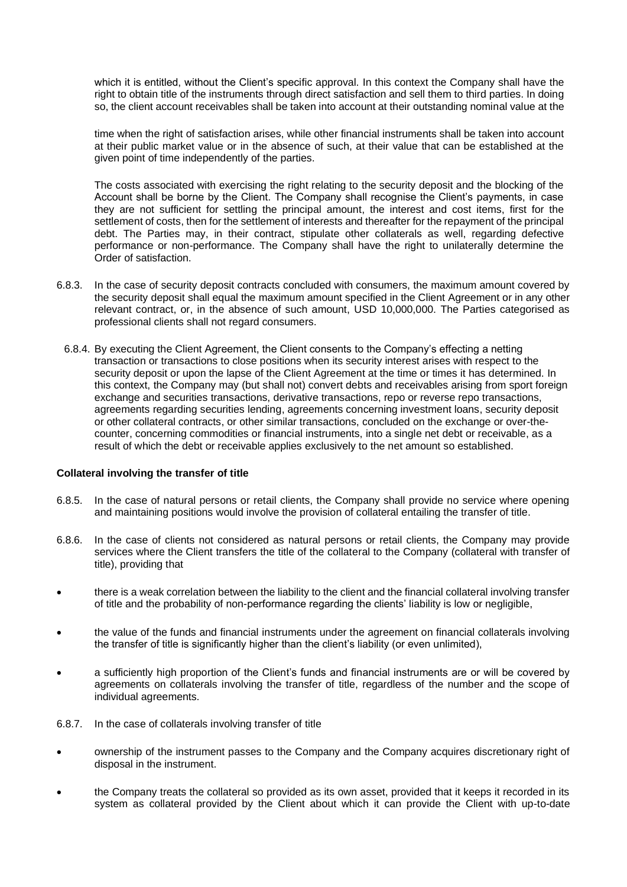which it is entitled, without the Client's specific approval. In this context the Company shall have the right to obtain title of the instruments through direct satisfaction and sell them to third parties. In doing so, the client account receivables shall be taken into account at their outstanding nominal value at the

time when the right of satisfaction arises, while other financial instruments shall be taken into account at their public market value or in the absence of such, at their value that can be established at the given point of time independently of the parties.

The costs associated with exercising the right relating to the security deposit and the blocking of the Account shall be borne by the Client. The Company shall recognise the Client's payments, in case they are not sufficient for settling the principal amount, the interest and cost items, first for the settlement of costs, then for the settlement of interests and thereafter for the repayment of the principal debt. The Parties may, in their contract, stipulate other collaterals as well, regarding defective performance or non-performance. The Company shall have the right to unilaterally determine the Order of satisfaction.

- 6.8.3. In the case of security deposit contracts concluded with consumers, the maximum amount covered by the security deposit shall equal the maximum amount specified in the Client Agreement or in any other relevant contract, or, in the absence of such amount, USD 10,000,000. The Parties categorised as professional clients shall not regard consumers.
- 6.8.4. By executing the Client Agreement, the Client consents to the Company's effecting a netting transaction or transactions to close positions when its security interest arises with respect to the security deposit or upon the lapse of the Client Agreement at the time or times it has determined. In this context, the Company may (but shall not) convert debts and receivables arising from sport foreign exchange and securities transactions, derivative transactions, repo or reverse repo transactions, agreements regarding securities lending, agreements concerning investment loans, security deposit or other collateral contracts, or other similar transactions, concluded on the exchange or over-thecounter, concerning commodities or financial instruments, into a single net debt or receivable, as a result of which the debt or receivable applies exclusively to the net amount so established.

#### <span id="page-43-0"></span>**Collateral involving the transfer of title**

- 6.8.5. In the case of natural persons or retail clients, the Company shall provide no service where opening and maintaining positions would involve the provision of collateral entailing the transfer of title.
- 6.8.6. In the case of clients not considered as natural persons or retail clients, the Company may provide services where the Client transfers the title of the collateral to the Company (collateral with transfer of title), providing that
- there is a weak correlation between the liability to the client and the financial collateral involving transfer of title and the probability of non-performance regarding the clients' liability is low or negligible,
- the value of the funds and financial instruments under the agreement on financial collaterals involving the transfer of title is significantly higher than the client's liability (or even unlimited),
- a sufficiently high proportion of the Client's funds and financial instruments are or will be covered by agreements on collaterals involving the transfer of title, regardless of the number and the scope of individual agreements.
- 6.8.7. In the case of collaterals involving transfer of title
- ownership of the instrument passes to the Company and the Company acquires discretionary right of disposal in the instrument.
- the Company treats the collateral so provided as its own asset, provided that it keeps it recorded in its system as collateral provided by the Client about which it can provide the Client with up-to-date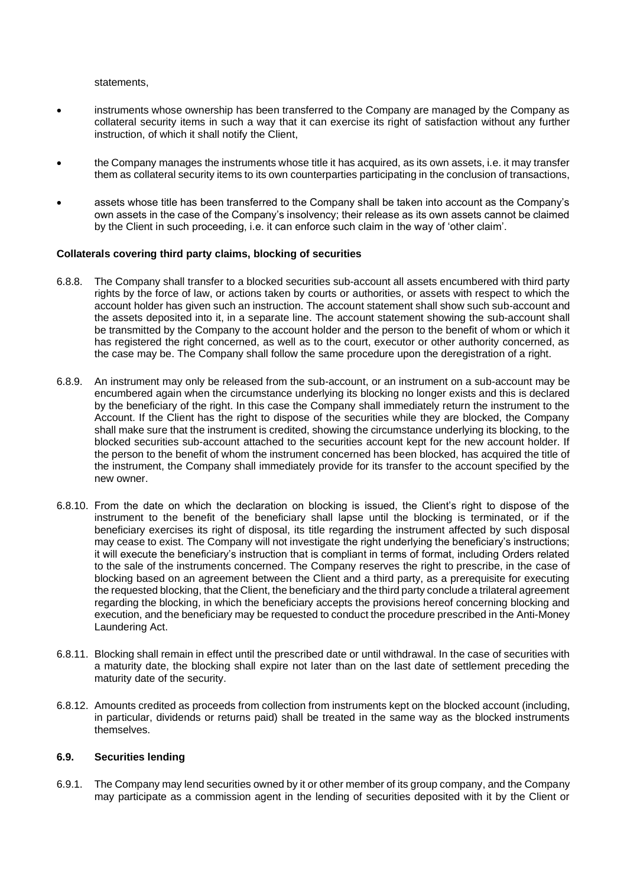statements,

- instruments whose ownership has been transferred to the Company are managed by the Company as collateral security items in such a way that it can exercise its right of satisfaction without any further instruction, of which it shall notify the Client,
- the Company manages the instruments whose title it has acquired, as its own assets, i.e. it may transfer them as collateral security items to its own counterparties participating in the conclusion of transactions,
- assets whose title has been transferred to the Company shall be taken into account as the Company's own assets in the case of the Company's insolvency; their release as its own assets cannot be claimed by the Client in such proceeding, i.e. it can enforce such claim in the way of 'other claim'.

#### <span id="page-44-0"></span>**Collaterals covering third party claims, blocking of securities**

- 6.8.8. The Company shall transfer to a blocked securities sub-account all assets encumbered with third party rights by the force of law, or actions taken by courts or authorities, or assets with respect to which the account holder has given such an instruction. The account statement shall show such sub-account and the assets deposited into it, in a separate line. The account statement showing the sub-account shall be transmitted by the Company to the account holder and the person to the benefit of whom or which it has registered the right concerned, as well as to the court, executor or other authority concerned, as the case may be. The Company shall follow the same procedure upon the deregistration of a right.
- 6.8.9. An instrument may only be released from the sub-account, or an instrument on a sub-account may be encumbered again when the circumstance underlying its blocking no longer exists and this is declared by the beneficiary of the right. In this case the Company shall immediately return the instrument to the Account. If the Client has the right to dispose of the securities while they are blocked, the Company shall make sure that the instrument is credited, showing the circumstance underlying its blocking, to the blocked securities sub-account attached to the securities account kept for the new account holder. If the person to the benefit of whom the instrument concerned has been blocked, has acquired the title of the instrument, the Company shall immediately provide for its transfer to the account specified by the new owner.
- 6.8.10. From the date on which the declaration on blocking is issued, the Client's right to dispose of the instrument to the benefit of the beneficiary shall lapse until the blocking is terminated, or if the beneficiary exercises its right of disposal, its title regarding the instrument affected by such disposal may cease to exist. The Company will not investigate the right underlying the beneficiary's instructions; it will execute the beneficiary's instruction that is compliant in terms of format, including Orders related to the sale of the instruments concerned. The Company reserves the right to prescribe, in the case of blocking based on an agreement between the Client and a third party, as a prerequisite for executing the requested blocking, that the Client, the beneficiary and the third party conclude a trilateral agreement regarding the blocking, in which the beneficiary accepts the provisions hereof concerning blocking and execution, and the beneficiary may be requested to conduct the procedure prescribed in the Anti-Money Laundering Act.
- 6.8.11. Blocking shall remain in effect until the prescribed date or until withdrawal. In the case of securities with a maturity date, the blocking shall expire not later than on the last date of settlement preceding the maturity date of the security.
- 6.8.12. Amounts credited as proceeds from collection from instruments kept on the blocked account (including, in particular, dividends or returns paid) shall be treated in the same way as the blocked instruments themselves.

#### <span id="page-44-1"></span>**6.9. Securities lending**

6.9.1. The Company may lend securities owned by it or other member of its group company, and the Company may participate as a commission agent in the lending of securities deposited with it by the Client or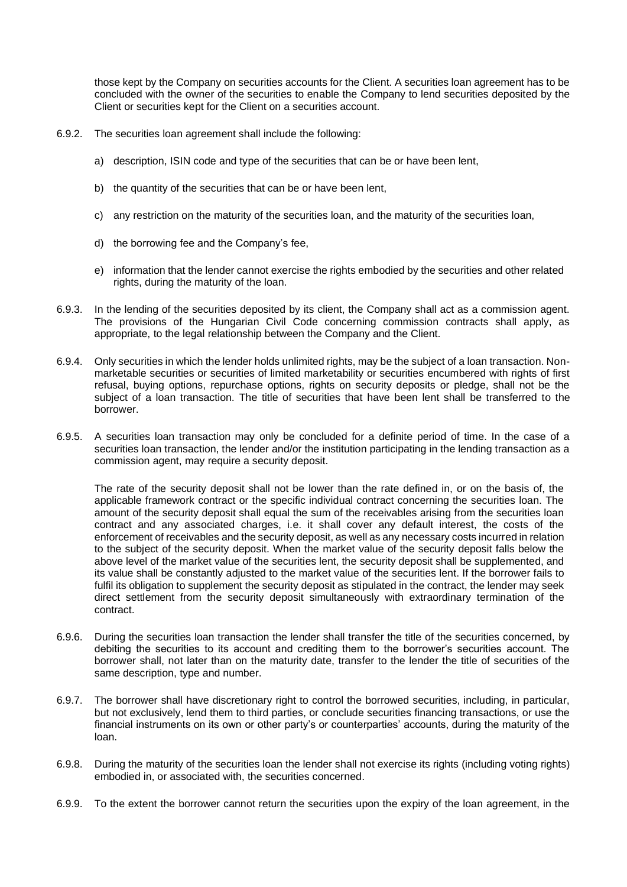those kept by the Company on securities accounts for the Client. A securities loan agreement has to be concluded with the owner of the securities to enable the Company to lend securities deposited by the Client or securities kept for the Client on a securities account.

- 6.9.2. The securities loan agreement shall include the following:
	- a) description, ISIN code and type of the securities that can be or have been lent,
	- b) the quantity of the securities that can be or have been lent,
	- c) any restriction on the maturity of the securities loan, and the maturity of the securities loan,
	- d) the borrowing fee and the Company's fee,
	- e) information that the lender cannot exercise the rights embodied by the securities and other related rights, during the maturity of the loan.
- 6.9.3. In the lending of the securities deposited by its client, the Company shall act as a commission agent. The provisions of the Hungarian Civil Code concerning commission contracts shall apply, as appropriate, to the legal relationship between the Company and the Client.
- 6.9.4. Only securities in which the lender holds unlimited rights, may be the subject of a loan transaction. Nonmarketable securities or securities of limited marketability or securities encumbered with rights of first refusal, buying options, repurchase options, rights on security deposits or pledge, shall not be the subject of a loan transaction. The title of securities that have been lent shall be transferred to the borrower.
- 6.9.5. A securities loan transaction may only be concluded for a definite period of time. In the case of a securities loan transaction, the lender and/or the institution participating in the lending transaction as a commission agent, may require a security deposit.

The rate of the security deposit shall not be lower than the rate defined in, or on the basis of, the applicable framework contract or the specific individual contract concerning the securities loan. The amount of the security deposit shall equal the sum of the receivables arising from the securities loan contract and any associated charges, i.e. it shall cover any default interest, the costs of the enforcement of receivables and the security deposit, as well as any necessary costs incurred in relation to the subject of the security deposit. When the market value of the security deposit falls below the above level of the market value of the securities lent, the security deposit shall be supplemented, and its value shall be constantly adjusted to the market value of the securities lent. If the borrower fails to fulfil its obligation to supplement the security deposit as stipulated in the contract, the lender may seek direct settlement from the security deposit simultaneously with extraordinary termination of the contract.

- 6.9.6. During the securities loan transaction the lender shall transfer the title of the securities concerned, by debiting the securities to its account and crediting them to the borrower's securities account. The borrower shall, not later than on the maturity date, transfer to the lender the title of securities of the same description, type and number.
- 6.9.7. The borrower shall have discretionary right to control the borrowed securities, including, in particular, but not exclusively, lend them to third parties, or conclude securities financing transactions, or use the financial instruments on its own or other party's or counterparties' accounts, during the maturity of the loan.
- 6.9.8. During the maturity of the securities loan the lender shall not exercise its rights (including voting rights) embodied in, or associated with, the securities concerned.
- 6.9.9. To the extent the borrower cannot return the securities upon the expiry of the loan agreement, in the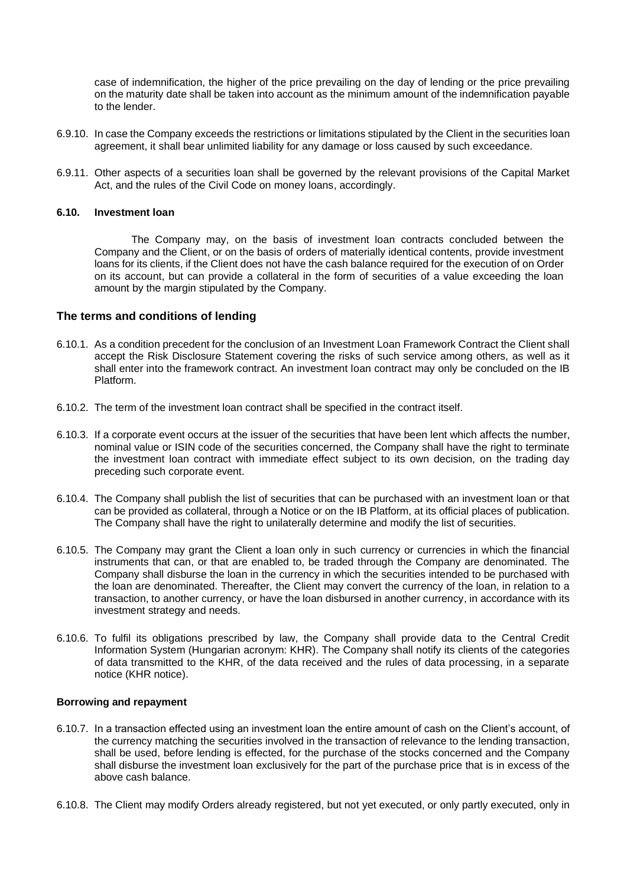case of indemnification, the higher of the price prevailing on the day of lending or the price prevailing on the maturity date shall be taken into account as the minimum amount of the indemnification payable to the lender.

- 6.9.10. In case the Company exceeds the restrictions or limitations stipulated by the Client in the securities loan agreement, it shall bear unlimited liability for any damage or loss caused by such exceedance.
- 6.9.11. Other aspects of a securities loan shall be governed by the relevant provisions of the Capital Market Act, and the rules of the Civil Code on money loans, accordingly.

#### <span id="page-46-0"></span>**6.10. Investment loan**

The Company may, on the basis of investment loan contracts concluded between the Company and the Client, or on the basis of orders of materially identical contents, provide investment loans for its clients, if the Client does not have the cash balance required for the execution of on Order on its account, but can provide a collateral in the form of securities of a value exceeding the loan amount by the margin stipulated by the Company.

#### <span id="page-46-1"></span>**The terms and conditions of lending**

- 6.10.1. As a condition precedent for the conclusion of an Investment Loan Framework Contract the Client shall accept the Risk Disclosure Statement covering the risks of such service among others, as well as it shall enter into the framework contract. An investment loan contract may only be concluded on the IB Platform.
- 6.10.2. The term of the investment loan contract shall be specified in the contract itself.
- 6.10.3. If a corporate event occurs at the issuer of the securities that have been lent which affects the number, nominal value or ISIN code of the securities concerned, the Company shall have the right to terminate the investment loan contract with immediate effect subject to its own decision, on the trading day preceding such corporate event.
- 6.10.4. The Company shall publish the list of securities that can be purchased with an investment loan or that can be provided as collateral, through a Notice or on the IB Platform, at its official places of publication. The Company shall have the right to unilaterally determine and modify the list of securities.
- 6.10.5. The Company may grant the Client a loan only in such currency or currencies in which the financial instruments that can, or that are enabled to, be traded through the Company are denominated. The Company shall disburse the loan in the currency in which the securities intended to be purchased with the loan are denominated. Thereafter, the Client may convert the currency of the loan, in relation to a transaction, to another currency, or have the loan disbursed in another currency, in accordance with its investment strategy and needs.
- 6.10.6. To fulfil its obligations prescribed by law, the Company shall provide data to the Central Credit Information System (Hungarian acronym: KHR). The Company shall notify its clients of the categories of data transmitted to the KHR, of the data received and the rules of data processing, in a separate notice (KHR notice).

#### <span id="page-46-2"></span>**Borrowing and repayment**

- 6.10.7. In a transaction effected using an investment loan the entire amount of cash on the Client's account, of the currency matching the securities involved in the transaction of relevance to the lending transaction, shall be used, before lending is effected, for the purchase of the stocks concerned and the Company shall disburse the investment loan exclusively for the part of the purchase price that is in excess of the above cash balance.
- 6.10.8. The Client may modify Orders already registered, but not yet executed, or only partly executed, only in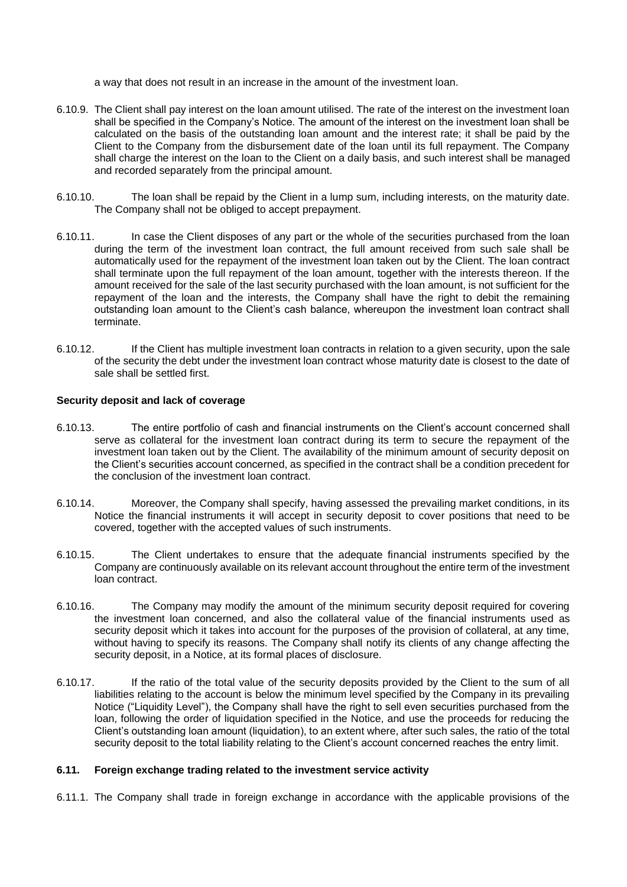a way that does not result in an increase in the amount of the investment loan.

- 6.10.9. The Client shall pay interest on the loan amount utilised. The rate of the interest on the investment loan shall be specified in the Company's Notice. The amount of the interest on the investment loan shall be calculated on the basis of the outstanding loan amount and the interest rate; it shall be paid by the Client to the Company from the disbursement date of the loan until its full repayment. The Company shall charge the interest on the loan to the Client on a daily basis, and such interest shall be managed and recorded separately from the principal amount.
- 6.10.10. The loan shall be repaid by the Client in a lump sum, including interests, on the maturity date. The Company shall not be obliged to accept prepayment.
- 6.10.11. In case the Client disposes of any part or the whole of the securities purchased from the loan during the term of the investment loan contract, the full amount received from such sale shall be automatically used for the repayment of the investment loan taken out by the Client. The loan contract shall terminate upon the full repayment of the loan amount, together with the interests thereon. If the amount received for the sale of the last security purchased with the loan amount, is not sufficient for the repayment of the loan and the interests, the Company shall have the right to debit the remaining outstanding loan amount to the Client's cash balance, whereupon the investment loan contract shall terminate.
- 6.10.12. If the Client has multiple investment loan contracts in relation to a given security, upon the sale of the security the debt under the investment loan contract whose maturity date is closest to the date of sale shall be settled first.

## <span id="page-47-0"></span>**Security deposit and lack of coverage**

- 6.10.13. The entire portfolio of cash and financial instruments on the Client's account concerned shall serve as collateral for the investment loan contract during its term to secure the repayment of the investment loan taken out by the Client. The availability of the minimum amount of security deposit on the Client's securities account concerned, as specified in the contract shall be a condition precedent for the conclusion of the investment loan contract.
- 6.10.14. Moreover, the Company shall specify, having assessed the prevailing market conditions, in its Notice the financial instruments it will accept in security deposit to cover positions that need to be covered, together with the accepted values of such instruments.
- 6.10.15. The Client undertakes to ensure that the adequate financial instruments specified by the Company are continuously available on its relevant account throughout the entire term of the investment loan contract.
- 6.10.16. The Company may modify the amount of the minimum security deposit required for covering the investment loan concerned, and also the collateral value of the financial instruments used as security deposit which it takes into account for the purposes of the provision of collateral, at any time, without having to specify its reasons. The Company shall notify its clients of any change affecting the security deposit, in a Notice, at its formal places of disclosure.
- 6.10.17. If the ratio of the total value of the security deposits provided by the Client to the sum of all liabilities relating to the account is below the minimum level specified by the Company in its prevailing Notice ("Liquidity Level"), the Company shall have the right to sell even securities purchased from the loan, following the order of liquidation specified in the Notice, and use the proceeds for reducing the Client's outstanding loan amount (liquidation), to an extent where, after such sales, the ratio of the total security deposit to the total liability relating to the Client's account concerned reaches the entry limit.

#### <span id="page-47-1"></span>**6.11. Foreign exchange trading related to the investment service activity**

6.11.1. The Company shall trade in foreign exchange in accordance with the applicable provisions of the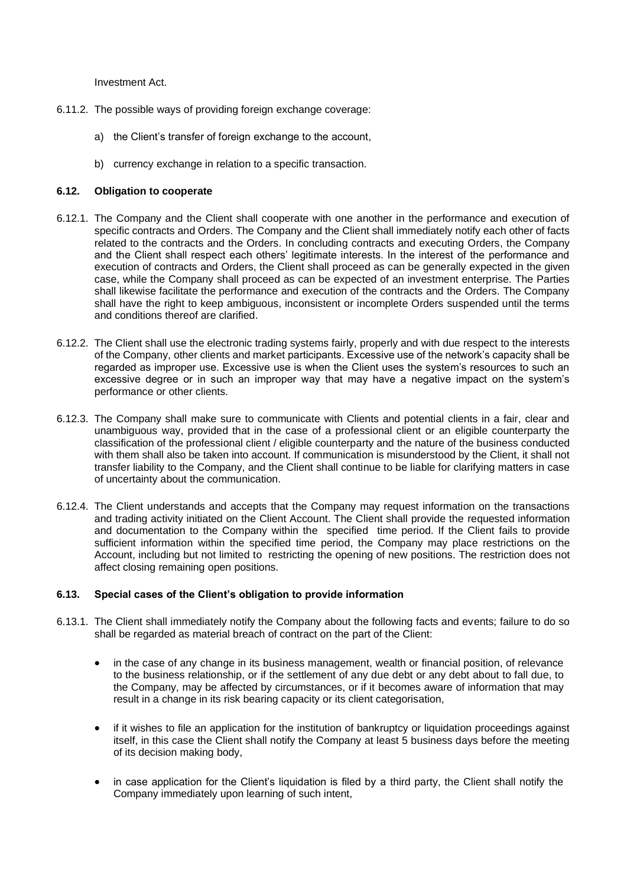Investment Act.

- 6.11.2. The possible ways of providing foreign exchange coverage:
	- a) the Client's transfer of foreign exchange to the account,
	- b) currency exchange in relation to a specific transaction.

## <span id="page-48-0"></span>**6.12. Obligation to cooperate**

- 6.12.1. The Company and the Client shall cooperate with one another in the performance and execution of specific contracts and Orders. The Company and the Client shall immediately notify each other of facts related to the contracts and the Orders. In concluding contracts and executing Orders, the Company and the Client shall respect each others' legitimate interests. In the interest of the performance and execution of contracts and Orders, the Client shall proceed as can be generally expected in the given case, while the Company shall proceed as can be expected of an investment enterprise. The Parties shall likewise facilitate the performance and execution of the contracts and the Orders. The Company shall have the right to keep ambiguous, inconsistent or incomplete Orders suspended until the terms and conditions thereof are clarified.
- 6.12.2. The Client shall use the electronic trading systems fairly, properly and with due respect to the interests of the Company, other clients and market participants. Excessive use of the network's capacity shall be regarded as improper use. Excessive use is when the Client uses the system's resources to such an excessive degree or in such an improper way that may have a negative impact on the system's performance or other clients.
- 6.12.3. The Company shall make sure to communicate with Clients and potential clients in a fair, clear and unambiguous way, provided that in the case of a professional client or an eligible counterparty the classification of the professional client / eligible counterparty and the nature of the business conducted with them shall also be taken into account. If communication is misunderstood by the Client, it shall not transfer liability to the Company, and the Client shall continue to be liable for clarifying matters in case of uncertainty about the communication.
- 6.12.4. The Client understands and accepts that the Company may request information on the transactions and trading activity initiated on the Client Account. The Client shall provide the requested information and documentation to the Company within the specified time period. If the Client fails to provide sufficient information within the specified time period, the Company may place restrictions on the Account, including but not limited to restricting the opening of new positions. The restriction does not affect closing remaining open positions.

# <span id="page-48-1"></span>**6.13. Special cases of the Client's obligation to provide information**

- 6.13.1. The Client shall immediately notify the Company about the following facts and events; failure to do so shall be regarded as material breach of contract on the part of the Client:
	- in the case of any change in its business management, wealth or financial position, of relevance to the business relationship, or if the settlement of any due debt or any debt about to fall due, to the Company, may be affected by circumstances, or if it becomes aware of information that may result in a change in its risk bearing capacity or its client categorisation,
	- if it wishes to file an application for the institution of bankruptcy or liquidation proceedings against itself, in this case the Client shall notify the Company at least 5 business days before the meeting of its decision making body,
	- in case application for the Client's liquidation is filed by a third party, the Client shall notify the Company immediately upon learning of such intent,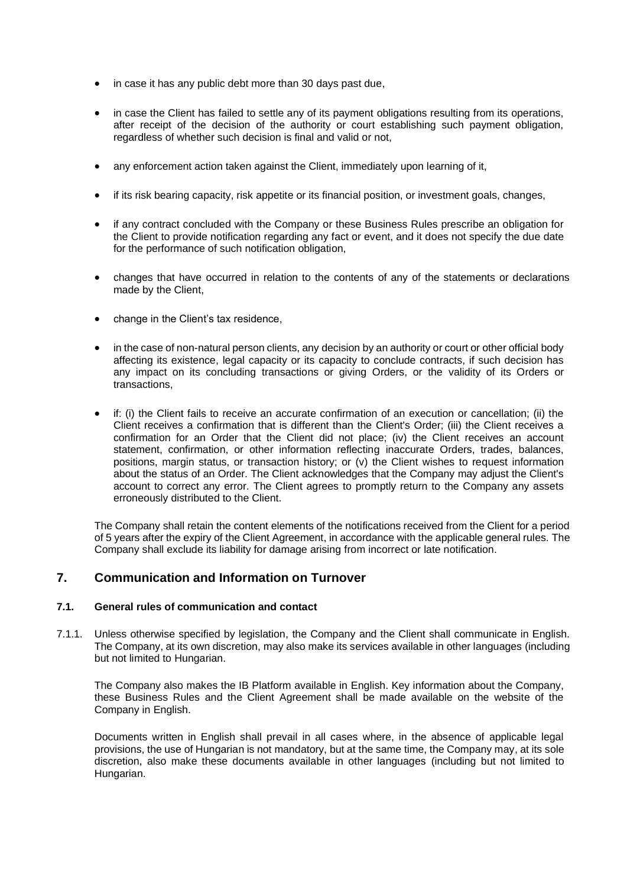- in case it has any public debt more than 30 days past due,
- in case the Client has failed to settle any of its payment obligations resulting from its operations, after receipt of the decision of the authority or court establishing such payment obligation, regardless of whether such decision is final and valid or not,
- any enforcement action taken against the Client, immediately upon learning of it,
- if its risk bearing capacity, risk appetite or its financial position, or investment goals, changes,
- if any contract concluded with the Company or these Business Rules prescribe an obligation for the Client to provide notification regarding any fact or event, and it does not specify the due date for the performance of such notification obligation,
- changes that have occurred in relation to the contents of any of the statements or declarations made by the Client,
- change in the Client's tax residence.
- in the case of non-natural person clients, any decision by an authority or court or other official body affecting its existence, legal capacity or its capacity to conclude contracts, if such decision has any impact on its concluding transactions or giving Orders, or the validity of its Orders or transactions,
- if: (i) the Client fails to receive an accurate confirmation of an execution or cancellation; (ii) the Client receives a confirmation that is different than the Client's Order; (iii) the Client receives a confirmation for an Order that the Client did not place; (iv) the Client receives an account statement, confirmation, or other information reflecting inaccurate Orders, trades, balances, positions, margin status, or transaction history; or (v) the Client wishes to request information about the status of an Order. The Client acknowledges that the Company may adjust the Client's account to correct any error. The Client agrees to promptly return to the Company any assets erroneously distributed to the Client.

The Company shall retain the content elements of the notifications received from the Client for a period of 5 years after the expiry of the Client Agreement, in accordance with the applicable general rules. The Company shall exclude its liability for damage arising from incorrect or late notification.

# <span id="page-49-0"></span>**7. Communication and Information on Turnover**

## <span id="page-49-1"></span>**7.1. General rules of communication and contact**

7.1.1. Unless otherwise specified by legislation, the Company and the Client shall communicate in English. The Company, at its own discretion, may also make its services available in other languages (including but not limited to Hungarian.

The Company also makes the IB Platform available in English. Key information about the Company, these Business Rules and the Client Agreement shall be made available on the website of the Company in English.

Documents written in English shall prevail in all cases where, in the absence of applicable legal provisions, the use of Hungarian is not mandatory, but at the same time, the Company may, at its sole discretion, also make these documents available in other languages (including but not limited to Hungarian.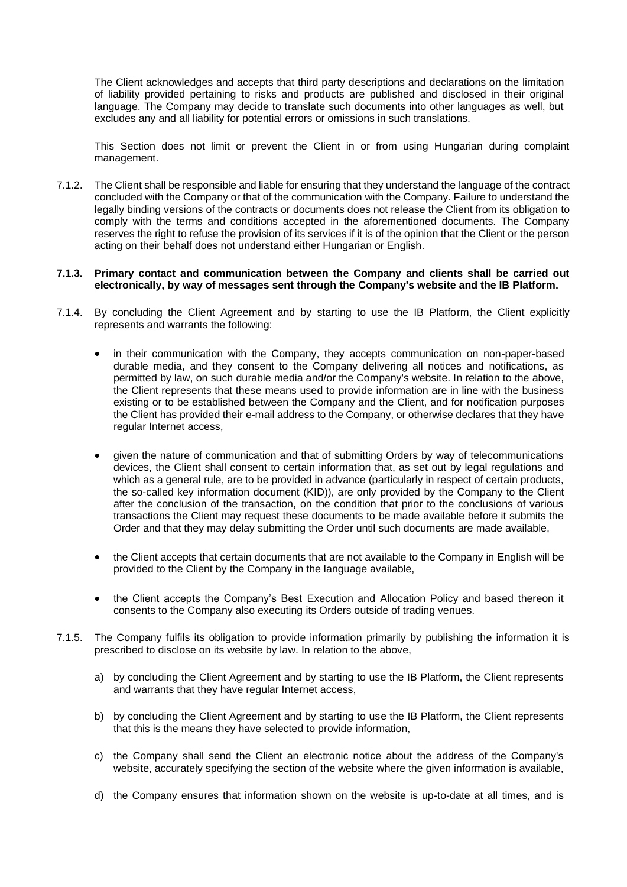The Client acknowledges and accepts that third party descriptions and declarations on the limitation of liability provided pertaining to risks and products are published and disclosed in their original language. The Company may decide to translate such documents into other languages as well, but excludes any and all liability for potential errors or omissions in such translations.

This Section does not limit or prevent the Client in or from using Hungarian during complaint management.

7.1.2. The Client shall be responsible and liable for ensuring that they understand the language of the contract concluded with the Company or that of the communication with the Company. Failure to understand the legally binding versions of the contracts or documents does not release the Client from its obligation to comply with the terms and conditions accepted in the aforementioned documents. The Company reserves the right to refuse the provision of its services if it is of the opinion that the Client or the person acting on their behalf does not understand either Hungarian or English.

#### **7.1.3. Primary contact and communication between the Company and clients shall be carried out electronically, by way of messages sent through the Company's website and the IB Platform.**

- 7.1.4. By concluding the Client Agreement and by starting to use the IB Platform, the Client explicitly represents and warrants the following:
	- in their communication with the Company, they accepts communication on non-paper-based durable media, and they consent to the Company delivering all notices and notifications, as permitted by law, on such durable media and/or the Company's website. In relation to the above, the Client represents that these means used to provide information are in line with the business existing or to be established between the Company and the Client, and for notification purposes the Client has provided their e-mail address to the Company, or otherwise declares that they have regular Internet access,
	- given the nature of communication and that of submitting Orders by way of telecommunications devices, the Client shall consent to certain information that, as set out by legal regulations and which as a general rule, are to be provided in advance (particularly in respect of certain products, the so-called key information document (KID)), are only provided by the Company to the Client after the conclusion of the transaction, on the condition that prior to the conclusions of various transactions the Client may request these documents to be made available before it submits the Order and that they may delay submitting the Order until such documents are made available,
	- the Client accepts that certain documents that are not available to the Company in English will be provided to the Client by the Company in the language available,
	- the Client accepts the Company's Best Execution and Allocation Policy and based thereon it consents to the Company also executing its Orders outside of trading venues.
- 7.1.5. The Company fulfils its obligation to provide information primarily by publishing the information it is prescribed to disclose on its website by law. In relation to the above,
	- a) by concluding the Client Agreement and by starting to use the IB Platform, the Client represents and warrants that they have regular Internet access,
	- b) by concluding the Client Agreement and by starting to use the IB Platform, the Client represents that this is the means they have selected to provide information,
	- c) the Company shall send the Client an electronic notice about the address of the Company's website, accurately specifying the section of the website where the given information is available,
	- d) the Company ensures that information shown on the website is up-to-date at all times, and is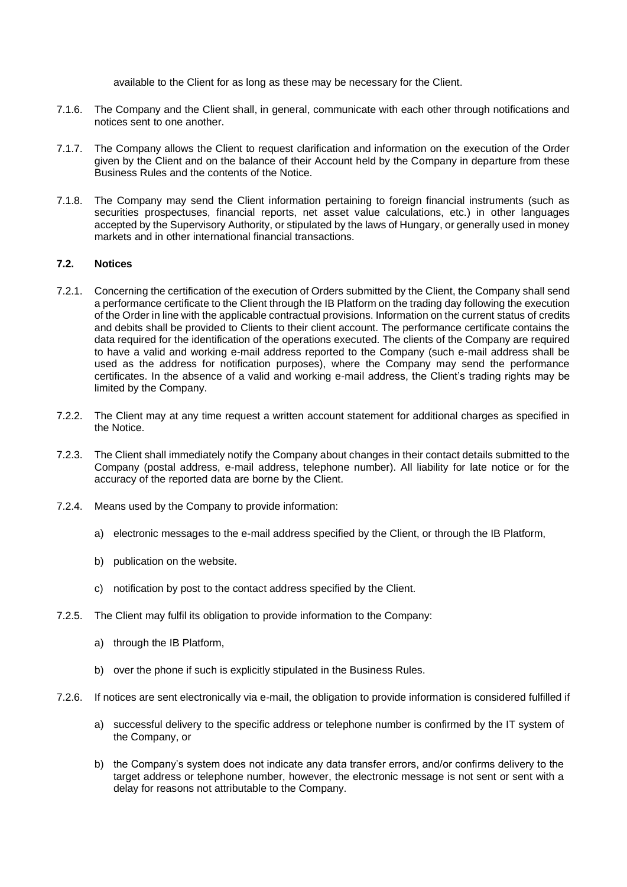available to the Client for as long as these may be necessary for the Client.

- 7.1.6. The Company and the Client shall, in general, communicate with each other through notifications and notices sent to one another.
- 7.1.7. The Company allows the Client to request clarification and information on the execution of the Order given by the Client and on the balance of their Account held by the Company in departure from these Business Rules and the contents of the Notice.
- 7.1.8. The Company may send the Client information pertaining to foreign financial instruments (such as securities prospectuses, financial reports, net asset value calculations, etc.) in other languages accepted by the Supervisory Authority, or stipulated by the laws of Hungary, or generally used in money markets and in other international financial transactions.

## <span id="page-51-0"></span>**7.2. Notices**

- 7.2.1. Concerning the certification of the execution of Orders submitted by the Client, the Company shall send a performance certificate to the Client through the IB Platform on the trading day following the execution of the Order in line with the applicable contractual provisions. Information on the current status of credits and debits shall be provided to Clients to their client account. The performance certificate contains the data required for the identification of the operations executed. The clients of the Company are required to have a valid and working e-mail address reported to the Company (such e-mail address shall be used as the address for notification purposes), where the Company may send the performance certificates. In the absence of a valid and working e-mail address, the Client's trading rights may be limited by the Company.
- 7.2.2. The Client may at any time request a written account statement for additional charges as specified in the Notice.
- 7.2.3. The Client shall immediately notify the Company about changes in their contact details submitted to the Company (postal address, e-mail address, telephone number). All liability for late notice or for the accuracy of the reported data are borne by the Client.
- 7.2.4. Means used by the Company to provide information:
	- a) electronic messages to the e-mail address specified by the Client, or through the IB Platform,
	- b) publication on the website.
	- c) notification by post to the contact address specified by the Client.
- 7.2.5. The Client may fulfil its obligation to provide information to the Company:
	- a) through the IB Platform,
	- b) over the phone if such is explicitly stipulated in the Business Rules.
- 7.2.6. If notices are sent electronically via e-mail, the obligation to provide information is considered fulfilled if
	- a) successful delivery to the specific address or telephone number is confirmed by the IT system of the Company, or
	- b) the Company's system does not indicate any data transfer errors, and/or confirms delivery to the target address or telephone number, however, the electronic message is not sent or sent with a delay for reasons not attributable to the Company.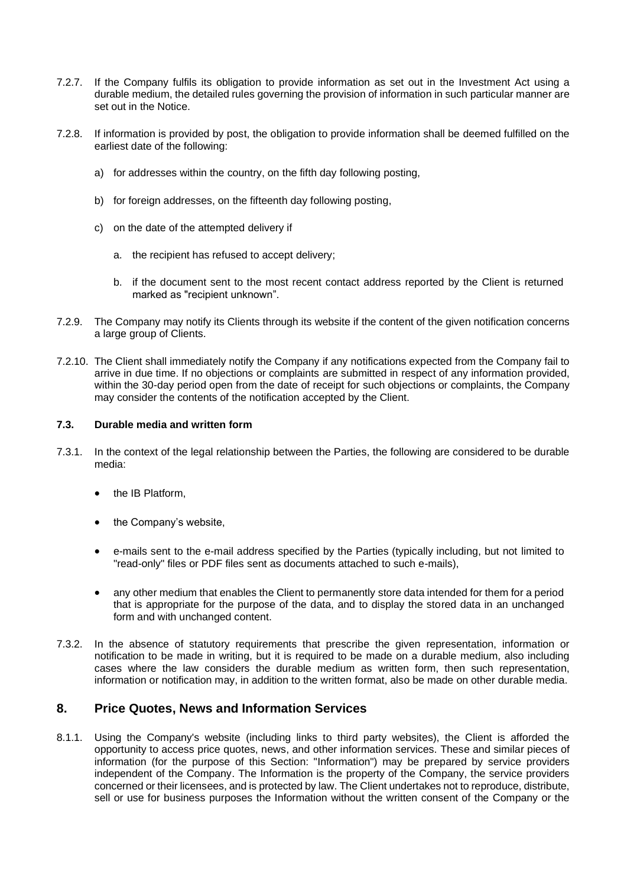- 7.2.7. If the Company fulfils its obligation to provide information as set out in the Investment Act using a durable medium, the detailed rules governing the provision of information in such particular manner are set out in the Notice.
- 7.2.8. If information is provided by post, the obligation to provide information shall be deemed fulfilled on the earliest date of the following:
	- a) for addresses within the country, on the fifth day following posting,
	- b) for foreign addresses, on the fifteenth day following posting,
	- c) on the date of the attempted delivery if
		- a. the recipient has refused to accept delivery;
		- b. if the document sent to the most recent contact address reported by the Client is returned marked as "recipient unknown".
- 7.2.9. The Company may notify its Clients through its website if the content of the given notification concerns a large group of Clients.
- 7.2.10. The Client shall immediately notify the Company if any notifications expected from the Company fail to arrive in due time. If no objections or complaints are submitted in respect of any information provided, within the 30-day period open from the date of receipt for such objections or complaints, the Company may consider the contents of the notification accepted by the Client.

# <span id="page-52-0"></span>**7.3. Durable media and written form**

- 7.3.1. In the context of the legal relationship between the Parties, the following are considered to be durable media:
	- the IB Platform,
	- the Company's website,
	- e-mails sent to the e-mail address specified by the Parties (typically including, but not limited to "read-only" files or PDF files sent as documents attached to such e-mails),
	- any other medium that enables the Client to permanently store data intended for them for a period that is appropriate for the purpose of the data, and to display the stored data in an unchanged form and with unchanged content.
- 7.3.2. In the absence of statutory requirements that prescribe the given representation, information or notification to be made in writing, but it is required to be made on a durable medium, also including cases where the law considers the durable medium as written form, then such representation, information or notification may, in addition to the written format, also be made on other durable media.

# <span id="page-52-1"></span>**8. Price Quotes, News and Information Services**

8.1.1. Using the Company's website (including links to third party websites), the Client is afforded the opportunity to access price quotes, news, and other information services. These and similar pieces of information (for the purpose of this Section: "Information") may be prepared by service providers independent of the Company. The Information is the property of the Company, the service providers concerned or their licensees, and is protected by law. The Client undertakes not to reproduce, distribute, sell or use for business purposes the Information without the written consent of the Company or the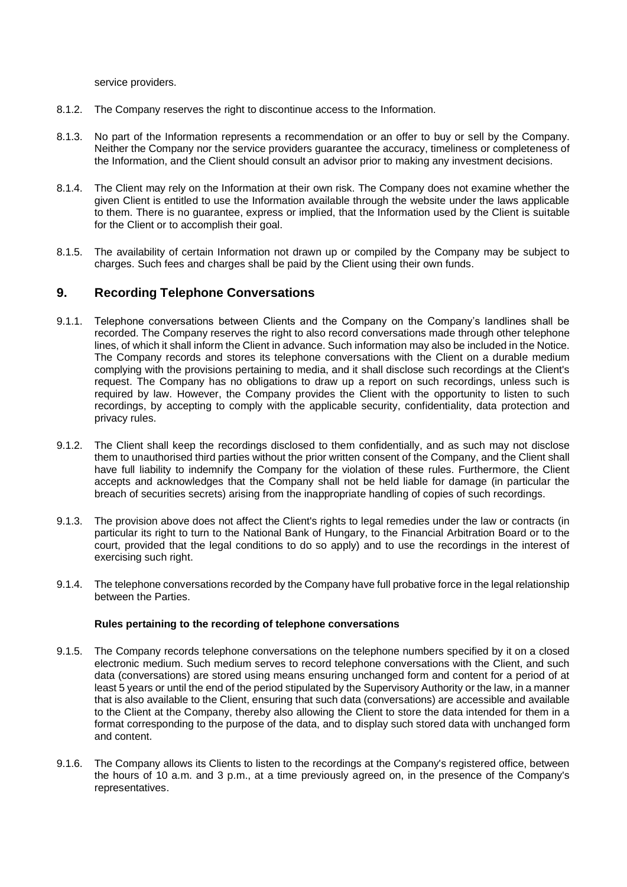service providers.

- 8.1.2. The Company reserves the right to discontinue access to the Information.
- 8.1.3. No part of the Information represents a recommendation or an offer to buy or sell by the Company. Neither the Company nor the service providers guarantee the accuracy, timeliness or completeness of the Information, and the Client should consult an advisor prior to making any investment decisions.
- 8.1.4. The Client may rely on the Information at their own risk. The Company does not examine whether the given Client is entitled to use the Information available through the website under the laws applicable to them. There is no guarantee, express or implied, that the Information used by the Client is suitable for the Client or to accomplish their goal.
- 8.1.5. The availability of certain Information not drawn up or compiled by the Company may be subject to charges. Such fees and charges shall be paid by the Client using their own funds.

# <span id="page-53-0"></span>**9. Recording Telephone Conversations**

- 9.1.1. Telephone conversations between Clients and the Company on the Company's landlines shall be recorded. The Company reserves the right to also record conversations made through other telephone lines, of which it shall inform the Client in advance. Such information may also be included in the Notice. The Company records and stores its telephone conversations with the Client on a durable medium complying with the provisions pertaining to media, and it shall disclose such recordings at the Client's request. The Company has no obligations to draw up a report on such recordings, unless such is required by law. However, the Company provides the Client with the opportunity to listen to such recordings, by accepting to comply with the applicable security, confidentiality, data protection and privacy rules.
- 9.1.2. The Client shall keep the recordings disclosed to them confidentially, and as such may not disclose them to unauthorised third parties without the prior written consent of the Company, and the Client shall have full liability to indemnify the Company for the violation of these rules. Furthermore, the Client accepts and acknowledges that the Company shall not be held liable for damage (in particular the breach of securities secrets) arising from the inappropriate handling of copies of such recordings.
- 9.1.3. The provision above does not affect the Client's rights to legal remedies under the law or contracts (in particular its right to turn to the National Bank of Hungary, to the Financial Arbitration Board or to the court, provided that the legal conditions to do so apply) and to use the recordings in the interest of exercising such right.
- 9.1.4. The telephone conversations recorded by the Company have full probative force in the legal relationship between the Parties.

#### **Rules pertaining to the recording of telephone conversations**

- 9.1.5. The Company records telephone conversations on the telephone numbers specified by it on a closed electronic medium. Such medium serves to record telephone conversations with the Client, and such data (conversations) are stored using means ensuring unchanged form and content for a period of at least 5 years or until the end of the period stipulated by the Supervisory Authority or the law, in a manner that is also available to the Client, ensuring that such data (conversations) are accessible and available to the Client at the Company, thereby also allowing the Client to store the data intended for them in a format corresponding to the purpose of the data, and to display such stored data with unchanged form and content.
- 9.1.6. The Company allows its Clients to listen to the recordings at the Company's registered office, between the hours of 10 a.m. and 3 p.m., at a time previously agreed on, in the presence of the Company's representatives.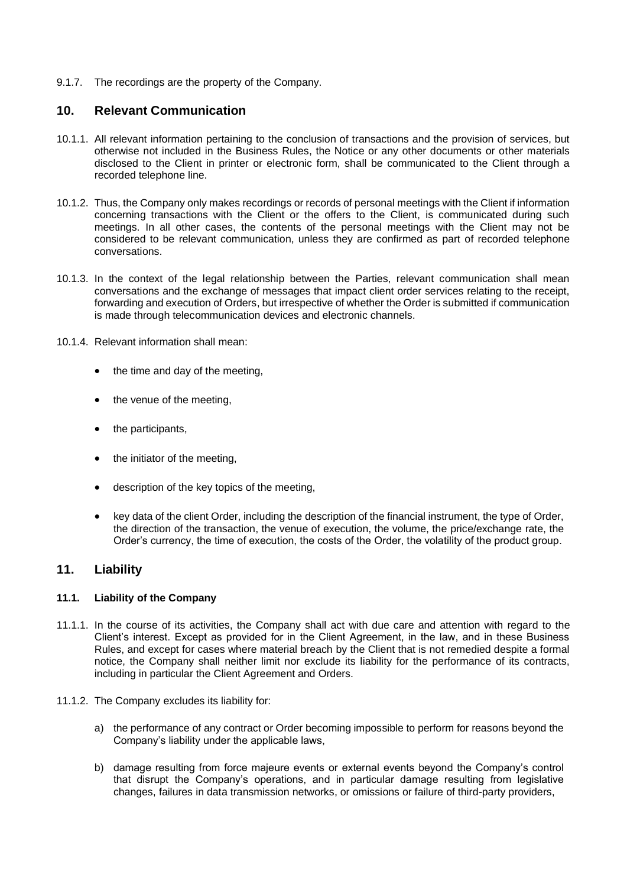9.1.7. The recordings are the property of the Company.

# <span id="page-54-0"></span>**10. Relevant Communication**

- 10.1.1. All relevant information pertaining to the conclusion of transactions and the provision of services, but otherwise not included in the Business Rules, the Notice or any other documents or other materials disclosed to the Client in printer or electronic form, shall be communicated to the Client through a recorded telephone line.
- 10.1.2. Thus, the Company only makes recordings or records of personal meetings with the Client if information concerning transactions with the Client or the offers to the Client, is communicated during such meetings. In all other cases, the contents of the personal meetings with the Client may not be considered to be relevant communication, unless they are confirmed as part of recorded telephone conversations.
- 10.1.3. In the context of the legal relationship between the Parties, relevant communication shall mean conversations and the exchange of messages that impact client order services relating to the receipt, forwarding and execution of Orders, but irrespective of whether the Order is submitted if communication is made through telecommunication devices and electronic channels.
- 10.1.4. Relevant information shall mean:
	- the time and day of the meeting,
	- the venue of the meeting.
	- the participants,
	- the initiator of the meeting,
	- description of the key topics of the meeting,
	- key data of the client Order, including the description of the financial instrument, the type of Order, the direction of the transaction, the venue of execution, the volume, the price/exchange rate, the Order's currency, the time of execution, the costs of the Order, the volatility of the product group.

# <span id="page-54-1"></span>**11. Liability**

#### <span id="page-54-2"></span>**11.1. Liability of the Company**

- 11.1.1. In the course of its activities, the Company shall act with due care and attention with regard to the Client's interest. Except as provided for in the Client Agreement, in the law, and in these Business Rules, and except for cases where material breach by the Client that is not remedied despite a formal notice, the Company shall neither limit nor exclude its liability for the performance of its contracts, including in particular the Client Agreement and Orders.
- 11.1.2. The Company excludes its liability for:
	- a) the performance of any contract or Order becoming impossible to perform for reasons beyond the Company's liability under the applicable laws,
	- b) damage resulting from force majeure events or external events beyond the Company's control that disrupt the Company's operations, and in particular damage resulting from legislative changes, failures in data transmission networks, or omissions or failure of third-party providers,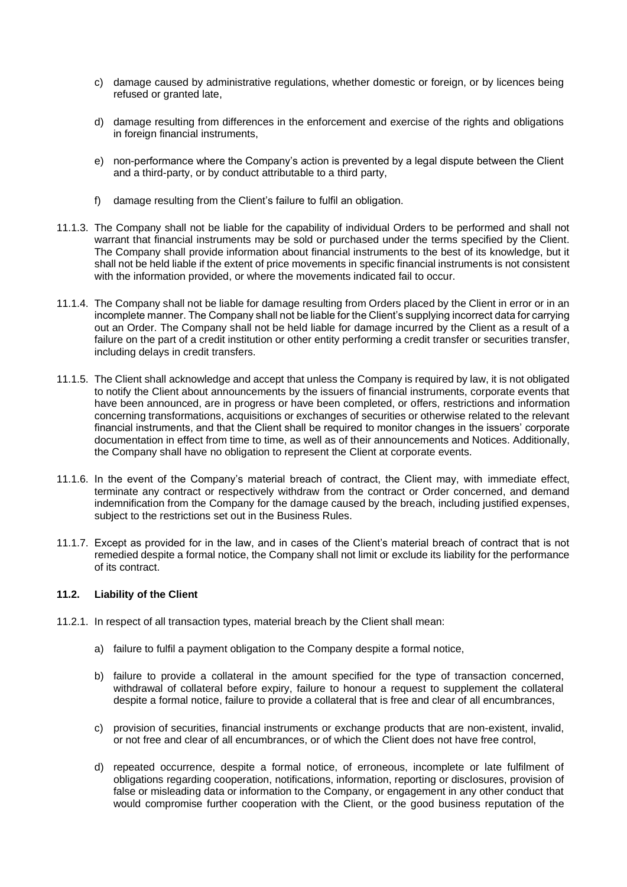- c) damage caused by administrative regulations, whether domestic or foreign, or by licences being refused or granted late,
- d) damage resulting from differences in the enforcement and exercise of the rights and obligations in foreign financial instruments,
- e) non-performance where the Company's action is prevented by a legal dispute between the Client and a third-party, or by conduct attributable to a third party,
- f) damage resulting from the Client's failure to fulfil an obligation.
- 11.1.3. The Company shall not be liable for the capability of individual Orders to be performed and shall not warrant that financial instruments may be sold or purchased under the terms specified by the Client. The Company shall provide information about financial instruments to the best of its knowledge, but it shall not be held liable if the extent of price movements in specific financial instruments is not consistent with the information provided, or where the movements indicated fail to occur.
- 11.1.4. The Company shall not be liable for damage resulting from Orders placed by the Client in error or in an incomplete manner. The Company shall not be liable for the Client's supplying incorrect data for carrying out an Order. The Company shall not be held liable for damage incurred by the Client as a result of a failure on the part of a credit institution or other entity performing a credit transfer or securities transfer, including delays in credit transfers.
- 11.1.5. The Client shall acknowledge and accept that unless the Company is required by law, it is not obligated to notify the Client about announcements by the issuers of financial instruments, corporate events that have been announced, are in progress or have been completed, or offers, restrictions and information concerning transformations, acquisitions or exchanges of securities or otherwise related to the relevant financial instruments, and that the Client shall be required to monitor changes in the issuers' corporate documentation in effect from time to time, as well as of their announcements and Notices. Additionally, the Company shall have no obligation to represent the Client at corporate events.
- 11.1.6. In the event of the Company's material breach of contract, the Client may, with immediate effect, terminate any contract or respectively withdraw from the contract or Order concerned, and demand indemnification from the Company for the damage caused by the breach, including justified expenses, subject to the restrictions set out in the Business Rules.
- 11.1.7. Except as provided for in the law, and in cases of the Client's material breach of contract that is not remedied despite a formal notice, the Company shall not limit or exclude its liability for the performance of its contract.

#### <span id="page-55-0"></span>**11.2. Liability of the Client**

- 11.2.1. In respect of all transaction types, material breach by the Client shall mean:
	- a) failure to fulfil a payment obligation to the Company despite a formal notice,
	- b) failure to provide a collateral in the amount specified for the type of transaction concerned, withdrawal of collateral before expiry, failure to honour a request to supplement the collateral despite a formal notice, failure to provide a collateral that is free and clear of all encumbrances,
	- c) provision of securities, financial instruments or exchange products that are non-existent, invalid, or not free and clear of all encumbrances, or of which the Client does not have free control,
	- d) repeated occurrence, despite a formal notice, of erroneous, incomplete or late fulfilment of obligations regarding cooperation, notifications, information, reporting or disclosures, provision of false or misleading data or information to the Company, or engagement in any other conduct that would compromise further cooperation with the Client, or the good business reputation of the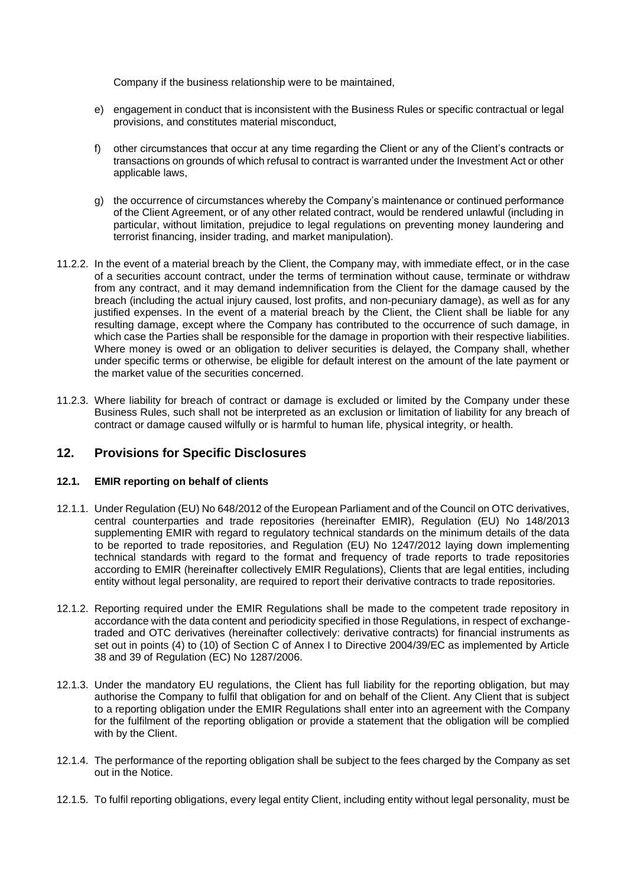Company if the business relationship were to be maintained,

- e) engagement in conduct that is inconsistent with the Business Rules or specific contractual or legal provisions, and constitutes material misconduct,
- f) other circumstances that occur at any time regarding the Client or any of the Client's contracts or transactions on grounds of which refusal to contract is warranted under the Investment Act or other applicable laws,
- g) the occurrence of circumstances whereby the Company's maintenance or continued performance of the Client Agreement, or of any other related contract, would be rendered unlawful (including in particular, without limitation, prejudice to legal regulations on preventing money laundering and terrorist financing, insider trading, and market manipulation).
- 11.2.2. In the event of a material breach by the Client, the Company may, with immediate effect, or in the case of a securities account contract, under the terms of termination without cause, terminate or withdraw from any contract, and it may demand indemnification from the Client for the damage caused by the breach (including the actual injury caused, lost profits, and non-pecuniary damage), as well as for any justified expenses. In the event of a material breach by the Client, the Client shall be liable for any resulting damage, except where the Company has contributed to the occurrence of such damage, in which case the Parties shall be responsible for the damage in proportion with their respective liabilities. Where money is owed or an obligation to deliver securities is delayed, the Company shall, whether under specific terms or otherwise, be eligible for default interest on the amount of the late payment or the market value of the securities concerned.
- 11.2.3. Where liability for breach of contract or damage is excluded or limited by the Company under these Business Rules, such shall not be interpreted as an exclusion or limitation of liability for any breach of contract or damage caused wilfully or is harmful to human life, physical integrity, or health.

# <span id="page-56-0"></span>**12. Provisions for Specific Disclosures**

# <span id="page-56-1"></span>**12.1. EMIR reporting on behalf of clients**

- 12.1.1. Under Regulation (EU) No 648/2012 of the European Parliament and of the Council on OTC derivatives, central counterparties and trade repositories (hereinafter EMIR), Regulation (EU) No 148/2013 supplementing EMIR with regard to regulatory technical standards on the minimum details of the data to be reported to trade repositories, and Regulation (EU) No 1247/2012 laying down implementing technical standards with regard to the format and frequency of trade reports to trade repositories according to EMIR (hereinafter collectively EMIR Regulations), Clients that are legal entities, including entity without legal personality, are required to report their derivative contracts to trade repositories.
- 12.1.2. Reporting required under the EMIR Regulations shall be made to the competent trade repository in accordance with the data content and periodicity specified in those Regulations, in respect of exchangetraded and OTC derivatives (hereinafter collectively: derivative contracts) for financial instruments as set out in points (4) to (10) of Section C of Annex I to Directive 2004/39/EC as implemented by Article 38 and 39 of Regulation (EC) No 1287/2006.
- 12.1.3. Under the mandatory EU regulations, the Client has full liability for the reporting obligation, but may authorise the Company to fulfil that obligation for and on behalf of the Client. Any Client that is subject to a reporting obligation under the EMIR Regulations shall enter into an agreement with the Company for the fulfilment of the reporting obligation or provide a statement that the obligation will be complied with by the Client.
- 12.1.4. The performance of the reporting obligation shall be subject to the fees charged by the Company as set out in the Notice.
- 12.1.5. To fulfil reporting obligations, every legal entity Client, including entity without legal personality, must be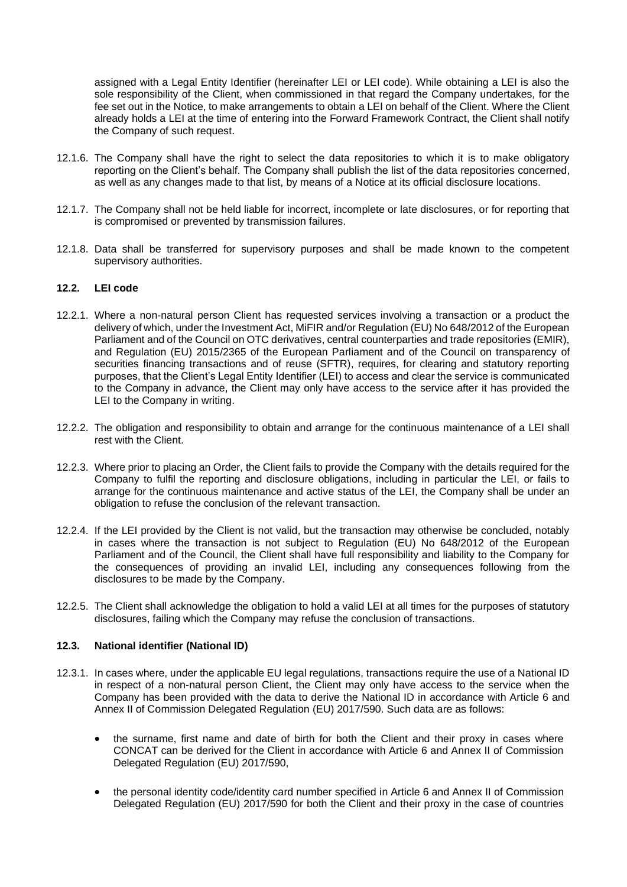assigned with a Legal Entity Identifier (hereinafter LEI or LEI code). While obtaining a LEI is also the sole responsibility of the Client, when commissioned in that regard the Company undertakes, for the fee set out in the Notice, to make arrangements to obtain a LEI on behalf of the Client. Where the Client already holds a LEI at the time of entering into the Forward Framework Contract, the Client shall notify the Company of such request.

- 12.1.6. The Company shall have the right to select the data repositories to which it is to make obligatory reporting on the Client's behalf. The Company shall publish the list of the data repositories concerned, as well as any changes made to that list, by means of a Notice at its official disclosure locations.
- 12.1.7. The Company shall not be held liable for incorrect, incomplete or late disclosures, or for reporting that is compromised or prevented by transmission failures.
- 12.1.8. Data shall be transferred for supervisory purposes and shall be made known to the competent supervisory authorities.

## <span id="page-57-0"></span>**12.2. LEI code**

- 12.2.1. Where a non-natural person Client has requested services involving a transaction or a product the delivery of which, under the Investment Act, MiFIR and/or Regulation (EU) No 648/2012 of the European Parliament and of the Council on OTC derivatives, central counterparties and trade repositories (EMIR), and Regulation (EU) 2015/2365 of the European Parliament and of the Council on transparency of securities financing transactions and of reuse (SFTR), requires, for clearing and statutory reporting purposes, that the Client's Legal Entity Identifier (LEI) to access and clear the service is communicated to the Company in advance, the Client may only have access to the service after it has provided the LEI to the Company in writing.
- 12.2.2. The obligation and responsibility to obtain and arrange for the continuous maintenance of a LEI shall rest with the Client.
- 12.2.3. Where prior to placing an Order, the Client fails to provide the Company with the details required for the Company to fulfil the reporting and disclosure obligations, including in particular the LEI, or fails to arrange for the continuous maintenance and active status of the LEI, the Company shall be under an obligation to refuse the conclusion of the relevant transaction.
- 12.2.4. If the LEI provided by the Client is not valid, but the transaction may otherwise be concluded, notably in cases where the transaction is not subject to Regulation (EU) No 648/2012 of the European Parliament and of the Council, the Client shall have full responsibility and liability to the Company for the consequences of providing an invalid LEI, including any consequences following from the disclosures to be made by the Company.
- 12.2.5. The Client shall acknowledge the obligation to hold a valid LEI at all times for the purposes of statutory disclosures, failing which the Company may refuse the conclusion of transactions.

#### <span id="page-57-1"></span>**12.3. National identifier (National ID)**

- 12.3.1. In cases where, under the applicable EU legal regulations, transactions require the use of a National ID in respect of a non-natural person Client, the Client may only have access to the service when the Company has been provided with the data to derive the National ID in accordance with Article 6 and Annex II of Commission Delegated Regulation (EU) 2017/590. Such data are as follows:
	- the surname, first name and date of birth for both the Client and their proxy in cases where CONCAT can be derived for the Client in accordance with Article 6 and Annex II of Commission Delegated Regulation (EU) 2017/590,
	- the personal identity code/identity card number specified in Article 6 and Annex II of Commission Delegated Regulation (EU) 2017/590 for both the Client and their proxy in the case of countries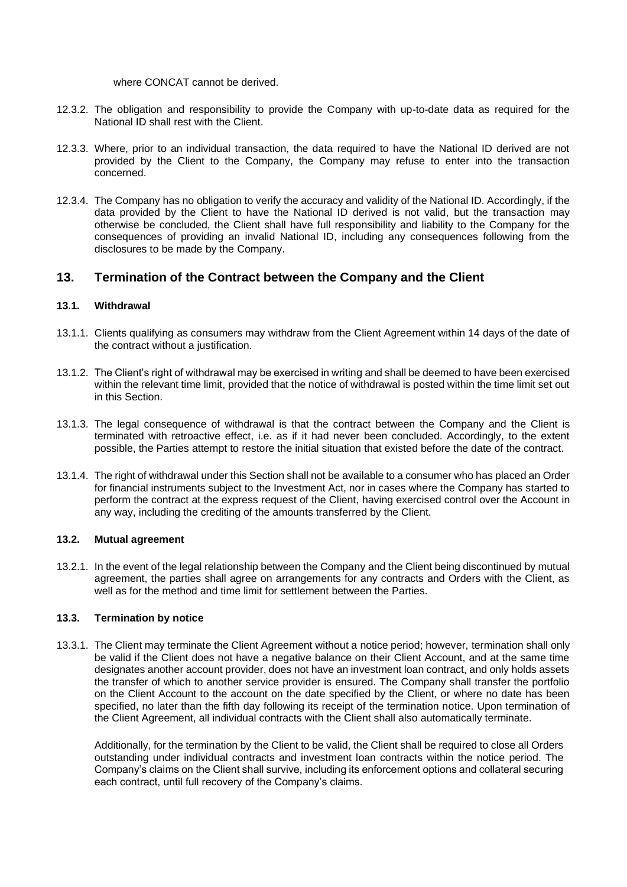where CONCAT cannot be derived.

- 12.3.2. The obligation and responsibility to provide the Company with up-to-date data as required for the National ID shall rest with the Client.
- 12.3.3. Where, prior to an individual transaction, the data required to have the National ID derived are not provided by the Client to the Company, the Company may refuse to enter into the transaction concerned.
- 12.3.4. The Company has no obligation to verify the accuracy and validity of the National ID. Accordingly, if the data provided by the Client to have the National ID derived is not valid, but the transaction may otherwise be concluded, the Client shall have full responsibility and liability to the Company for the consequences of providing an invalid National ID, including any consequences following from the disclosures to be made by the Company.

# <span id="page-58-0"></span>**13. Termination of the Contract between the Company and the Client**

## <span id="page-58-1"></span>**13.1. Withdrawal**

- 13.1.1. Clients qualifying as consumers may withdraw from the Client Agreement within 14 days of the date of the contract without a justification.
- 13.1.2. The Client's right of withdrawal may be exercised in writing and shall be deemed to have been exercised within the relevant time limit, provided that the notice of withdrawal is posted within the time limit set out in this Section.
- 13.1.3. The legal consequence of withdrawal is that the contract between the Company and the Client is terminated with retroactive effect, i.e. as if it had never been concluded. Accordingly, to the extent possible, the Parties attempt to restore the initial situation that existed before the date of the contract.
- 13.1.4. The right of withdrawal under this Section shall not be available to a consumer who has placed an Order for financial instruments subject to the Investment Act, nor in cases where the Company has started to perform the contract at the express request of the Client, having exercised control over the Account in any way, including the crediting of the amounts transferred by the Client.

#### <span id="page-58-2"></span>**13.2. Mutual agreement**

13.2.1. In the event of the legal relationship between the Company and the Client being discontinued by mutual agreement, the parties shall agree on arrangements for any contracts and Orders with the Client, as well as for the method and time limit for settlement between the Parties.

#### <span id="page-58-3"></span>**13.3. Termination by notice**

13.3.1. The Client may terminate the Client Agreement without a notice period; however, termination shall only be valid if the Client does not have a negative balance on their Client Account, and at the same time designates another account provider, does not have an investment loan contract, and only holds assets the transfer of which to another service provider is ensured. The Company shall transfer the portfolio on the Client Account to the account on the date specified by the Client, or where no date has been specified, no later than the fifth day following its receipt of the termination notice. Upon termination of the Client Agreement, all individual contracts with the Client shall also automatically terminate.

Additionally, for the termination by the Client to be valid, the Client shall be required to close all Orders outstanding under individual contracts and investment loan contracts within the notice period. The Company's claims on the Client shall survive, including its enforcement options and collateral securing each contract, until full recovery of the Company's claims.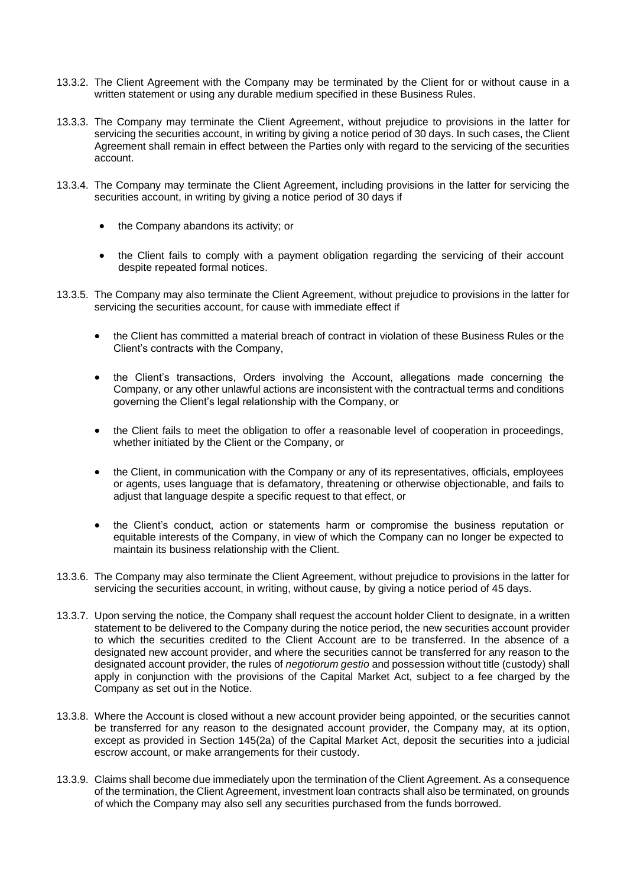- 13.3.2. The Client Agreement with the Company may be terminated by the Client for or without cause in a written statement or using any durable medium specified in these Business Rules.
- 13.3.3. The Company may terminate the Client Agreement, without prejudice to provisions in the latter for servicing the securities account, in writing by giving a notice period of 30 days. In such cases, the Client Agreement shall remain in effect between the Parties only with regard to the servicing of the securities account.
- 13.3.4. The Company may terminate the Client Agreement, including provisions in the latter for servicing the securities account, in writing by giving a notice period of 30 days if
	- the Company abandons its activity; or
	- the Client fails to comply with a payment obligation regarding the servicing of their account despite repeated formal notices.
- 13.3.5. The Company may also terminate the Client Agreement, without prejudice to provisions in the latter for servicing the securities account, for cause with immediate effect if
	- the Client has committed a material breach of contract in violation of these Business Rules or the Client's contracts with the Company,
	- the Client's transactions, Orders involving the Account, allegations made concerning the Company, or any other unlawful actions are inconsistent with the contractual terms and conditions governing the Client's legal relationship with the Company, or
	- the Client fails to meet the obligation to offer a reasonable level of cooperation in proceedings, whether initiated by the Client or the Company, or
	- the Client, in communication with the Company or any of its representatives, officials, employees or agents, uses language that is defamatory, threatening or otherwise objectionable, and fails to adjust that language despite a specific request to that effect, or
	- the Client's conduct, action or statements harm or compromise the business reputation or equitable interests of the Company, in view of which the Company can no longer be expected to maintain its business relationship with the Client.
- 13.3.6. The Company may also terminate the Client Agreement, without prejudice to provisions in the latter for servicing the securities account, in writing, without cause, by giving a notice period of 45 days.
- 13.3.7. Upon serving the notice, the Company shall request the account holder Client to designate, in a written statement to be delivered to the Company during the notice period, the new securities account provider to which the securities credited to the Client Account are to be transferred. In the absence of a designated new account provider, and where the securities cannot be transferred for any reason to the designated account provider, the rules of *negotiorum gestio* and possession without title (custody) shall apply in conjunction with the provisions of the Capital Market Act, subject to a fee charged by the Company as set out in the Notice.
- 13.3.8. Where the Account is closed without a new account provider being appointed, or the securities cannot be transferred for any reason to the designated account provider, the Company may, at its option, except as provided in Section 145(2a) of the Capital Market Act, deposit the securities into a judicial escrow account, or make arrangements for their custody.
- 13.3.9. Claims shall become due immediately upon the termination of the Client Agreement. As a consequence of the termination, the Client Agreement, investment loan contracts shall also be terminated, on grounds of which the Company may also sell any securities purchased from the funds borrowed.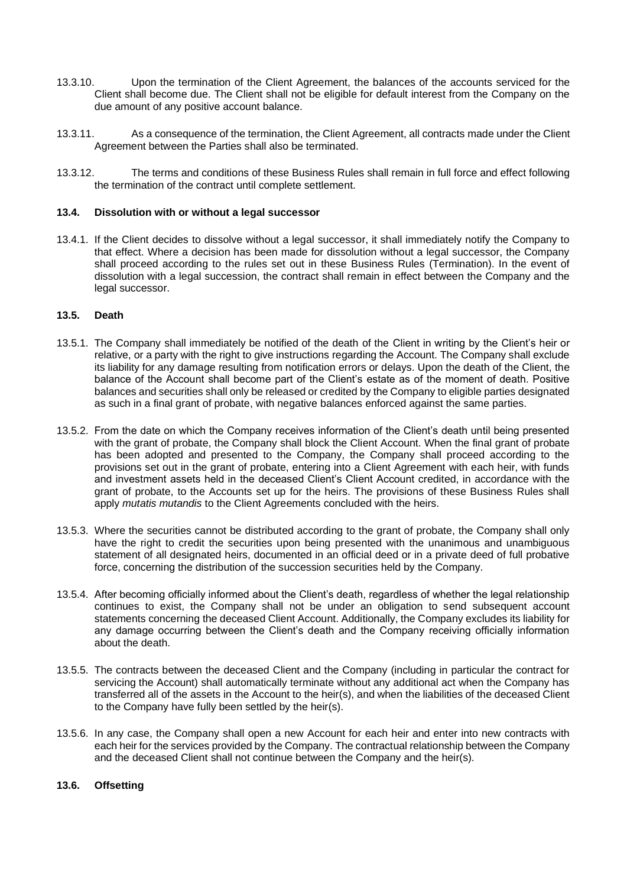- 13.3.10. Upon the termination of the Client Agreement, the balances of the accounts serviced for the Client shall become due. The Client shall not be eligible for default interest from the Company on the due amount of any positive account balance.
- 13.3.11. As a consequence of the termination, the Client Agreement, all contracts made under the Client Agreement between the Parties shall also be terminated.
- 13.3.12. The terms and conditions of these Business Rules shall remain in full force and effect following the termination of the contract until complete settlement.

#### <span id="page-60-0"></span>**13.4. Dissolution with or without a legal successor**

13.4.1. If the Client decides to dissolve without a legal successor, it shall immediately notify the Company to that effect. Where a decision has been made for dissolution without a legal successor, the Company shall proceed according to the rules set out in these Business Rules (Termination). In the event of dissolution with a legal succession, the contract shall remain in effect between the Company and the legal successor.

# <span id="page-60-1"></span>**13.5. Death**

- 13.5.1. The Company shall immediately be notified of the death of the Client in writing by the Client's heir or relative, or a party with the right to give instructions regarding the Account. The Company shall exclude its liability for any damage resulting from notification errors or delays. Upon the death of the Client, the balance of the Account shall become part of the Client's estate as of the moment of death. Positive balances and securities shall only be released or credited by the Company to eligible parties designated as such in a final grant of probate, with negative balances enforced against the same parties.
- 13.5.2. From the date on which the Company receives information of the Client's death until being presented with the grant of probate, the Company shall block the Client Account. When the final grant of probate has been adopted and presented to the Company, the Company shall proceed according to the provisions set out in the grant of probate, entering into a Client Agreement with each heir, with funds and investment assets held in the deceased Client's Client Account credited, in accordance with the grant of probate, to the Accounts set up for the heirs. The provisions of these Business Rules shall apply *mutatis mutandis* to the Client Agreements concluded with the heirs.
- 13.5.3. Where the securities cannot be distributed according to the grant of probate, the Company shall only have the right to credit the securities upon being presented with the unanimous and unambiguous statement of all designated heirs, documented in an official deed or in a private deed of full probative force, concerning the distribution of the succession securities held by the Company.
- 13.5.4. After becoming officially informed about the Client's death, regardless of whether the legal relationship continues to exist, the Company shall not be under an obligation to send subsequent account statements concerning the deceased Client Account. Additionally, the Company excludes its liability for any damage occurring between the Client's death and the Company receiving officially information about the death.
- 13.5.5. The contracts between the deceased Client and the Company (including in particular the contract for servicing the Account) shall automatically terminate without any additional act when the Company has transferred all of the assets in the Account to the heir(s), and when the liabilities of the deceased Client to the Company have fully been settled by the heir(s).
- 13.5.6. In any case, the Company shall open a new Account for each heir and enter into new contracts with each heir for the services provided by the Company. The contractual relationship between the Company and the deceased Client shall not continue between the Company and the heir(s).

#### <span id="page-60-2"></span>**13.6. Offsetting**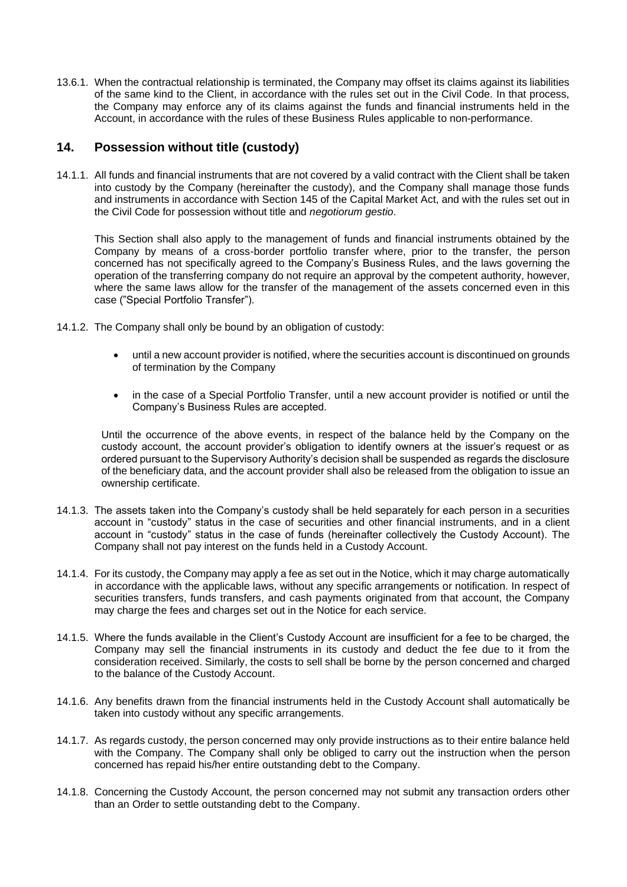13.6.1. When the contractual relationship is terminated, the Company may offset its claims against its liabilities of the same kind to the Client, in accordance with the rules set out in the Civil Code. In that process, the Company may enforce any of its claims against the funds and financial instruments held in the Account, in accordance with the rules of these Business Rules applicable to non-performance.

# <span id="page-61-0"></span>**14. Possession without title (custody)**

14.1.1. All funds and financial instruments that are not covered by a valid contract with the Client shall be taken into custody by the Company (hereinafter the custody), and the Company shall manage those funds and instruments in accordance with Section 145 of the Capital Market Act, and with the rules set out in the Civil Code for possession without title and *negotiorum gestio*.

This Section shall also apply to the management of funds and financial instruments obtained by the Company by means of a cross-border portfolio transfer where, prior to the transfer, the person concerned has not specifically agreed to the Company's Business Rules, and the laws governing the operation of the transferring company do not require an approval by the competent authority, however, where the same laws allow for the transfer of the management of the assets concerned even in this case ("Special Portfolio Transfer").

- 14.1.2. The Company shall only be bound by an obligation of custody:
	- until a new account provider is notified, where the securities account is discontinued on grounds of termination by the Company
	- in the case of a Special Portfolio Transfer, until a new account provider is notified or until the Company's Business Rules are accepted.

Until the occurrence of the above events, in respect of the balance held by the Company on the custody account, the account provider's obligation to identify owners at the issuer's request or as ordered pursuant to the Supervisory Authority's decision shall be suspended as regards the disclosure of the beneficiary data, and the account provider shall also be released from the obligation to issue an ownership certificate.

- 14.1.3. The assets taken into the Company's custody shall be held separately for each person in a securities account in "custody" status in the case of securities and other financial instruments, and in a client account in "custody" status in the case of funds (hereinafter collectively the Custody Account). The Company shall not pay interest on the funds held in a Custody Account.
- 14.1.4. For its custody, the Company may apply a fee as set out in the Notice, which it may charge automatically in accordance with the applicable laws, without any specific arrangements or notification. In respect of securities transfers, funds transfers, and cash payments originated from that account, the Company may charge the fees and charges set out in the Notice for each service.
- 14.1.5. Where the funds available in the Client's Custody Account are insufficient for a fee to be charged, the Company may sell the financial instruments in its custody and deduct the fee due to it from the consideration received. Similarly, the costs to sell shall be borne by the person concerned and charged to the balance of the Custody Account.
- 14.1.6. Any benefits drawn from the financial instruments held in the Custody Account shall automatically be taken into custody without any specific arrangements.
- 14.1.7. As regards custody, the person concerned may only provide instructions as to their entire balance held with the Company. The Company shall only be obliged to carry out the instruction when the person concerned has repaid his/her entire outstanding debt to the Company.
- 14.1.8. Concerning the Custody Account, the person concerned may not submit any transaction orders other than an Order to settle outstanding debt to the Company.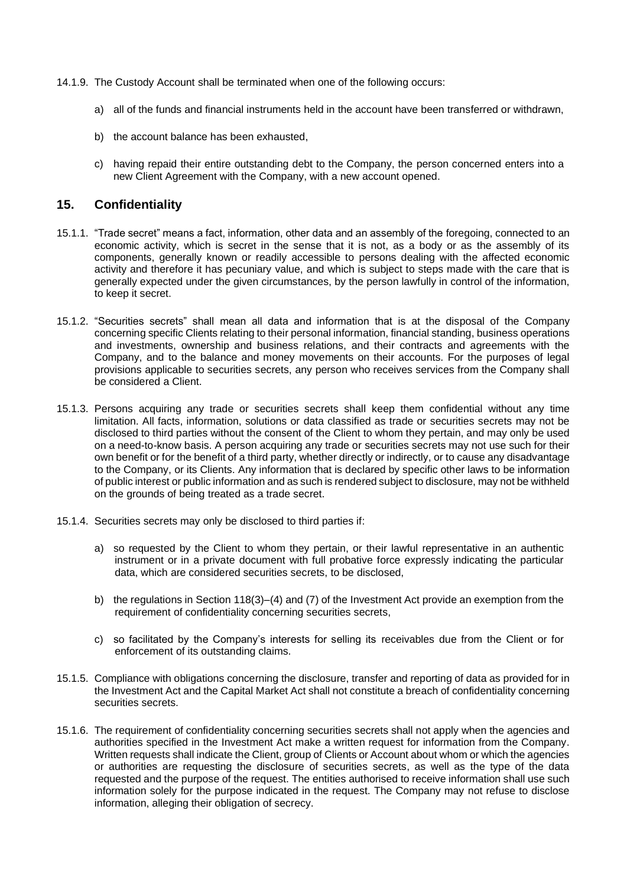- 14.1.9. The Custody Account shall be terminated when one of the following occurs:
	- a) all of the funds and financial instruments held in the account have been transferred or withdrawn,
	- b) the account balance has been exhausted,
	- c) having repaid their entire outstanding debt to the Company, the person concerned enters into a new Client Agreement with the Company, with a new account opened.

# <span id="page-62-0"></span>**15. Confidentiality**

- 15.1.1. "Trade secret" means a fact, information, other data and an assembly of the foregoing, connected to an economic activity, which is secret in the sense that it is not, as a body or as the assembly of its components, generally known or readily accessible to persons dealing with the affected economic activity and therefore it has pecuniary value, and which is subject to steps made with the care that is generally expected under the given circumstances, by the person lawfully in control of the information, to keep it secret.
- 15.1.2. "Securities secrets" shall mean all data and information that is at the disposal of the Company concerning specific Clients relating to their personal information, financial standing, business operations and investments, ownership and business relations, and their contracts and agreements with the Company, and to the balance and money movements on their accounts. For the purposes of legal provisions applicable to securities secrets, any person who receives services from the Company shall be considered a Client.
- 15.1.3. Persons acquiring any trade or securities secrets shall keep them confidential without any time limitation. All facts, information, solutions or data classified as trade or securities secrets may not be disclosed to third parties without the consent of the Client to whom they pertain, and may only be used on a need-to-know basis. A person acquiring any trade or securities secrets may not use such for their own benefit or for the benefit of a third party, whether directly or indirectly, or to cause any disadvantage to the Company, or its Clients. Any information that is declared by specific other laws to be information of public interest or public information and as such is rendered subject to disclosure, may not be withheld on the grounds of being treated as a trade secret.
- 15.1.4. Securities secrets may only be disclosed to third parties if:
	- a) so requested by the Client to whom they pertain, or their lawful representative in an authentic instrument or in a private document with full probative force expressly indicating the particular data, which are considered securities secrets, to be disclosed,
	- b) the regulations in Section 118(3)–(4) and (7) of the Investment Act provide an exemption from the requirement of confidentiality concerning securities secrets,
	- c) so facilitated by the Company's interests for selling its receivables due from the Client or for enforcement of its outstanding claims.
- 15.1.5. Compliance with obligations concerning the disclosure, transfer and reporting of data as provided for in the Investment Act and the Capital Market Act shall not constitute a breach of confidentiality concerning securities secrets.
- 15.1.6. The requirement of confidentiality concerning securities secrets shall not apply when the agencies and authorities specified in the Investment Act make a written request for information from the Company. Written requests shall indicate the Client, group of Clients or Account about whom or which the agencies or authorities are requesting the disclosure of securities secrets, as well as the type of the data requested and the purpose of the request. The entities authorised to receive information shall use such information solely for the purpose indicated in the request. The Company may not refuse to disclose information, alleging their obligation of secrecy.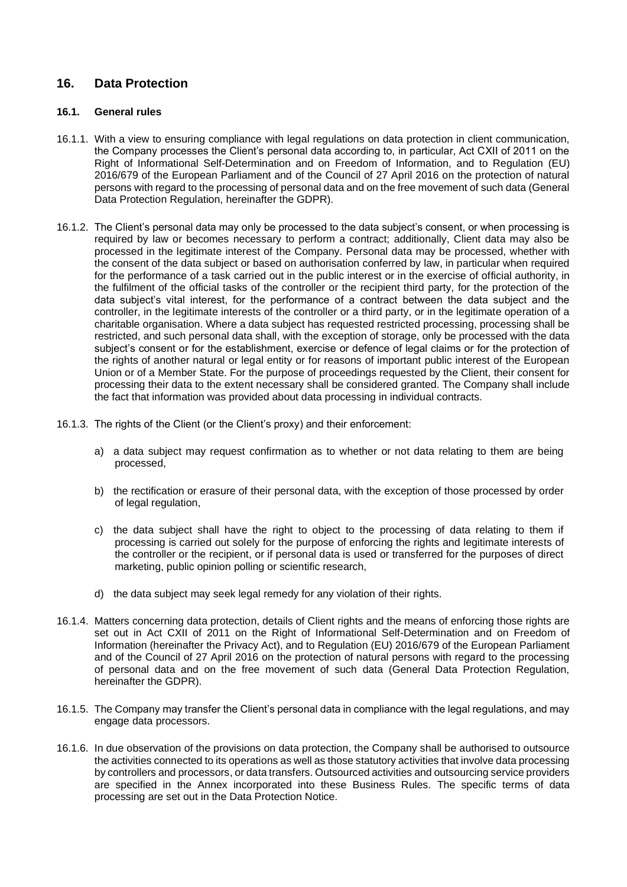# <span id="page-63-0"></span>**16. Data Protection**

# <span id="page-63-1"></span>**16.1. General rules**

- 16.1.1. With a view to ensuring compliance with legal regulations on data protection in client communication, the Company processes the Client's personal data according to, in particular, Act CXII of 2011 on the Right of Informational Self-Determination and on Freedom of Information, and to Regulation (EU) 2016/679 of the European Parliament and of the Council of 27 April 2016 on the protection of natural persons with regard to the processing of personal data and on the free movement of such data (General Data Protection Regulation, hereinafter the GDPR).
- 16.1.2. The Client's personal data may only be processed to the data subject's consent, or when processing is required by law or becomes necessary to perform a contract; additionally, Client data may also be processed in the legitimate interest of the Company. Personal data may be processed, whether with the consent of the data subject or based on authorisation conferred by law, in particular when required for the performance of a task carried out in the public interest or in the exercise of official authority, in the fulfilment of the official tasks of the controller or the recipient third party, for the protection of the data subject's vital interest, for the performance of a contract between the data subject and the controller, in the legitimate interests of the controller or a third party, or in the legitimate operation of a charitable organisation. Where a data subject has requested restricted processing, processing shall be restricted, and such personal data shall, with the exception of storage, only be processed with the data subject's consent or for the establishment, exercise or defence of legal claims or for the protection of the rights of another natural or legal entity or for reasons of important public interest of the European Union or of a Member State. For the purpose of proceedings requested by the Client, their consent for processing their data to the extent necessary shall be considered granted. The Company shall include the fact that information was provided about data processing in individual contracts.
- 16.1.3. The rights of the Client (or the Client's proxy) and their enforcement:
	- a) a data subject may request confirmation as to whether or not data relating to them are being processed,
	- b) the rectification or erasure of their personal data, with the exception of those processed by order of legal regulation.
	- c) the data subject shall have the right to object to the processing of data relating to them if processing is carried out solely for the purpose of enforcing the rights and legitimate interests of the controller or the recipient, or if personal data is used or transferred for the purposes of direct marketing, public opinion polling or scientific research,
	- d) the data subject may seek legal remedy for any violation of their rights.
- 16.1.4. Matters concerning data protection, details of Client rights and the means of enforcing those rights are set out in Act CXII of 2011 on the Right of Informational Self-Determination and on Freedom of Information (hereinafter the Privacy Act), and to Regulation (EU) 2016/679 of the European Parliament and of the Council of 27 April 2016 on the protection of natural persons with regard to the processing of personal data and on the free movement of such data (General Data Protection Regulation, hereinafter the GDPR).
- 16.1.5. The Company may transfer the Client's personal data in compliance with the legal regulations, and may engage data processors.
- 16.1.6. In due observation of the provisions on data protection, the Company shall be authorised to outsource the activities connected to its operations as well as those statutory activities that involve data processing by controllers and processors, or data transfers. Outsourced activities and outsourcing service providers are specified in the Annex incorporated into these Business Rules. The specific terms of data processing are set out in the Data Protection Notice.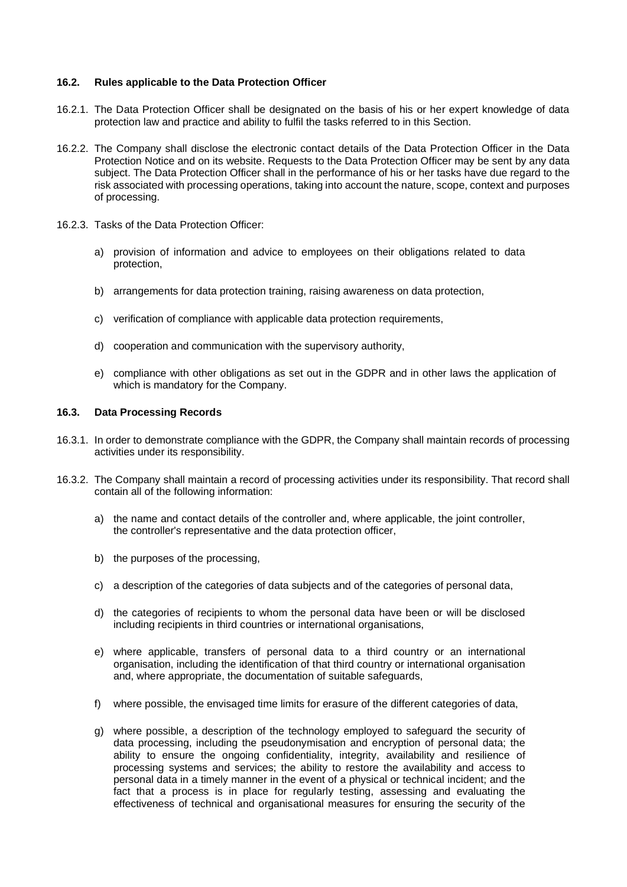### <span id="page-64-0"></span>**16.2. Rules applicable to the Data Protection Officer**

- 16.2.1. The Data Protection Officer shall be designated on the basis of his or her expert knowledge of data protection law and practice and ability to fulfil the tasks referred to in this Section.
- 16.2.2. The Company shall disclose the electronic contact details of the Data Protection Officer in the Data Protection Notice and on its website. Requests to the Data Protection Officer may be sent by any data subject. The Data Protection Officer shall in the performance of his or her tasks have due regard to the risk associated with processing operations, taking into account the nature, scope, context and purposes of processing.
- 16.2.3. Tasks of the Data Protection Officer:
	- a) provision of information and advice to employees on their obligations related to data protection,
	- b) arrangements for data protection training, raising awareness on data protection,
	- c) verification of compliance with applicable data protection requirements,
	- d) cooperation and communication with the supervisory authority,
	- e) compliance with other obligations as set out in the GDPR and in other laws the application of which is mandatory for the Company.

# <span id="page-64-1"></span>**16.3. Data Processing Records**

- 16.3.1. In order to demonstrate compliance with the GDPR, the Company shall maintain records of processing activities under its responsibility.
- 16.3.2. The Company shall maintain a record of processing activities under its responsibility. That record shall contain all of the following information:
	- a) the name and contact details of the controller and, where applicable, the joint controller, the controller's representative and the data protection officer,
	- b) the purposes of the processing,
	- c) a description of the categories of data subjects and of the categories of personal data,
	- d) the categories of recipients to whom the personal data have been or will be disclosed including recipients in third countries or international organisations,
	- e) where applicable, transfers of personal data to a third country or an international organisation, including the identification of that third country or international organisation and, where appropriate, the documentation of suitable safeguards,
	- f) where possible, the envisaged time limits for erasure of the different categories of data,
	- g) where possible, a description of the technology employed to safeguard the security of data processing, including the pseudonymisation and encryption of personal data; the ability to ensure the ongoing confidentiality, integrity, availability and resilience of processing systems and services; the ability to restore the availability and access to personal data in a timely manner in the event of a physical or technical incident; and the fact that a process is in place for regularly testing, assessing and evaluating the effectiveness of technical and organisational measures for ensuring the security of the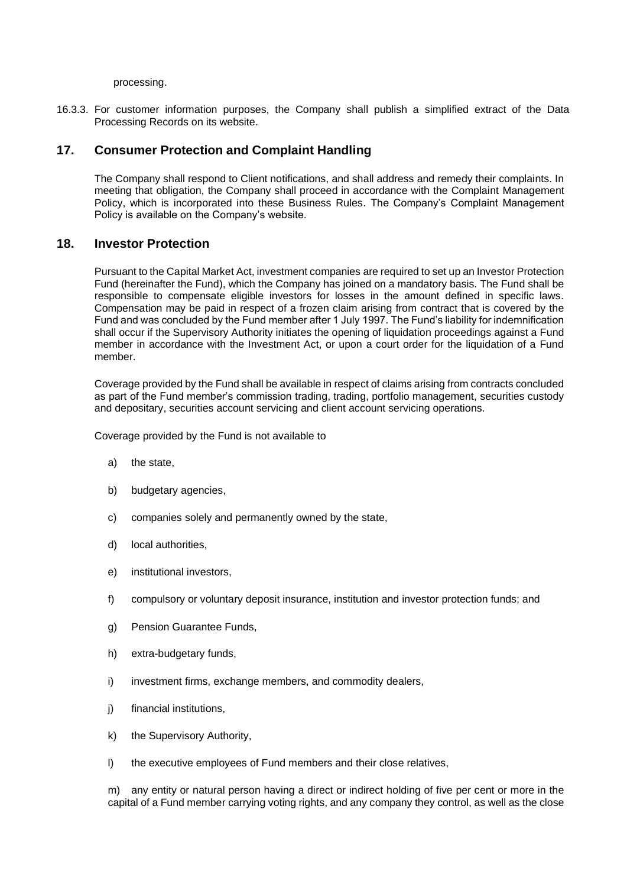processing.

16.3.3. For customer information purposes, the Company shall publish a simplified extract of the Data Processing Records on its website.

# <span id="page-65-0"></span>**17. Consumer Protection and Complaint Handling**

The Company shall respond to Client notifications, and shall address and remedy their complaints. In meeting that obligation, the Company shall proceed in accordance with the Complaint Management Policy, which is incorporated into these Business Rules. The Company's Complaint Management Policy is available on the Company's website.

# <span id="page-65-1"></span>**18. Investor Protection**

Pursuant to the Capital Market Act, investment companies are required to set up an Investor Protection Fund (hereinafter the Fund), which the Company has joined on a mandatory basis. The Fund shall be responsible to compensate eligible investors for losses in the amount defined in specific laws. Compensation may be paid in respect of a frozen claim arising from contract that is covered by the Fund and was concluded by the Fund member after 1 July 1997. The Fund's liability for indemnification shall occur if the Supervisory Authority initiates the opening of liquidation proceedings against a Fund member in accordance with the Investment Act, or upon a court order for the liquidation of a Fund member.

Coverage provided by the Fund shall be available in respect of claims arising from contracts concluded as part of the Fund member's commission trading, trading, portfolio management, securities custody and depositary, securities account servicing and client account servicing operations.

Coverage provided by the Fund is not available to

- a) the state,
- b) budgetary agencies,
- c) companies solely and permanently owned by the state,
- d) local authorities,
- e) institutional investors,
- f) compulsory or voluntary deposit insurance, institution and investor protection funds; and
- g) Pension Guarantee Funds,
- h) extra-budgetary funds,
- i) investment firms, exchange members, and commodity dealers,
- j) financial institutions,
- k) the Supervisory Authority,
- l) the executive employees of Fund members and their close relatives,

m) any entity or natural person having a direct or indirect holding of five per cent or more in the capital of a Fund member carrying voting rights, and any company they control, as well as the close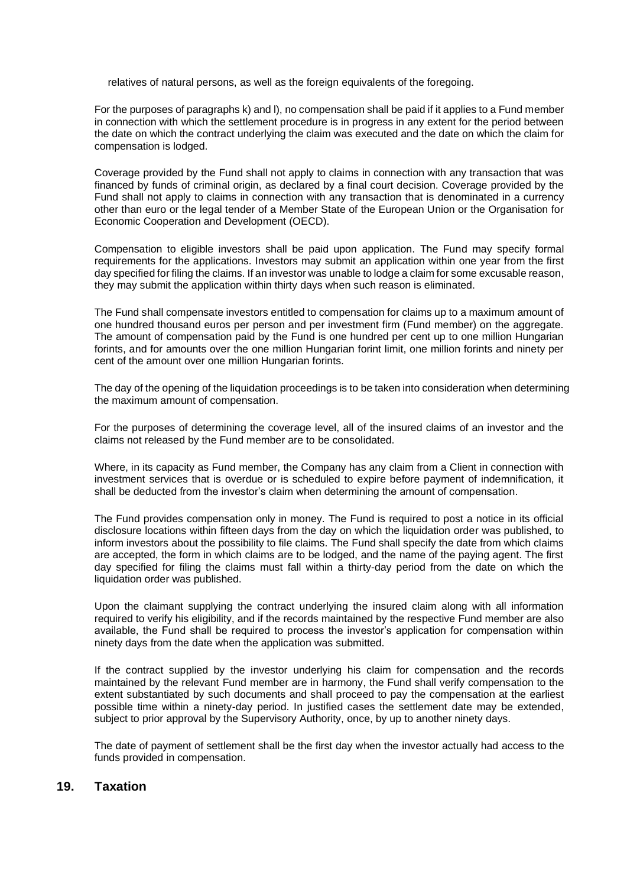relatives of natural persons, as well as the foreign equivalents of the foregoing.

For the purposes of paragraphs k) and l), no compensation shall be paid if it applies to a Fund member in connection with which the settlement procedure is in progress in any extent for the period between the date on which the contract underlying the claim was executed and the date on which the claim for compensation is lodged.

Coverage provided by the Fund shall not apply to claims in connection with any transaction that was financed by funds of criminal origin, as declared by a final court decision. Coverage provided by the Fund shall not apply to claims in connection with any transaction that is denominated in a currency other than euro or the legal tender of a Member State of the European Union or the Organisation for Economic Cooperation and Development (OECD).

Compensation to eligible investors shall be paid upon application. The Fund may specify formal requirements for the applications. Investors may submit an application within one year from the first day specified for filing the claims. If an investor was unable to lodge a claim for some excusable reason, they may submit the application within thirty days when such reason is eliminated.

The Fund shall compensate investors entitled to compensation for claims up to a maximum amount of one hundred thousand euros per person and per investment firm (Fund member) on the aggregate. The amount of compensation paid by the Fund is one hundred per cent up to one million Hungarian forints, and for amounts over the one million Hungarian forint limit, one million forints and ninety per cent of the amount over one million Hungarian forints.

The day of the opening of the liquidation proceedings is to be taken into consideration when determining the maximum amount of compensation.

For the purposes of determining the coverage level, all of the insured claims of an investor and the claims not released by the Fund member are to be consolidated.

Where, in its capacity as Fund member, the Company has any claim from a Client in connection with investment services that is overdue or is scheduled to expire before payment of indemnification, it shall be deducted from the investor's claim when determining the amount of compensation.

The Fund provides compensation only in money. The Fund is required to post a notice in its official disclosure locations within fifteen days from the day on which the liquidation order was published, to inform investors about the possibility to file claims. The Fund shall specify the date from which claims are accepted, the form in which claims are to be lodged, and the name of the paying agent. The first day specified for filing the claims must fall within a thirty-day period from the date on which the liquidation order was published.

Upon the claimant supplying the contract underlying the insured claim along with all information required to verify his eligibility, and if the records maintained by the respective Fund member are also available, the Fund shall be required to process the investor's application for compensation within ninety days from the date when the application was submitted.

If the contract supplied by the investor underlying his claim for compensation and the records maintained by the relevant Fund member are in harmony, the Fund shall verify compensation to the extent substantiated by such documents and shall proceed to pay the compensation at the earliest possible time within a ninety-day period. In justified cases the settlement date may be extended, subject to prior approval by the Supervisory Authority, once, by up to another ninety days.

The date of payment of settlement shall be the first day when the investor actually had access to the funds provided in compensation.

# <span id="page-66-0"></span>**19. Taxation**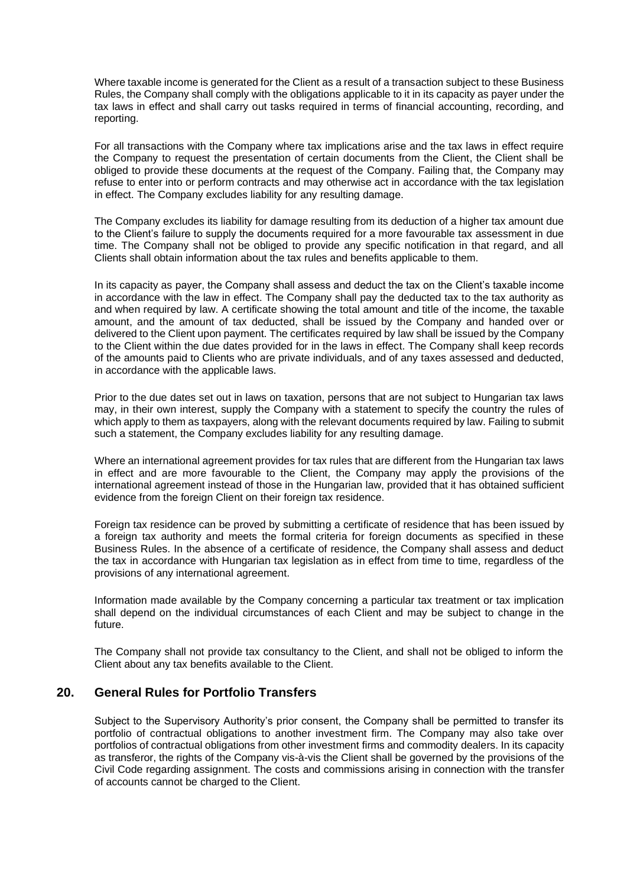Where taxable income is generated for the Client as a result of a transaction subject to these Business Rules, the Company shall comply with the obligations applicable to it in its capacity as payer under the tax laws in effect and shall carry out tasks required in terms of financial accounting, recording, and reporting.

For all transactions with the Company where tax implications arise and the tax laws in effect require the Company to request the presentation of certain documents from the Client, the Client shall be obliged to provide these documents at the request of the Company. Failing that, the Company may refuse to enter into or perform contracts and may otherwise act in accordance with the tax legislation in effect. The Company excludes liability for any resulting damage.

The Company excludes its liability for damage resulting from its deduction of a higher tax amount due to the Client's failure to supply the documents required for a more favourable tax assessment in due time. The Company shall not be obliged to provide any specific notification in that regard, and all Clients shall obtain information about the tax rules and benefits applicable to them.

In its capacity as payer, the Company shall assess and deduct the tax on the Client's taxable income in accordance with the law in effect. The Company shall pay the deducted tax to the tax authority as and when required by law. A certificate showing the total amount and title of the income, the taxable amount, and the amount of tax deducted, shall be issued by the Company and handed over or delivered to the Client upon payment. The certificates required by law shall be issued by the Company to the Client within the due dates provided for in the laws in effect. The Company shall keep records of the amounts paid to Clients who are private individuals, and of any taxes assessed and deducted, in accordance with the applicable laws.

Prior to the due dates set out in laws on taxation, persons that are not subject to Hungarian tax laws may, in their own interest, supply the Company with a statement to specify the country the rules of which apply to them as taxpayers, along with the relevant documents required by law. Failing to submit such a statement, the Company excludes liability for any resulting damage.

Where an international agreement provides for tax rules that are different from the Hungarian tax laws in effect and are more favourable to the Client, the Company may apply the provisions of the international agreement instead of those in the Hungarian law, provided that it has obtained sufficient evidence from the foreign Client on their foreign tax residence.

Foreign tax residence can be proved by submitting a certificate of residence that has been issued by a foreign tax authority and meets the formal criteria for foreign documents as specified in these Business Rules. In the absence of a certificate of residence, the Company shall assess and deduct the tax in accordance with Hungarian tax legislation as in effect from time to time, regardless of the provisions of any international agreement.

Information made available by the Company concerning a particular tax treatment or tax implication shall depend on the individual circumstances of each Client and may be subject to change in the future.

The Company shall not provide tax consultancy to the Client, and shall not be obliged to inform the Client about any tax benefits available to the Client.

# <span id="page-67-0"></span>**20. General Rules for Portfolio Transfers**

Subject to the Supervisory Authority's prior consent, the Company shall be permitted to transfer its portfolio of contractual obligations to another investment firm. The Company may also take over portfolios of contractual obligations from other investment firms and commodity dealers. In its capacity as transferor, the rights of the Company vis-à-vis the Client shall be governed by the provisions of the Civil Code regarding assignment. The costs and commissions arising in connection with the transfer of accounts cannot be charged to the Client.